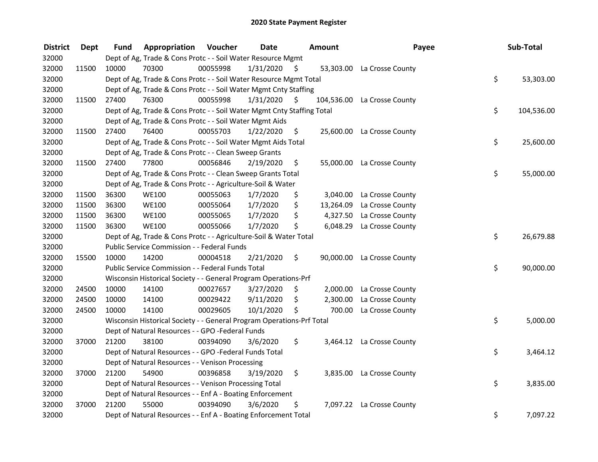| <b>District</b> | <b>Dept</b> | <b>Fund</b> | Appropriation                                                          | Voucher  | <b>Date</b> |     | Amount     | Payee                      | Sub-Total        |
|-----------------|-------------|-------------|------------------------------------------------------------------------|----------|-------------|-----|------------|----------------------------|------------------|
| 32000           |             |             | Dept of Ag, Trade & Cons Protc - - Soil Water Resource Mgmt            |          |             |     |            |                            |                  |
| 32000           | 11500       | 10000       | 70300                                                                  | 00055998 | 1/31/2020   | \$  |            | 53,303.00 La Crosse County |                  |
| 32000           |             |             | Dept of Ag, Trade & Cons Protc - - Soil Water Resource Mgmt Total      |          |             |     |            |                            | \$<br>53,303.00  |
| 32000           |             |             | Dept of Ag, Trade & Cons Protc - - Soil Water Mgmt Cnty Staffing       |          |             |     |            |                            |                  |
| 32000           | 11500       | 27400       | 76300                                                                  | 00055998 | 1/31/2020   | \$  | 104,536.00 | La Crosse County           |                  |
| 32000           |             |             | Dept of Ag, Trade & Cons Protc - - Soil Water Mgmt Cnty Staffing Total |          |             |     |            |                            | \$<br>104,536.00 |
| 32000           |             |             | Dept of Ag, Trade & Cons Protc - - Soil Water Mgmt Aids                |          |             |     |            |                            |                  |
| 32000           | 11500       | 27400       | 76400                                                                  | 00055703 | 1/22/2020   | -\$ |            | 25,600.00 La Crosse County |                  |
| 32000           |             |             | Dept of Ag, Trade & Cons Protc - - Soil Water Mgmt Aids Total          |          |             |     |            |                            | \$<br>25,600.00  |
| 32000           |             |             | Dept of Ag, Trade & Cons Protc - - Clean Sweep Grants                  |          |             |     |            |                            |                  |
| 32000           | 11500       | 27400       | 77800                                                                  | 00056846 | 2/19/2020   | \$  |            | 55,000.00 La Crosse County |                  |
| 32000           |             |             | Dept of Ag, Trade & Cons Protc - - Clean Sweep Grants Total            |          |             |     |            |                            | \$<br>55,000.00  |
| 32000           |             |             | Dept of Ag, Trade & Cons Protc - - Agriculture-Soil & Water            |          |             |     |            |                            |                  |
| 32000           | 11500       | 36300       | <b>WE100</b>                                                           | 00055063 | 1/7/2020    | \$  | 3,040.00   | La Crosse County           |                  |
| 32000           | 11500       | 36300       | <b>WE100</b>                                                           | 00055064 | 1/7/2020    | \$  | 13,264.09  | La Crosse County           |                  |
| 32000           | 11500       | 36300       | <b>WE100</b>                                                           | 00055065 | 1/7/2020    | \$  | 4,327.50   | La Crosse County           |                  |
| 32000           | 11500       | 36300       | <b>WE100</b>                                                           | 00055066 | 1/7/2020    | \$  |            | 6,048.29 La Crosse County  |                  |
| 32000           |             |             | Dept of Ag, Trade & Cons Protc - - Agriculture-Soil & Water Total      |          |             |     |            |                            | \$<br>26,679.88  |
| 32000           |             |             | Public Service Commission - - Federal Funds                            |          |             |     |            |                            |                  |
| 32000           | 15500       | 10000       | 14200                                                                  | 00004518 | 2/21/2020   | \$  |            | 90,000.00 La Crosse County |                  |
| 32000           |             |             | Public Service Commission - - Federal Funds Total                      |          |             |     |            |                            | \$<br>90,000.00  |
| 32000           |             |             | Wisconsin Historical Society - - General Program Operations-Prf        |          |             |     |            |                            |                  |
| 32000           | 24500       | 10000       | 14100                                                                  | 00027657 | 3/27/2020   | \$  | 2,000.00   | La Crosse County           |                  |
| 32000           | 24500       | 10000       | 14100                                                                  | 00029422 | 9/11/2020   | \$  | 2,300.00   | La Crosse County           |                  |
| 32000           | 24500       | 10000       | 14100                                                                  | 00029605 | 10/1/2020   | \$  | 700.00     | La Crosse County           |                  |
| 32000           |             |             | Wisconsin Historical Society - - General Program Operations-Prf Total  |          |             |     |            |                            | \$<br>5,000.00   |
| 32000           |             |             | Dept of Natural Resources - - GPO -Federal Funds                       |          |             |     |            |                            |                  |
| 32000           | 37000       | 21200       | 38100                                                                  | 00394090 | 3/6/2020    | \$. |            | 3,464.12 La Crosse County  |                  |
| 32000           |             |             | Dept of Natural Resources - - GPO -Federal Funds Total                 |          |             |     |            |                            | \$<br>3,464.12   |
| 32000           |             |             | Dept of Natural Resources - - Venison Processing                       |          |             |     |            |                            |                  |
| 32000           | 37000       | 21200       | 54900                                                                  | 00396858 | 3/19/2020   | \$  |            | 3,835.00 La Crosse County  |                  |
| 32000           |             |             | Dept of Natural Resources - - Venison Processing Total                 |          |             |     |            |                            | \$<br>3,835.00   |
| 32000           |             |             | Dept of Natural Resources - - Enf A - Boating Enforcement              |          |             |     |            |                            |                  |
| 32000           | 37000       | 21200       | 55000                                                                  | 00394090 | 3/6/2020    | \$  |            | 7,097.22 La Crosse County  |                  |
| 32000           |             |             | Dept of Natural Resources - - Enf A - Boating Enforcement Total        |          |             |     |            |                            | \$<br>7,097.22   |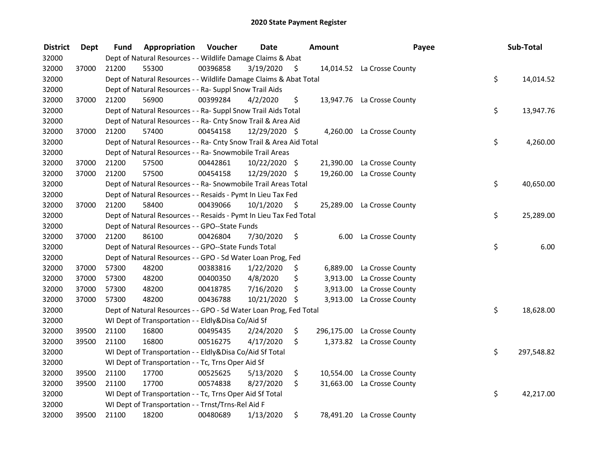| <b>District</b> | <b>Dept</b> | Fund  | Appropriation                                                      | Voucher  | <b>Date</b>   |    | Amount    | Payee                       | Sub-Total        |
|-----------------|-------------|-------|--------------------------------------------------------------------|----------|---------------|----|-----------|-----------------------------|------------------|
| 32000           |             |       | Dept of Natural Resources - - Wildlife Damage Claims & Abat        |          |               |    |           |                             |                  |
| 32000           | 37000       | 21200 | 55300                                                              | 00396858 | 3/19/2020     | \$ |           | 14,014.52 La Crosse County  |                  |
| 32000           |             |       | Dept of Natural Resources - - Wildlife Damage Claims & Abat Total  |          |               |    |           |                             | \$<br>14,014.52  |
| 32000           |             |       | Dept of Natural Resources - - Ra- Suppl Snow Trail Aids            |          |               |    |           |                             |                  |
| 32000           | 37000       | 21200 | 56900                                                              | 00399284 | 4/2/2020      | \$ |           | 13,947.76 La Crosse County  |                  |
| 32000           |             |       | Dept of Natural Resources - - Ra- Suppl Snow Trail Aids Total      |          |               |    |           |                             | \$<br>13,947.76  |
| 32000           |             |       | Dept of Natural Resources - - Ra- Cnty Snow Trail & Area Aid       |          |               |    |           |                             |                  |
| 32000           | 37000       | 21200 | 57400                                                              | 00454158 | 12/29/2020 \$ |    |           | 4,260.00 La Crosse County   |                  |
| 32000           |             |       | Dept of Natural Resources - - Ra- Cnty Snow Trail & Area Aid Total |          |               |    |           |                             | \$<br>4,260.00   |
| 32000           |             |       | Dept of Natural Resources - - Ra- Snowmobile Trail Areas           |          |               |    |           |                             |                  |
| 32000           | 37000       | 21200 | 57500                                                              | 00442861 | 10/22/2020 \$ |    | 21,390.00 | La Crosse County            |                  |
| 32000           | 37000       | 21200 | 57500                                                              | 00454158 | 12/29/2020    | -S |           | 19,260.00 La Crosse County  |                  |
| 32000           |             |       | Dept of Natural Resources - - Ra- Snowmobile Trail Areas Total     |          |               |    |           |                             | \$<br>40,650.00  |
| 32000           |             |       | Dept of Natural Resources - - Resaids - Pymt In Lieu Tax Fed       |          |               |    |           |                             |                  |
| 32000           | 37000       | 21200 | 58400                                                              | 00439066 | 10/1/2020     | \$ |           | 25,289.00 La Crosse County  |                  |
| 32000           |             |       | Dept of Natural Resources - - Resaids - Pymt In Lieu Tax Fed Total |          |               |    |           |                             | \$<br>25,289.00  |
| 32000           |             |       | Dept of Natural Resources - - GPO--State Funds                     |          |               |    |           |                             |                  |
| 32000           | 37000       | 21200 | 86100                                                              | 00426804 | 7/30/2020     | \$ | 6.00      | La Crosse County            |                  |
| 32000           |             |       | Dept of Natural Resources - - GPO--State Funds Total               |          |               |    |           |                             | \$<br>6.00       |
| 32000           |             |       | Dept of Natural Resources - - GPO - Sd Water Loan Prog, Fed        |          |               |    |           |                             |                  |
| 32000           | 37000       | 57300 | 48200                                                              | 00383816 | 1/22/2020     | \$ | 6,889.00  | La Crosse County            |                  |
| 32000           | 37000       | 57300 | 48200                                                              | 00400350 | 4/8/2020      | \$ | 3,913.00  | La Crosse County            |                  |
| 32000           | 37000       | 57300 | 48200                                                              | 00418785 | 7/16/2020     | \$ | 3,913.00  | La Crosse County            |                  |
| 32000           | 37000       | 57300 | 48200                                                              | 00436788 | 10/21/2020 \$ |    |           | 3,913.00 La Crosse County   |                  |
| 32000           |             |       | Dept of Natural Resources - - GPO - Sd Water Loan Prog, Fed Total  |          |               |    |           |                             | \$<br>18,628.00  |
| 32000           |             |       | WI Dept of Transportation - - Eldly&Disa Co/Aid Sf                 |          |               |    |           |                             |                  |
| 32000           | 39500       | 21100 | 16800                                                              | 00495435 | 2/24/2020     | \$ |           | 296,175.00 La Crosse County |                  |
| 32000           | 39500       | 21100 | 16800                                                              | 00516275 | 4/17/2020     | \$ |           | 1,373.82 La Crosse County   |                  |
| 32000           |             |       | WI Dept of Transportation - - Eldly&Disa Co/Aid Sf Total           |          |               |    |           |                             | \$<br>297,548.82 |
| 32000           |             |       | WI Dept of Transportation - - Tc, Trns Oper Aid Sf                 |          |               |    |           |                             |                  |
| 32000           | 39500       | 21100 | 17700                                                              | 00525625 | 5/13/2020     | \$ |           | 10,554.00 La Crosse County  |                  |
| 32000           | 39500       | 21100 | 17700                                                              | 00574838 | 8/27/2020     | \$ | 31,663.00 | La Crosse County            |                  |
| 32000           |             |       | WI Dept of Transportation - - Tc, Trns Oper Aid Sf Total           |          |               |    |           |                             | \$<br>42,217.00  |
| 32000           |             |       | WI Dept of Transportation - - Trnst/Trns-Rel Aid F                 |          |               |    |           |                             |                  |
| 32000           | 39500       | 21100 | 18200                                                              | 00480689 | 1/13/2020     | \$ |           | 78,491.20 La Crosse County  |                  |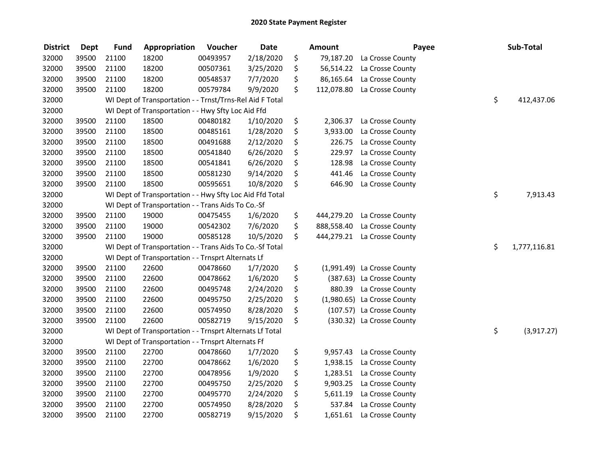| <b>District</b> | <b>Dept</b> | <b>Fund</b> | Appropriation                                            | Voucher  | <b>Date</b> | <b>Amount</b>    | Payee                       | Sub-Total          |
|-----------------|-------------|-------------|----------------------------------------------------------|----------|-------------|------------------|-----------------------------|--------------------|
| 32000           | 39500       | 21100       | 18200                                                    | 00493957 | 2/18/2020   | \$<br>79,187.20  | La Crosse County            |                    |
| 32000           | 39500       | 21100       | 18200                                                    | 00507361 | 3/25/2020   | \$               | 56,514.22 La Crosse County  |                    |
| 32000           | 39500       | 21100       | 18200                                                    | 00548537 | 7/7/2020    | \$<br>86,165.64  | La Crosse County            |                    |
| 32000           | 39500       | 21100       | 18200                                                    | 00579784 | 9/9/2020    | \$<br>112,078.80 | La Crosse County            |                    |
| 32000           |             |             | WI Dept of Transportation - - Trnst/Trns-Rel Aid F Total |          |             |                  |                             | \$<br>412,437.06   |
| 32000           |             |             | WI Dept of Transportation - - Hwy Sfty Loc Aid Ffd       |          |             |                  |                             |                    |
| 32000           | 39500       | 21100       | 18500                                                    | 00480182 | 1/10/2020   | \$<br>2,306.37   | La Crosse County            |                    |
| 32000           | 39500       | 21100       | 18500                                                    | 00485161 | 1/28/2020   | \$<br>3,933.00   | La Crosse County            |                    |
| 32000           | 39500       | 21100       | 18500                                                    | 00491688 | 2/12/2020   | \$<br>226.75     | La Crosse County            |                    |
| 32000           | 39500       | 21100       | 18500                                                    | 00541840 | 6/26/2020   | \$<br>229.97     | La Crosse County            |                    |
| 32000           | 39500       | 21100       | 18500                                                    | 00541841 | 6/26/2020   | \$<br>128.98     | La Crosse County            |                    |
| 32000           | 39500       | 21100       | 18500                                                    | 00581230 | 9/14/2020   | \$<br>441.46     | La Crosse County            |                    |
| 32000           | 39500       | 21100       | 18500                                                    | 00595651 | 10/8/2020   | \$<br>646.90     | La Crosse County            |                    |
| 32000           |             |             | WI Dept of Transportation - - Hwy Sfty Loc Aid Ffd Total |          |             |                  |                             | \$<br>7,913.43     |
| 32000           |             |             | WI Dept of Transportation - - Trans Aids To Co.-Sf       |          |             |                  |                             |                    |
| 32000           | 39500       | 21100       | 19000                                                    | 00475455 | 1/6/2020    | \$<br>444,279.20 | La Crosse County            |                    |
| 32000           | 39500       | 21100       | 19000                                                    | 00542302 | 7/6/2020    | \$<br>888,558.40 | La Crosse County            |                    |
| 32000           | 39500       | 21100       | 19000                                                    | 00585128 | 10/5/2020   | \$<br>444,279.21 | La Crosse County            |                    |
| 32000           |             |             | WI Dept of Transportation - - Trans Aids To Co.-Sf Total |          |             |                  |                             | \$<br>1,777,116.81 |
| 32000           |             |             | WI Dept of Transportation - - Trnsprt Alternats Lf       |          |             |                  |                             |                    |
| 32000           | 39500       | 21100       | 22600                                                    | 00478660 | 1/7/2020    | \$               | (1,991.49) La Crosse County |                    |
| 32000           | 39500       | 21100       | 22600                                                    | 00478662 | 1/6/2020    | \$               | (387.63) La Crosse County   |                    |
| 32000           | 39500       | 21100       | 22600                                                    | 00495748 | 2/24/2020   | \$               | 880.39 La Crosse County     |                    |
| 32000           | 39500       | 21100       | 22600                                                    | 00495750 | 2/25/2020   | \$               | (1,980.65) La Crosse County |                    |
| 32000           | 39500       | 21100       | 22600                                                    | 00574950 | 8/28/2020   | \$               | (107.57) La Crosse County   |                    |
| 32000           | 39500       | 21100       | 22600                                                    | 00582719 | 9/15/2020   | \$               | (330.32) La Crosse County   |                    |
| 32000           |             |             | WI Dept of Transportation - - Trnsprt Alternats Lf Total |          |             |                  |                             | \$<br>(3,917.27)   |
| 32000           |             |             | WI Dept of Transportation - - Trnsprt Alternats Ff       |          |             |                  |                             |                    |
| 32000           | 39500       | 21100       | 22700                                                    | 00478660 | 1/7/2020    | \$<br>9,957.43   | La Crosse County            |                    |
| 32000           | 39500       | 21100       | 22700                                                    | 00478662 | 1/6/2020    | \$<br>1,938.15   | La Crosse County            |                    |
| 32000           | 39500       | 21100       | 22700                                                    | 00478956 | 1/9/2020    | \$<br>1,283.51   | La Crosse County            |                    |
| 32000           | 39500       | 21100       | 22700                                                    | 00495750 | 2/25/2020   | \$<br>9,903.25   | La Crosse County            |                    |
| 32000           | 39500       | 21100       | 22700                                                    | 00495770 | 2/24/2020   | \$<br>5,611.19   | La Crosse County            |                    |
| 32000           | 39500       | 21100       | 22700                                                    | 00574950 | 8/28/2020   | \$<br>537.84     | La Crosse County            |                    |
| 32000           | 39500       | 21100       | 22700                                                    | 00582719 | 9/15/2020   | \$               | 1,651.61 La Crosse County   |                    |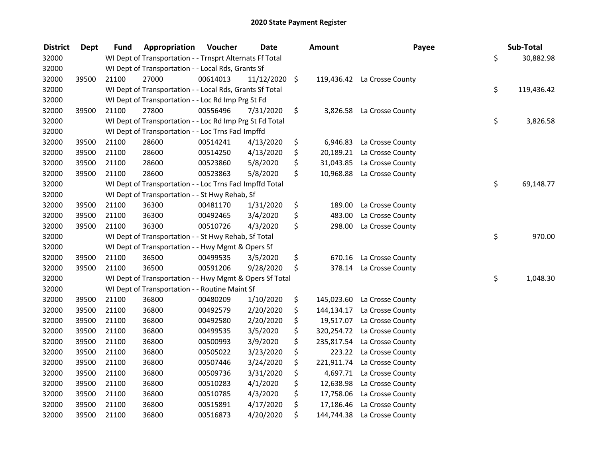| <b>District</b> | Dept  | Fund  | Appropriation                                            | Voucher  | <b>Date</b>     | Amount           | Payee                       | Sub-Total        |
|-----------------|-------|-------|----------------------------------------------------------|----------|-----------------|------------------|-----------------------------|------------------|
| 32000           |       |       | WI Dept of Transportation - - Trnsprt Alternats Ff Total |          |                 |                  |                             | \$<br>30,882.98  |
| 32000           |       |       | WI Dept of Transportation - - Local Rds, Grants Sf       |          |                 |                  |                             |                  |
| 32000           | 39500 | 21100 | 27000                                                    | 00614013 | $11/12/2020$ \$ |                  | 119,436.42 La Crosse County |                  |
| 32000           |       |       | WI Dept of Transportation - - Local Rds, Grants Sf Total |          |                 |                  |                             | \$<br>119,436.42 |
| 32000           |       |       | WI Dept of Transportation - - Loc Rd Imp Prg St Fd       |          |                 |                  |                             |                  |
| 32000           | 39500 | 21100 | 27800                                                    | 00556496 | 7/31/2020       | \$               | 3,826.58 La Crosse County   |                  |
| 32000           |       |       | WI Dept of Transportation - - Loc Rd Imp Prg St Fd Total |          |                 |                  |                             | \$<br>3,826.58   |
| 32000           |       |       | WI Dept of Transportation - - Loc Trns Facl Impffd       |          |                 |                  |                             |                  |
| 32000           | 39500 | 21100 | 28600                                                    | 00514241 | 4/13/2020       | \$               | 6,946.83 La Crosse County   |                  |
| 32000           | 39500 | 21100 | 28600                                                    | 00514250 | 4/13/2020       | \$               | 20,189.21 La Crosse County  |                  |
| 32000           | 39500 | 21100 | 28600                                                    | 00523860 | 5/8/2020        | \$<br>31,043.85  | La Crosse County            |                  |
| 32000           | 39500 | 21100 | 28600                                                    | 00523863 | 5/8/2020        | \$               | 10,968.88 La Crosse County  |                  |
| 32000           |       |       | WI Dept of Transportation - - Loc Trns Facl Impffd Total |          |                 |                  |                             | \$<br>69,148.77  |
| 32000           |       |       | WI Dept of Transportation - - St Hwy Rehab, Sf           |          |                 |                  |                             |                  |
| 32000           | 39500 | 21100 | 36300                                                    | 00481170 | 1/31/2020       | \$<br>189.00     | La Crosse County            |                  |
| 32000           | 39500 | 21100 | 36300                                                    | 00492465 | 3/4/2020        | \$<br>483.00     | La Crosse County            |                  |
| 32000           | 39500 | 21100 | 36300                                                    | 00510726 | 4/3/2020        | \$<br>298.00     | La Crosse County            |                  |
| 32000           |       |       | WI Dept of Transportation - - St Hwy Rehab, Sf Total     |          |                 |                  |                             | \$<br>970.00     |
| 32000           |       |       | WI Dept of Transportation - - Hwy Mgmt & Opers Sf        |          |                 |                  |                             |                  |
| 32000           | 39500 | 21100 | 36500                                                    | 00499535 | 3/5/2020        | \$<br>670.16     | La Crosse County            |                  |
| 32000           | 39500 | 21100 | 36500                                                    | 00591206 | 9/28/2020       | \$<br>378.14     | La Crosse County            |                  |
| 32000           |       |       | WI Dept of Transportation - - Hwy Mgmt & Opers Sf Total  |          |                 |                  |                             | \$<br>1,048.30   |
| 32000           |       |       | WI Dept of Transportation - - Routine Maint Sf           |          |                 |                  |                             |                  |
| 32000           | 39500 | 21100 | 36800                                                    | 00480209 | 1/10/2020       | \$<br>145,023.60 | La Crosse County            |                  |
| 32000           | 39500 | 21100 | 36800                                                    | 00492579 | 2/20/2020       | \$<br>144,134.17 | La Crosse County            |                  |
| 32000           | 39500 | 21100 | 36800                                                    | 00492580 | 2/20/2020       | \$<br>19,517.07  | La Crosse County            |                  |
| 32000           | 39500 | 21100 | 36800                                                    | 00499535 | 3/5/2020        | \$<br>320,254.72 | La Crosse County            |                  |
| 32000           | 39500 | 21100 | 36800                                                    | 00500993 | 3/9/2020        | \$<br>235,817.54 | La Crosse County            |                  |
| 32000           | 39500 | 21100 | 36800                                                    | 00505022 | 3/23/2020       | \$<br>223.22     | La Crosse County            |                  |
| 32000           | 39500 | 21100 | 36800                                                    | 00507446 | 3/24/2020       | \$<br>221,911.74 | La Crosse County            |                  |
| 32000           | 39500 | 21100 | 36800                                                    | 00509736 | 3/31/2020       | \$<br>4,697.71   | La Crosse County            |                  |
| 32000           | 39500 | 21100 | 36800                                                    | 00510283 | 4/1/2020        | \$<br>12,638.98  | La Crosse County            |                  |
| 32000           | 39500 | 21100 | 36800                                                    | 00510785 | 4/3/2020        | \$<br>17,758.06  | La Crosse County            |                  |
| 32000           | 39500 | 21100 | 36800                                                    | 00515891 | 4/17/2020       | \$<br>17,186.46  | La Crosse County            |                  |
| 32000           | 39500 | 21100 | 36800                                                    | 00516873 | 4/20/2020       | \$<br>144,744.38 | La Crosse County            |                  |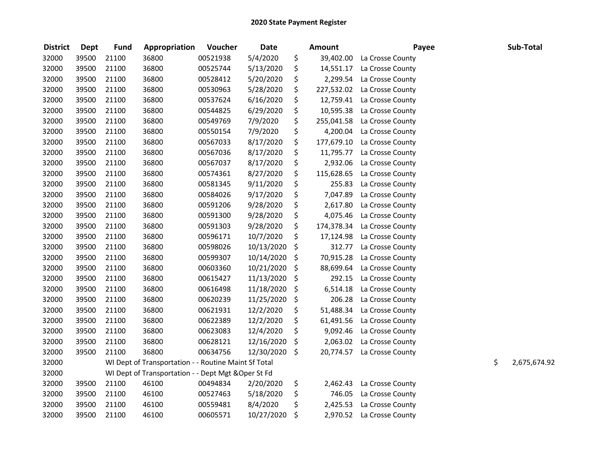| <b>District</b> | <b>Dept</b> | <b>Fund</b> | Appropriation                                        | Voucher  | <b>Date</b> | <b>Amount</b>    | Payee            | Sub-Total          |
|-----------------|-------------|-------------|------------------------------------------------------|----------|-------------|------------------|------------------|--------------------|
| 32000           | 39500       | 21100       | 36800                                                | 00521938 | 5/4/2020    | \$<br>39,402.00  | La Crosse County |                    |
| 32000           | 39500       | 21100       | 36800                                                | 00525744 | 5/13/2020   | \$<br>14,551.17  | La Crosse County |                    |
| 32000           | 39500       | 21100       | 36800                                                | 00528412 | 5/20/2020   | \$<br>2,299.54   | La Crosse County |                    |
| 32000           | 39500       | 21100       | 36800                                                | 00530963 | 5/28/2020   | \$<br>227,532.02 | La Crosse County |                    |
| 32000           | 39500       | 21100       | 36800                                                | 00537624 | 6/16/2020   | \$<br>12,759.41  | La Crosse County |                    |
| 32000           | 39500       | 21100       | 36800                                                | 00544825 | 6/29/2020   | \$<br>10,595.38  | La Crosse County |                    |
| 32000           | 39500       | 21100       | 36800                                                | 00549769 | 7/9/2020    | \$<br>255,041.58 | La Crosse County |                    |
| 32000           | 39500       | 21100       | 36800                                                | 00550154 | 7/9/2020    | \$<br>4,200.04   | La Crosse County |                    |
| 32000           | 39500       | 21100       | 36800                                                | 00567033 | 8/17/2020   | \$<br>177,679.10 | La Crosse County |                    |
| 32000           | 39500       | 21100       | 36800                                                | 00567036 | 8/17/2020   | \$<br>11,795.77  | La Crosse County |                    |
| 32000           | 39500       | 21100       | 36800                                                | 00567037 | 8/17/2020   | \$<br>2,932.06   | La Crosse County |                    |
| 32000           | 39500       | 21100       | 36800                                                | 00574361 | 8/27/2020   | \$<br>115,628.65 | La Crosse County |                    |
| 32000           | 39500       | 21100       | 36800                                                | 00581345 | 9/11/2020   | \$<br>255.83     | La Crosse County |                    |
| 32000           | 39500       | 21100       | 36800                                                | 00584026 | 9/17/2020   | \$<br>7,047.89   | La Crosse County |                    |
| 32000           | 39500       | 21100       | 36800                                                | 00591206 | 9/28/2020   | \$<br>2,617.80   | La Crosse County |                    |
| 32000           | 39500       | 21100       | 36800                                                | 00591300 | 9/28/2020   | \$<br>4,075.46   | La Crosse County |                    |
| 32000           | 39500       | 21100       | 36800                                                | 00591303 | 9/28/2020   | \$<br>174,378.34 | La Crosse County |                    |
| 32000           | 39500       | 21100       | 36800                                                | 00596171 | 10/7/2020   | \$<br>17,124.98  | La Crosse County |                    |
| 32000           | 39500       | 21100       | 36800                                                | 00598026 | 10/13/2020  | \$<br>312.77     | La Crosse County |                    |
| 32000           | 39500       | 21100       | 36800                                                | 00599307 | 10/14/2020  | \$<br>70,915.28  | La Crosse County |                    |
| 32000           | 39500       | 21100       | 36800                                                | 00603360 | 10/21/2020  | \$<br>88,699.64  | La Crosse County |                    |
| 32000           | 39500       | 21100       | 36800                                                | 00615427 | 11/13/2020  | \$<br>292.15     | La Crosse County |                    |
| 32000           | 39500       | 21100       | 36800                                                | 00616498 | 11/18/2020  | \$<br>6,514.18   | La Crosse County |                    |
| 32000           | 39500       | 21100       | 36800                                                | 00620239 | 11/25/2020  | \$<br>206.28     | La Crosse County |                    |
| 32000           | 39500       | 21100       | 36800                                                | 00621931 | 12/2/2020   | \$<br>51,488.34  | La Crosse County |                    |
| 32000           | 39500       | 21100       | 36800                                                | 00622389 | 12/2/2020   | \$<br>61,491.56  | La Crosse County |                    |
| 32000           | 39500       | 21100       | 36800                                                | 00623083 | 12/4/2020   | \$<br>9,092.46   | La Crosse County |                    |
| 32000           | 39500       | 21100       | 36800                                                | 00628121 | 12/16/2020  | \$<br>2,063.02   | La Crosse County |                    |
| 32000           | 39500       | 21100       | 36800                                                | 00634756 | 12/30/2020  | \$<br>20,774.57  | La Crosse County |                    |
| 32000           |             |             | WI Dept of Transportation - - Routine Maint Sf Total |          |             |                  |                  | \$<br>2,675,674.92 |
| 32000           |             |             | WI Dept of Transportation - - Dept Mgt & Oper St Fd  |          |             |                  |                  |                    |
| 32000           | 39500       | 21100       | 46100                                                | 00494834 | 2/20/2020   | \$<br>2,462.43   | La Crosse County |                    |
| 32000           | 39500       | 21100       | 46100                                                | 00527463 | 5/18/2020   | \$<br>746.05     | La Crosse County |                    |
| 32000           | 39500       | 21100       | 46100                                                | 00559481 | 8/4/2020    | \$<br>2,425.53   | La Crosse County |                    |
| 32000           | 39500       | 21100       | 46100                                                | 00605571 | 10/27/2020  | \$<br>2,970.52   | La Crosse County |                    |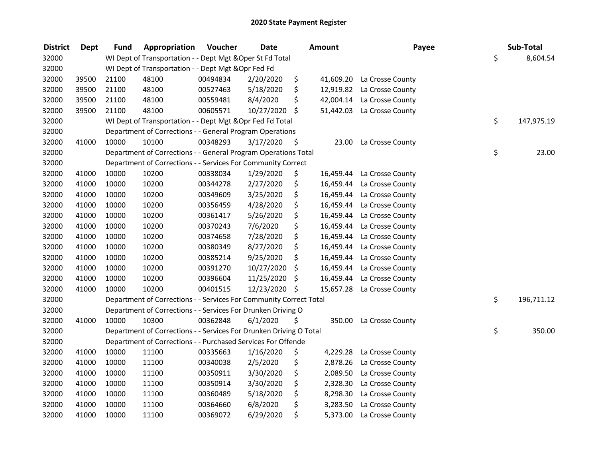| <b>District</b> | <b>Dept</b> | <b>Fund</b> | Appropriation                                                      | Voucher  | <b>Date</b>   | <b>Amount</b>   | Payee                      | Sub-Total        |
|-----------------|-------------|-------------|--------------------------------------------------------------------|----------|---------------|-----------------|----------------------------|------------------|
| 32000           |             |             | WI Dept of Transportation - - Dept Mgt & Oper St Fd Total          |          |               |                 |                            | \$<br>8,604.54   |
| 32000           |             |             | WI Dept of Transportation - - Dept Mgt & Opr Fed Fd                |          |               |                 |                            |                  |
| 32000           | 39500       | 21100       | 48100                                                              | 00494834 | 2/20/2020     | \$              | 41,609.20 La Crosse County |                  |
| 32000           | 39500       | 21100       | 48100                                                              | 00527463 | 5/18/2020     | \$              | 12,919.82 La Crosse County |                  |
| 32000           | 39500       | 21100       | 48100                                                              | 00559481 | 8/4/2020      | \$              | 42,004.14 La Crosse County |                  |
| 32000           | 39500       | 21100       | 48100                                                              | 00605571 | 10/27/2020    | \$              | 51,442.03 La Crosse County |                  |
| 32000           |             |             | WI Dept of Transportation - - Dept Mgt & Opr Fed Fd Total          |          |               |                 |                            | \$<br>147,975.19 |
| 32000           |             |             | Department of Corrections - - General Program Operations           |          |               |                 |                            |                  |
| 32000           | 41000       | 10000       | 10100                                                              | 00348293 | 3/17/2020     | \$<br>23.00     | La Crosse County           |                  |
| 32000           |             |             | Department of Corrections - - General Program Operations Total     |          |               |                 |                            | \$<br>23.00      |
| 32000           |             |             | Department of Corrections - - Services For Community Correct       |          |               |                 |                            |                  |
| 32000           | 41000       | 10000       | 10200                                                              | 00338034 | 1/29/2020     | \$<br>16,459.44 | La Crosse County           |                  |
| 32000           | 41000       | 10000       | 10200                                                              | 00344278 | 2/27/2020     | \$<br>16,459.44 | La Crosse County           |                  |
| 32000           | 41000       | 10000       | 10200                                                              | 00349609 | 3/25/2020     | \$<br>16,459.44 | La Crosse County           |                  |
| 32000           | 41000       | 10000       | 10200                                                              | 00356459 | 4/28/2020     | \$<br>16,459.44 | La Crosse County           |                  |
| 32000           | 41000       | 10000       | 10200                                                              | 00361417 | 5/26/2020     | \$<br>16,459.44 | La Crosse County           |                  |
| 32000           | 41000       | 10000       | 10200                                                              | 00370243 | 7/6/2020      | \$<br>16,459.44 | La Crosse County           |                  |
| 32000           | 41000       | 10000       | 10200                                                              | 00374658 | 7/28/2020     | \$<br>16,459.44 | La Crosse County           |                  |
| 32000           | 41000       | 10000       | 10200                                                              | 00380349 | 8/27/2020     | \$<br>16,459.44 | La Crosse County           |                  |
| 32000           | 41000       | 10000       | 10200                                                              | 00385214 | 9/25/2020     | \$<br>16,459.44 | La Crosse County           |                  |
| 32000           | 41000       | 10000       | 10200                                                              | 00391270 | 10/27/2020    | \$<br>16,459.44 | La Crosse County           |                  |
| 32000           | 41000       | 10000       | 10200                                                              | 00396604 | 11/25/2020    | \$<br>16,459.44 | La Crosse County           |                  |
| 32000           | 41000       | 10000       | 10200                                                              | 00401515 | 12/23/2020 \$ | 15,657.28       | La Crosse County           |                  |
| 32000           |             |             | Department of Corrections - - Services For Community Correct Total |          |               |                 |                            | \$<br>196,711.12 |
| 32000           |             |             | Department of Corrections - - Services For Drunken Driving O       |          |               |                 |                            |                  |
| 32000           | 41000       | 10000       | 10300                                                              | 00362848 | 6/1/2020      | \$<br>350.00    | La Crosse County           |                  |
| 32000           |             |             | Department of Corrections - - Services For Drunken Driving O Total |          |               |                 |                            | \$<br>350.00     |
| 32000           |             |             | Department of Corrections - - Purchased Services For Offende       |          |               |                 |                            |                  |
| 32000           | 41000       | 10000       | 11100                                                              | 00335663 | 1/16/2020     | \$<br>4,229.28  | La Crosse County           |                  |
| 32000           | 41000       | 10000       | 11100                                                              | 00340038 | 2/5/2020      | \$<br>2,878.26  | La Crosse County           |                  |
| 32000           | 41000       | 10000       | 11100                                                              | 00350911 | 3/30/2020     | \$<br>2,089.50  | La Crosse County           |                  |
| 32000           | 41000       | 10000       | 11100                                                              | 00350914 | 3/30/2020     | \$<br>2,328.30  | La Crosse County           |                  |
| 32000           | 41000       | 10000       | 11100                                                              | 00360489 | 5/18/2020     | \$<br>8,298.30  | La Crosse County           |                  |
| 32000           | 41000       | 10000       | 11100                                                              | 00364660 | 6/8/2020      | \$<br>3,283.50  | La Crosse County           |                  |
| 32000           | 41000       | 10000       | 11100                                                              | 00369072 | 6/29/2020     | \$<br>5,373.00  | La Crosse County           |                  |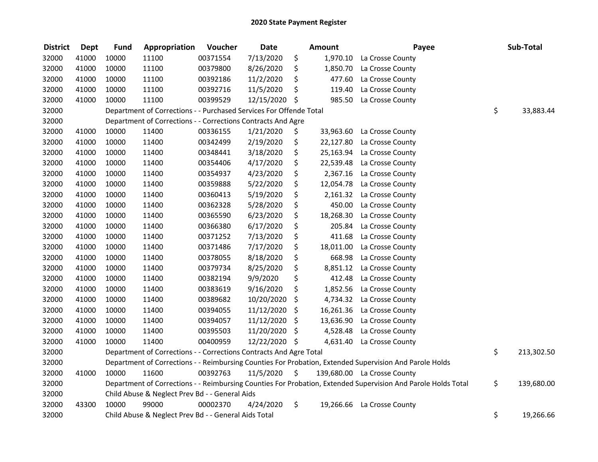| <b>District</b> | <b>Dept</b> | <b>Fund</b> | Appropriation                                                      | Voucher  | <b>Date</b>   |                     | <b>Amount</b> | Payee                                                                                                         | Sub-Total        |
|-----------------|-------------|-------------|--------------------------------------------------------------------|----------|---------------|---------------------|---------------|---------------------------------------------------------------------------------------------------------------|------------------|
| 32000           | 41000       | 10000       | 11100                                                              | 00371554 | 7/13/2020     | \$                  | 1,970.10      | La Crosse County                                                                                              |                  |
| 32000           | 41000       | 10000       | 11100                                                              | 00379800 | 8/26/2020     | \$                  | 1,850.70      | La Crosse County                                                                                              |                  |
| 32000           | 41000       | 10000       | 11100                                                              | 00392186 | 11/2/2020     | \$                  | 477.60        | La Crosse County                                                                                              |                  |
| 32000           | 41000       | 10000       | 11100                                                              | 00392716 | 11/5/2020     | \$                  | 119.40        | La Crosse County                                                                                              |                  |
| 32000           | 41000       | 10000       | 11100                                                              | 00399529 | 12/15/2020 \$ |                     | 985.50        | La Crosse County                                                                                              |                  |
| 32000           |             |             | Department of Corrections - - Purchased Services For Offende Total |          |               |                     |               |                                                                                                               | \$<br>33,883.44  |
| 32000           |             |             | Department of Corrections - - Corrections Contracts And Agre       |          |               |                     |               |                                                                                                               |                  |
| 32000           | 41000       | 10000       | 11400                                                              | 00336155 | 1/21/2020     | \$                  | 33,963.60     | La Crosse County                                                                                              |                  |
| 32000           | 41000       | 10000       | 11400                                                              | 00342499 | 2/19/2020     | \$                  | 22,127.80     | La Crosse County                                                                                              |                  |
| 32000           | 41000       | 10000       | 11400                                                              | 00348441 | 3/18/2020     | \$                  |               | 25,163.94 La Crosse County                                                                                    |                  |
| 32000           | 41000       | 10000       | 11400                                                              | 00354406 | 4/17/2020     | \$                  | 22,539.48     | La Crosse County                                                                                              |                  |
| 32000           | 41000       | 10000       | 11400                                                              | 00354937 | 4/23/2020     | \$                  | 2,367.16      | La Crosse County                                                                                              |                  |
| 32000           | 41000       | 10000       | 11400                                                              | 00359888 | 5/22/2020     | \$                  | 12,054.78     | La Crosse County                                                                                              |                  |
| 32000           | 41000       | 10000       | 11400                                                              | 00360413 | 5/19/2020     | \$                  | 2,161.32      | La Crosse County                                                                                              |                  |
| 32000           | 41000       | 10000       | 11400                                                              | 00362328 | 5/28/2020     | \$                  | 450.00        | La Crosse County                                                                                              |                  |
| 32000           | 41000       | 10000       | 11400                                                              | 00365590 | 6/23/2020     | \$                  | 18,268.30     | La Crosse County                                                                                              |                  |
| 32000           | 41000       | 10000       | 11400                                                              | 00366380 | 6/17/2020     | \$                  | 205.84        | La Crosse County                                                                                              |                  |
| 32000           | 41000       | 10000       | 11400                                                              | 00371252 | 7/13/2020     | \$                  | 411.68        | La Crosse County                                                                                              |                  |
| 32000           | 41000       | 10000       | 11400                                                              | 00371486 | 7/17/2020     | \$                  | 18,011.00     | La Crosse County                                                                                              |                  |
| 32000           | 41000       | 10000       | 11400                                                              | 00378055 | 8/18/2020     | \$                  | 668.98        | La Crosse County                                                                                              |                  |
| 32000           | 41000       | 10000       | 11400                                                              | 00379734 | 8/25/2020     | \$                  | 8,851.12      | La Crosse County                                                                                              |                  |
| 32000           | 41000       | 10000       | 11400                                                              | 00382194 | 9/9/2020      | \$                  | 412.48        | La Crosse County                                                                                              |                  |
| 32000           | 41000       | 10000       | 11400                                                              | 00383619 | 9/16/2020     | \$                  | 1,852.56      | La Crosse County                                                                                              |                  |
| 32000           | 41000       | 10000       | 11400                                                              | 00389682 | 10/20/2020    | \$                  | 4,734.32      | La Crosse County                                                                                              |                  |
| 32000           | 41000       | 10000       | 11400                                                              | 00394055 | 11/12/2020    | \$                  | 16,261.36     | La Crosse County                                                                                              |                  |
| 32000           | 41000       | 10000       | 11400                                                              | 00394057 | 11/12/2020    | \$                  | 13,636.90     | La Crosse County                                                                                              |                  |
| 32000           | 41000       | 10000       | 11400                                                              | 00395503 | 11/20/2020 \$ |                     | 4,528.48      | La Crosse County                                                                                              |                  |
| 32000           | 41000       | 10000       | 11400                                                              | 00400959 | 12/22/2020 \$ |                     | 4,631.40      | La Crosse County                                                                                              |                  |
| 32000           |             |             | Department of Corrections - - Corrections Contracts And Agre Total |          |               |                     |               |                                                                                                               | \$<br>213,302.50 |
| 32000           |             |             |                                                                    |          |               |                     |               | Department of Corrections - - Reimbursing Counties For Probation, Extended Supervision And Parole Holds       |                  |
| 32000           | 41000       | 10000       | 11600                                                              | 00392763 | 11/5/2020     | $\ddot{\mathsf{s}}$ |               | 139,680.00 La Crosse County                                                                                   |                  |
| 32000           |             |             |                                                                    |          |               |                     |               | Department of Corrections - - Reimbursing Counties For Probation, Extended Supervision And Parole Holds Total | \$<br>139,680.00 |
| 32000           |             |             | Child Abuse & Neglect Prev Bd - - General Aids                     |          |               |                     |               |                                                                                                               |                  |
| 32000           | 43300       | 10000       | 99000                                                              | 00002370 | 4/24/2020     | \$                  | 19,266.66     | La Crosse County                                                                                              |                  |
| 32000           |             |             | Child Abuse & Neglect Prev Bd - - General Aids Total               |          |               |                     |               |                                                                                                               | \$<br>19,266.66  |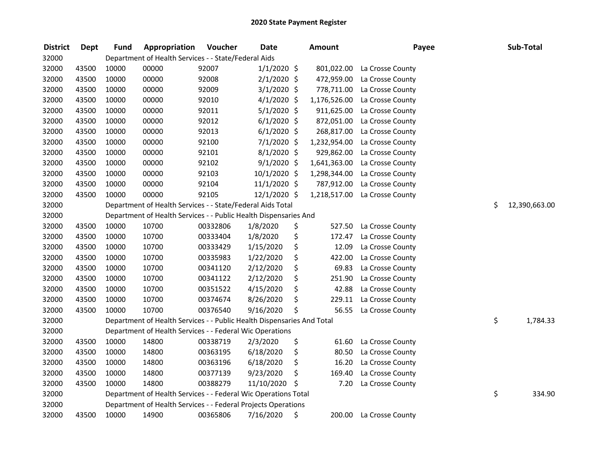| <b>District</b> | <b>Dept</b> | <b>Fund</b> | Appropriation                                                          | Voucher  | <b>Date</b>    | <b>Amount</b> | Payee            | Sub-Total           |
|-----------------|-------------|-------------|------------------------------------------------------------------------|----------|----------------|---------------|------------------|---------------------|
| 32000           |             |             | Department of Health Services - - State/Federal Aids                   |          |                |               |                  |                     |
| 32000           | 43500       | 10000       | 00000                                                                  | 92007    | $1/1/2020$ \$  | 801,022.00    | La Crosse County |                     |
| 32000           | 43500       | 10000       | 00000                                                                  | 92008    | $2/1/2020$ \$  | 472,959.00    | La Crosse County |                     |
| 32000           | 43500       | 10000       | 00000                                                                  | 92009    | $3/1/2020$ \$  | 778,711.00    | La Crosse County |                     |
| 32000           | 43500       | 10000       | 00000                                                                  | 92010    | $4/1/2020$ \$  | 1,176,526.00  | La Crosse County |                     |
| 32000           | 43500       | 10000       | 00000                                                                  | 92011    | $5/1/2020$ \$  | 911,625.00    | La Crosse County |                     |
| 32000           | 43500       | 10000       | 00000                                                                  | 92012    | $6/1/2020$ \$  | 872,051.00    | La Crosse County |                     |
| 32000           | 43500       | 10000       | 00000                                                                  | 92013    | $6/1/2020$ \$  | 268,817.00    | La Crosse County |                     |
| 32000           | 43500       | 10000       | 00000                                                                  | 92100    | $7/1/2020$ \$  | 1,232,954.00  | La Crosse County |                     |
| 32000           | 43500       | 10000       | 00000                                                                  | 92101    | $8/1/2020$ \$  | 929,862.00    | La Crosse County |                     |
| 32000           | 43500       | 10000       | 00000                                                                  | 92102    | $9/1/2020$ \$  | 1,641,363.00  | La Crosse County |                     |
| 32000           | 43500       | 10000       | 00000                                                                  | 92103    | 10/1/2020 \$   | 1,298,344.00  | La Crosse County |                     |
| 32000           | 43500       | 10000       | 00000                                                                  | 92104    | $11/1/2020$ \$ | 787,912.00    | La Crosse County |                     |
| 32000           | 43500       | 10000       | 00000                                                                  | 92105    | 12/1/2020 \$   | 1,218,517.00  | La Crosse County |                     |
| 32000           |             |             | Department of Health Services - - State/Federal Aids Total             |          |                |               |                  | \$<br>12,390,663.00 |
| 32000           |             |             | Department of Health Services - - Public Health Dispensaries And       |          |                |               |                  |                     |
| 32000           | 43500       | 10000       | 10700                                                                  | 00332806 | 1/8/2020       | \$<br>527.50  | La Crosse County |                     |
| 32000           | 43500       | 10000       | 10700                                                                  | 00333404 | 1/8/2020       | \$<br>172.47  | La Crosse County |                     |
| 32000           | 43500       | 10000       | 10700                                                                  | 00333429 | 1/15/2020      | \$<br>12.09   | La Crosse County |                     |
| 32000           | 43500       | 10000       | 10700                                                                  | 00335983 | 1/22/2020      | \$<br>422.00  | La Crosse County |                     |
| 32000           | 43500       | 10000       | 10700                                                                  | 00341120 | 2/12/2020      | \$<br>69.83   | La Crosse County |                     |
| 32000           | 43500       | 10000       | 10700                                                                  | 00341122 | 2/12/2020      | \$<br>251.90  | La Crosse County |                     |
| 32000           | 43500       | 10000       | 10700                                                                  | 00351522 | 4/15/2020      | \$<br>42.88   | La Crosse County |                     |
| 32000           | 43500       | 10000       | 10700                                                                  | 00374674 | 8/26/2020      | \$<br>229.11  | La Crosse County |                     |
| 32000           | 43500       | 10000       | 10700                                                                  | 00376540 | 9/16/2020      | \$<br>56.55   | La Crosse County |                     |
| 32000           |             |             | Department of Health Services - - Public Health Dispensaries And Total |          |                |               |                  | \$<br>1,784.33      |
| 32000           |             |             | Department of Health Services - - Federal Wic Operations               |          |                |               |                  |                     |
| 32000           | 43500       | 10000       | 14800                                                                  | 00338719 | 2/3/2020       | \$<br>61.60   | La Crosse County |                     |
| 32000           | 43500       | 10000       | 14800                                                                  | 00363195 | 6/18/2020      | \$<br>80.50   | La Crosse County |                     |
| 32000           | 43500       | 10000       | 14800                                                                  | 00363196 | 6/18/2020      | \$<br>16.20   | La Crosse County |                     |
| 32000           | 43500       | 10000       | 14800                                                                  | 00377139 | 9/23/2020      | \$<br>169.40  | La Crosse County |                     |
| 32000           | 43500       | 10000       | 14800                                                                  | 00388279 | 11/10/2020     | \$<br>7.20    | La Crosse County |                     |
| 32000           |             |             | Department of Health Services - - Federal Wic Operations Total         |          |                |               |                  | \$<br>334.90        |
| 32000           |             |             | Department of Health Services - - Federal Projects Operations          |          |                |               |                  |                     |
| 32000           | 43500       | 10000       | 14900                                                                  | 00365806 | 7/16/2020      | \$<br>200.00  | La Crosse County |                     |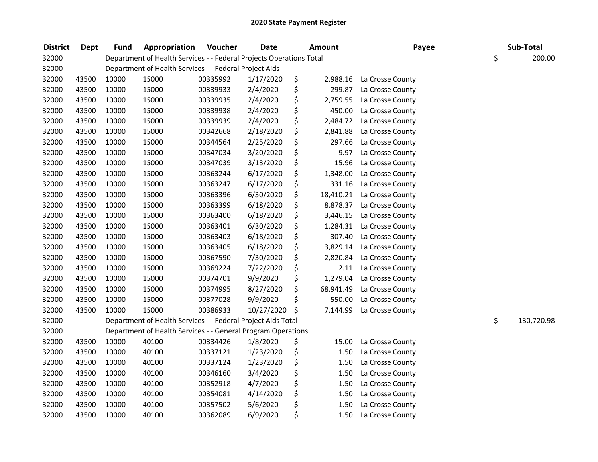| <b>District</b> | <b>Dept</b> | <b>Fund</b> | Appropriation                                                       | Voucher  | <b>Date</b> | Amount          | Payee            | Sub-Total        |
|-----------------|-------------|-------------|---------------------------------------------------------------------|----------|-------------|-----------------|------------------|------------------|
| 32000           |             |             | Department of Health Services - - Federal Projects Operations Total |          |             |                 |                  | \$<br>200.00     |
| 32000           |             |             | Department of Health Services - - Federal Project Aids              |          |             |                 |                  |                  |
| 32000           | 43500       | 10000       | 15000                                                               | 00335992 | 1/17/2020   | \$<br>2,988.16  | La Crosse County |                  |
| 32000           | 43500       | 10000       | 15000                                                               | 00339933 | 2/4/2020    | \$<br>299.87    | La Crosse County |                  |
| 32000           | 43500       | 10000       | 15000                                                               | 00339935 | 2/4/2020    | \$<br>2,759.55  | La Crosse County |                  |
| 32000           | 43500       | 10000       | 15000                                                               | 00339938 | 2/4/2020    | \$<br>450.00    | La Crosse County |                  |
| 32000           | 43500       | 10000       | 15000                                                               | 00339939 | 2/4/2020    | \$<br>2,484.72  | La Crosse County |                  |
| 32000           | 43500       | 10000       | 15000                                                               | 00342668 | 2/18/2020   | \$<br>2,841.88  | La Crosse County |                  |
| 32000           | 43500       | 10000       | 15000                                                               | 00344564 | 2/25/2020   | \$<br>297.66    | La Crosse County |                  |
| 32000           | 43500       | 10000       | 15000                                                               | 00347034 | 3/20/2020   | \$<br>9.97      | La Crosse County |                  |
| 32000           | 43500       | 10000       | 15000                                                               | 00347039 | 3/13/2020   | \$<br>15.96     | La Crosse County |                  |
| 32000           | 43500       | 10000       | 15000                                                               | 00363244 | 6/17/2020   | \$<br>1,348.00  | La Crosse County |                  |
| 32000           | 43500       | 10000       | 15000                                                               | 00363247 | 6/17/2020   | \$<br>331.16    | La Crosse County |                  |
| 32000           | 43500       | 10000       | 15000                                                               | 00363396 | 6/30/2020   | \$<br>18,410.21 | La Crosse County |                  |
| 32000           | 43500       | 10000       | 15000                                                               | 00363399 | 6/18/2020   | \$<br>8,878.37  | La Crosse County |                  |
| 32000           | 43500       | 10000       | 15000                                                               | 00363400 | 6/18/2020   | \$<br>3,446.15  | La Crosse County |                  |
| 32000           | 43500       | 10000       | 15000                                                               | 00363401 | 6/30/2020   | \$<br>1,284.31  | La Crosse County |                  |
| 32000           | 43500       | 10000       | 15000                                                               | 00363403 | 6/18/2020   | \$<br>307.40    | La Crosse County |                  |
| 32000           | 43500       | 10000       | 15000                                                               | 00363405 | 6/18/2020   | \$<br>3,829.14  | La Crosse County |                  |
| 32000           | 43500       | 10000       | 15000                                                               | 00367590 | 7/30/2020   | \$<br>2,820.84  | La Crosse County |                  |
| 32000           | 43500       | 10000       | 15000                                                               | 00369224 | 7/22/2020   | \$<br>2.11      | La Crosse County |                  |
| 32000           | 43500       | 10000       | 15000                                                               | 00374701 | 9/9/2020    | \$<br>1,279.04  | La Crosse County |                  |
| 32000           | 43500       | 10000       | 15000                                                               | 00374995 | 8/27/2020   | \$<br>68,941.49 | La Crosse County |                  |
| 32000           | 43500       | 10000       | 15000                                                               | 00377028 | 9/9/2020    | \$<br>550.00    | La Crosse County |                  |
| 32000           | 43500       | 10000       | 15000                                                               | 00386933 | 10/27/2020  | \$<br>7,144.99  | La Crosse County |                  |
| 32000           |             |             | Department of Health Services - - Federal Project Aids Total        |          |             |                 |                  | \$<br>130,720.98 |
| 32000           |             |             | Department of Health Services - - General Program Operations        |          |             |                 |                  |                  |
| 32000           | 43500       | 10000       | 40100                                                               | 00334426 | 1/8/2020    | \$<br>15.00     | La Crosse County |                  |
| 32000           | 43500       | 10000       | 40100                                                               | 00337121 | 1/23/2020   | \$<br>1.50      | La Crosse County |                  |
| 32000           | 43500       | 10000       | 40100                                                               | 00337124 | 1/23/2020   | \$<br>1.50      | La Crosse County |                  |
| 32000           | 43500       | 10000       | 40100                                                               | 00346160 | 3/4/2020    | \$<br>1.50      | La Crosse County |                  |
| 32000           | 43500       | 10000       | 40100                                                               | 00352918 | 4/7/2020    | \$<br>1.50      | La Crosse County |                  |
| 32000           | 43500       | 10000       | 40100                                                               | 00354081 | 4/14/2020   | \$<br>1.50      | La Crosse County |                  |
| 32000           | 43500       | 10000       | 40100                                                               | 00357502 | 5/6/2020    | \$<br>1.50      | La Crosse County |                  |
| 32000           | 43500       | 10000       | 40100                                                               | 00362089 | 6/9/2020    | \$<br>1.50      | La Crosse County |                  |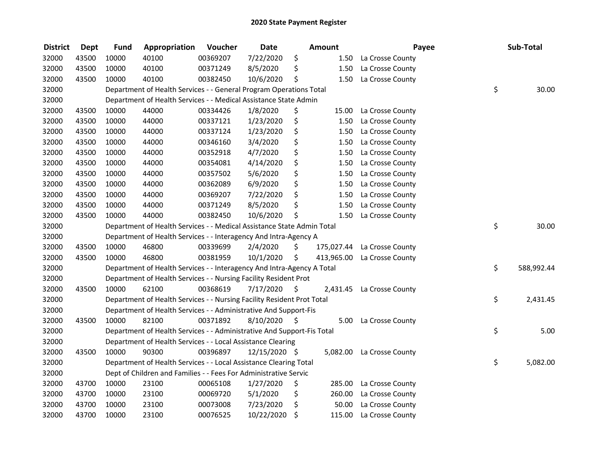| <b>District</b> | Dept  | <b>Fund</b> | Appropriation                                                          | Voucher  | <b>Date</b>   |      | <b>Amount</b> | Payee            | Sub-Total        |
|-----------------|-------|-------------|------------------------------------------------------------------------|----------|---------------|------|---------------|------------------|------------------|
| 32000           | 43500 | 10000       | 40100                                                                  | 00369207 | 7/22/2020     | \$   | 1.50          | La Crosse County |                  |
| 32000           | 43500 | 10000       | 40100                                                                  | 00371249 | 8/5/2020      | \$   | 1.50          | La Crosse County |                  |
| 32000           | 43500 | 10000       | 40100                                                                  | 00382450 | 10/6/2020     | \$   | 1.50          | La Crosse County |                  |
| 32000           |       |             | Department of Health Services - - General Program Operations Total     |          |               |      |               |                  | \$<br>30.00      |
| 32000           |       |             | Department of Health Services - - Medical Assistance State Admin       |          |               |      |               |                  |                  |
| 32000           | 43500 | 10000       | 44000                                                                  | 00334426 | 1/8/2020      | \$   | 15.00         | La Crosse County |                  |
| 32000           | 43500 | 10000       | 44000                                                                  | 00337121 | 1/23/2020     | \$   | 1.50          | La Crosse County |                  |
| 32000           | 43500 | 10000       | 44000                                                                  | 00337124 | 1/23/2020     | \$   | 1.50          | La Crosse County |                  |
| 32000           | 43500 | 10000       | 44000                                                                  | 00346160 | 3/4/2020      | \$   | 1.50          | La Crosse County |                  |
| 32000           | 43500 | 10000       | 44000                                                                  | 00352918 | 4/7/2020      | \$   | 1.50          | La Crosse County |                  |
| 32000           | 43500 | 10000       | 44000                                                                  | 00354081 | 4/14/2020     | \$   | 1.50          | La Crosse County |                  |
| 32000           | 43500 | 10000       | 44000                                                                  | 00357502 | 5/6/2020      | \$   | 1.50          | La Crosse County |                  |
| 32000           | 43500 | 10000       | 44000                                                                  | 00362089 | 6/9/2020      | \$   | 1.50          | La Crosse County |                  |
| 32000           | 43500 | 10000       | 44000                                                                  | 00369207 | 7/22/2020     | \$   | 1.50          | La Crosse County |                  |
| 32000           | 43500 | 10000       | 44000                                                                  | 00371249 | 8/5/2020      | \$   | 1.50          | La Crosse County |                  |
| 32000           | 43500 | 10000       | 44000                                                                  | 00382450 | 10/6/2020     | \$   | 1.50          | La Crosse County |                  |
| 32000           |       |             | Department of Health Services - - Medical Assistance State Admin Total |          |               |      |               |                  | \$<br>30.00      |
| 32000           |       |             | Department of Health Services - - Interagency And Intra-Agency A       |          |               |      |               |                  |                  |
| 32000           | 43500 | 10000       | 46800                                                                  | 00339699 | 2/4/2020      | \$   | 175,027.44    | La Crosse County |                  |
| 32000           | 43500 | 10000       | 46800                                                                  | 00381959 | 10/1/2020     | \$   | 413,965.00    | La Crosse County |                  |
| 32000           |       |             | Department of Health Services - - Interagency And Intra-Agency A Total |          |               |      |               |                  | \$<br>588,992.44 |
| 32000           |       |             | Department of Health Services - - Nursing Facility Resident Prot       |          |               |      |               |                  |                  |
| 32000           | 43500 | 10000       | 62100                                                                  | 00368619 | 7/17/2020     | - \$ | 2,431.45      | La Crosse County |                  |
| 32000           |       |             | Department of Health Services - - Nursing Facility Resident Prot Total |          |               |      |               |                  | \$<br>2,431.45   |
| 32000           |       |             | Department of Health Services - - Administrative And Support-Fis       |          |               |      |               |                  |                  |
| 32000           | 43500 | 10000       | 82100                                                                  | 00371892 | 8/10/2020     | - \$ | 5.00          | La Crosse County |                  |
| 32000           |       |             | Department of Health Services - - Administrative And Support-Fis Total |          |               |      |               |                  | \$<br>5.00       |
| 32000           |       |             | Department of Health Services - - Local Assistance Clearing            |          |               |      |               |                  |                  |
| 32000           | 43500 | 10000       | 90300                                                                  | 00396897 | 12/15/2020 \$ |      | 5,082.00      | La Crosse County |                  |
| 32000           |       |             | Department of Health Services - - Local Assistance Clearing Total      |          |               |      |               |                  | \$<br>5,082.00   |
| 32000           |       |             | Dept of Children and Families - - Fees For Administrative Servic       |          |               |      |               |                  |                  |
| 32000           | 43700 | 10000       | 23100                                                                  | 00065108 | 1/27/2020     | \$   | 285.00        | La Crosse County |                  |
| 32000           | 43700 | 10000       | 23100                                                                  | 00069720 | 5/1/2020      | \$   | 260.00        | La Crosse County |                  |
| 32000           | 43700 | 10000       | 23100                                                                  | 00073008 | 7/23/2020     | \$   | 50.00         | La Crosse County |                  |
| 32000           | 43700 | 10000       | 23100                                                                  | 00076525 | 10/22/2020    | \$   | 115.00        | La Crosse County |                  |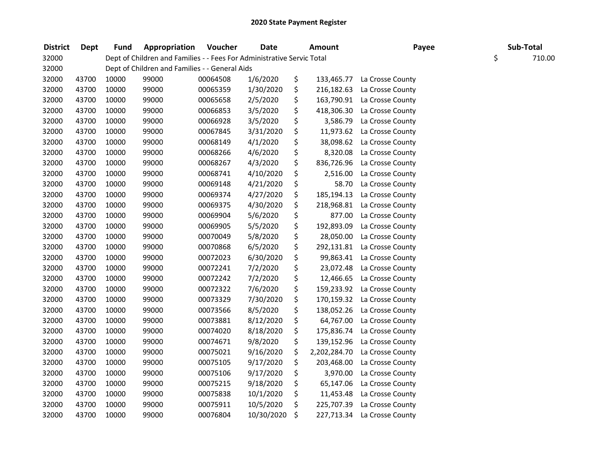| <b>District</b> | <b>Dept</b> | <b>Fund</b> | Appropriation                                                          | Voucher  | <b>Date</b> | Amount             | Payee            | Sub-Total    |
|-----------------|-------------|-------------|------------------------------------------------------------------------|----------|-------------|--------------------|------------------|--------------|
| 32000           |             |             | Dept of Children and Families - - Fees For Administrative Servic Total |          |             |                    |                  | \$<br>710.00 |
| 32000           |             |             | Dept of Children and Families - - General Aids                         |          |             |                    |                  |              |
| 32000           | 43700       | 10000       | 99000                                                                  | 00064508 | 1/6/2020    | \$<br>133,465.77   | La Crosse County |              |
| 32000           | 43700       | 10000       | 99000                                                                  | 00065359 | 1/30/2020   | \$<br>216,182.63   | La Crosse County |              |
| 32000           | 43700       | 10000       | 99000                                                                  | 00065658 | 2/5/2020    | \$<br>163,790.91   | La Crosse County |              |
| 32000           | 43700       | 10000       | 99000                                                                  | 00066853 | 3/5/2020    | \$<br>418,306.30   | La Crosse County |              |
| 32000           | 43700       | 10000       | 99000                                                                  | 00066928 | 3/5/2020    | \$<br>3,586.79     | La Crosse County |              |
| 32000           | 43700       | 10000       | 99000                                                                  | 00067845 | 3/31/2020   | \$<br>11,973.62    | La Crosse County |              |
| 32000           | 43700       | 10000       | 99000                                                                  | 00068149 | 4/1/2020    | \$<br>38,098.62    | La Crosse County |              |
| 32000           | 43700       | 10000       | 99000                                                                  | 00068266 | 4/6/2020    | \$<br>8,320.08     | La Crosse County |              |
| 32000           | 43700       | 10000       | 99000                                                                  | 00068267 | 4/3/2020    | \$<br>836,726.96   | La Crosse County |              |
| 32000           | 43700       | 10000       | 99000                                                                  | 00068741 | 4/10/2020   | \$<br>2,516.00     | La Crosse County |              |
| 32000           | 43700       | 10000       | 99000                                                                  | 00069148 | 4/21/2020   | \$<br>58.70        | La Crosse County |              |
| 32000           | 43700       | 10000       | 99000                                                                  | 00069374 | 4/27/2020   | \$<br>185,194.13   | La Crosse County |              |
| 32000           | 43700       | 10000       | 99000                                                                  | 00069375 | 4/30/2020   | \$<br>218,968.81   | La Crosse County |              |
| 32000           | 43700       | 10000       | 99000                                                                  | 00069904 | 5/6/2020    | \$<br>877.00       | La Crosse County |              |
| 32000           | 43700       | 10000       | 99000                                                                  | 00069905 | 5/5/2020    | \$<br>192,893.09   | La Crosse County |              |
| 32000           | 43700       | 10000       | 99000                                                                  | 00070049 | 5/8/2020    | \$<br>28,050.00    | La Crosse County |              |
| 32000           | 43700       | 10000       | 99000                                                                  | 00070868 | 6/5/2020    | \$<br>292,131.81   | La Crosse County |              |
| 32000           | 43700       | 10000       | 99000                                                                  | 00072023 | 6/30/2020   | \$<br>99,863.41    | La Crosse County |              |
| 32000           | 43700       | 10000       | 99000                                                                  | 00072241 | 7/2/2020    | \$<br>23,072.48    | La Crosse County |              |
| 32000           | 43700       | 10000       | 99000                                                                  | 00072242 | 7/2/2020    | \$<br>12,466.65    | La Crosse County |              |
| 32000           | 43700       | 10000       | 99000                                                                  | 00072322 | 7/6/2020    | \$<br>159,233.92   | La Crosse County |              |
| 32000           | 43700       | 10000       | 99000                                                                  | 00073329 | 7/30/2020   | \$<br>170,159.32   | La Crosse County |              |
| 32000           | 43700       | 10000       | 99000                                                                  | 00073566 | 8/5/2020    | \$<br>138,052.26   | La Crosse County |              |
| 32000           | 43700       | 10000       | 99000                                                                  | 00073881 | 8/12/2020   | \$<br>64,767.00    | La Crosse County |              |
| 32000           | 43700       | 10000       | 99000                                                                  | 00074020 | 8/18/2020   | \$<br>175,836.74   | La Crosse County |              |
| 32000           | 43700       | 10000       | 99000                                                                  | 00074671 | 9/8/2020    | \$<br>139,152.96   | La Crosse County |              |
| 32000           | 43700       | 10000       | 99000                                                                  | 00075021 | 9/16/2020   | \$<br>2,202,284.70 | La Crosse County |              |
| 32000           | 43700       | 10000       | 99000                                                                  | 00075105 | 9/17/2020   | \$<br>203,468.00   | La Crosse County |              |
| 32000           | 43700       | 10000       | 99000                                                                  | 00075106 | 9/17/2020   | \$<br>3,970.00     | La Crosse County |              |
| 32000           | 43700       | 10000       | 99000                                                                  | 00075215 | 9/18/2020   | \$<br>65,147.06    | La Crosse County |              |
| 32000           | 43700       | 10000       | 99000                                                                  | 00075838 | 10/1/2020   | \$<br>11,453.48    | La Crosse County |              |
| 32000           | 43700       | 10000       | 99000                                                                  | 00075911 | 10/5/2020   | \$<br>225,707.39   | La Crosse County |              |
| 32000           | 43700       | 10000       | 99000                                                                  | 00076804 | 10/30/2020  | \$<br>227,713.34   | La Crosse County |              |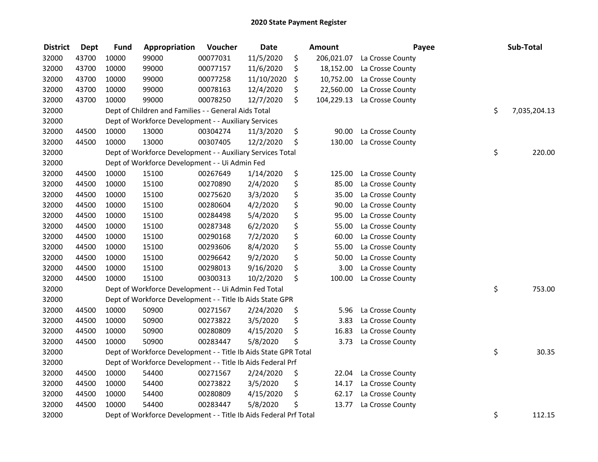| <b>District</b> | <b>Dept</b> | <b>Fund</b> | Appropriation                                                     | Voucher  | <b>Date</b> | <b>Amount</b>    | Payee            | Sub-Total          |
|-----------------|-------------|-------------|-------------------------------------------------------------------|----------|-------------|------------------|------------------|--------------------|
| 32000           | 43700       | 10000       | 99000                                                             | 00077031 | 11/5/2020   | \$<br>206,021.07 | La Crosse County |                    |
| 32000           | 43700       | 10000       | 99000                                                             | 00077157 | 11/6/2020   | \$<br>18,152.00  | La Crosse County |                    |
| 32000           | 43700       | 10000       | 99000                                                             | 00077258 | 11/10/2020  | \$<br>10,752.00  | La Crosse County |                    |
| 32000           | 43700       | 10000       | 99000                                                             | 00078163 | 12/4/2020   | \$<br>22,560.00  | La Crosse County |                    |
| 32000           | 43700       | 10000       | 99000                                                             | 00078250 | 12/7/2020   | \$<br>104,229.13 | La Crosse County |                    |
| 32000           |             |             | Dept of Children and Families - - General Aids Total              |          |             |                  |                  | \$<br>7,035,204.13 |
| 32000           |             |             | Dept of Workforce Development - - Auxiliary Services              |          |             |                  |                  |                    |
| 32000           | 44500       | 10000       | 13000                                                             | 00304274 | 11/3/2020   | \$<br>90.00      | La Crosse County |                    |
| 32000           | 44500       | 10000       | 13000                                                             | 00307405 | 12/2/2020   | \$<br>130.00     | La Crosse County |                    |
| 32000           |             |             | Dept of Workforce Development - - Auxiliary Services Total        |          |             |                  |                  | \$<br>220.00       |
| 32000           |             |             | Dept of Workforce Development - - Ui Admin Fed                    |          |             |                  |                  |                    |
| 32000           | 44500       | 10000       | 15100                                                             | 00267649 | 1/14/2020   | \$<br>125.00     | La Crosse County |                    |
| 32000           | 44500       | 10000       | 15100                                                             | 00270890 | 2/4/2020    | \$<br>85.00      | La Crosse County |                    |
| 32000           | 44500       | 10000       | 15100                                                             | 00275620 | 3/3/2020    | \$<br>35.00      | La Crosse County |                    |
| 32000           | 44500       | 10000       | 15100                                                             | 00280604 | 4/2/2020    | \$<br>90.00      | La Crosse County |                    |
| 32000           | 44500       | 10000       | 15100                                                             | 00284498 | 5/4/2020    | \$<br>95.00      | La Crosse County |                    |
| 32000           | 44500       | 10000       | 15100                                                             | 00287348 | 6/2/2020    | \$<br>55.00      | La Crosse County |                    |
| 32000           | 44500       | 10000       | 15100                                                             | 00290168 | 7/2/2020    | \$<br>60.00      | La Crosse County |                    |
| 32000           | 44500       | 10000       | 15100                                                             | 00293606 | 8/4/2020    | \$<br>55.00      | La Crosse County |                    |
| 32000           | 44500       | 10000       | 15100                                                             | 00296642 | 9/2/2020    | \$<br>50.00      | La Crosse County |                    |
| 32000           | 44500       | 10000       | 15100                                                             | 00298013 | 9/16/2020   | \$<br>3.00       | La Crosse County |                    |
| 32000           | 44500       | 10000       | 15100                                                             | 00300313 | 10/2/2020   | \$<br>100.00     | La Crosse County |                    |
| 32000           |             |             | Dept of Workforce Development - - Ui Admin Fed Total              |          |             |                  |                  | \$<br>753.00       |
| 32000           |             |             | Dept of Workforce Development - - Title Ib Aids State GPR         |          |             |                  |                  |                    |
| 32000           | 44500       | 10000       | 50900                                                             | 00271567 | 2/24/2020   | \$<br>5.96       | La Crosse County |                    |
| 32000           | 44500       | 10000       | 50900                                                             | 00273822 | 3/5/2020    | \$<br>3.83       | La Crosse County |                    |
| 32000           | 44500       | 10000       | 50900                                                             | 00280809 | 4/15/2020   | \$<br>16.83      | La Crosse County |                    |
| 32000           | 44500       | 10000       | 50900                                                             | 00283447 | 5/8/2020    | \$<br>3.73       | La Crosse County |                    |
| 32000           |             |             | Dept of Workforce Development - - Title Ib Aids State GPR Total   |          |             |                  |                  | \$<br>30.35        |
| 32000           |             |             | Dept of Workforce Development - - Title Ib Aids Federal Prf       |          |             |                  |                  |                    |
| 32000           | 44500       | 10000       | 54400                                                             | 00271567 | 2/24/2020   | \$<br>22.04      | La Crosse County |                    |
| 32000           | 44500       | 10000       | 54400                                                             | 00273822 | 3/5/2020    | \$<br>14.17      | La Crosse County |                    |
| 32000           | 44500       | 10000       | 54400                                                             | 00280809 | 4/15/2020   | \$<br>62.17      | La Crosse County |                    |
| 32000           | 44500       | 10000       | 54400                                                             | 00283447 | 5/8/2020    | \$<br>13.77      | La Crosse County |                    |
| 32000           |             |             | Dept of Workforce Development - - Title Ib Aids Federal Prf Total |          |             |                  |                  | \$<br>112.15       |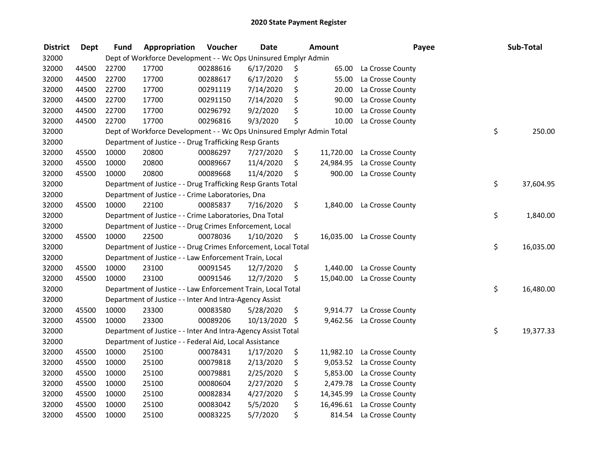| <b>District</b> | <b>Dept</b> | <b>Fund</b> | Appropriation                                                         | Voucher  | <b>Date</b> |     | Amount    | Payee            | Sub-Total       |
|-----------------|-------------|-------------|-----------------------------------------------------------------------|----------|-------------|-----|-----------|------------------|-----------------|
| 32000           |             |             | Dept of Workforce Development - - Wc Ops Uninsured Emplyr Admin       |          |             |     |           |                  |                 |
| 32000           | 44500       | 22700       | 17700                                                                 | 00288616 | 6/17/2020   | \$. | 65.00     | La Crosse County |                 |
| 32000           | 44500       | 22700       | 17700                                                                 | 00288617 | 6/17/2020   | \$  | 55.00     | La Crosse County |                 |
| 32000           | 44500       | 22700       | 17700                                                                 | 00291119 | 7/14/2020   | \$  | 20.00     | La Crosse County |                 |
| 32000           | 44500       | 22700       | 17700                                                                 | 00291150 | 7/14/2020   | \$  | 90.00     | La Crosse County |                 |
| 32000           | 44500       | 22700       | 17700                                                                 | 00296792 | 9/2/2020    | \$  | 10.00     | La Crosse County |                 |
| 32000           | 44500       | 22700       | 17700                                                                 | 00296816 | 9/3/2020    | \$  | 10.00     | La Crosse County |                 |
| 32000           |             |             | Dept of Workforce Development - - Wc Ops Uninsured Emplyr Admin Total |          |             |     |           |                  | \$<br>250.00    |
| 32000           |             |             | Department of Justice - - Drug Trafficking Resp Grants                |          |             |     |           |                  |                 |
| 32000           | 45500       | 10000       | 20800                                                                 | 00086297 | 7/27/2020   | \$  | 11,720.00 | La Crosse County |                 |
| 32000           | 45500       | 10000       | 20800                                                                 | 00089667 | 11/4/2020   | \$  | 24,984.95 | La Crosse County |                 |
| 32000           | 45500       | 10000       | 20800                                                                 | 00089668 | 11/4/2020   | \$  | 900.00    | La Crosse County |                 |
| 32000           |             |             | Department of Justice - - Drug Trafficking Resp Grants Total          |          |             |     |           |                  | \$<br>37,604.95 |
| 32000           |             |             | Department of Justice - - Crime Laboratories, Dna                     |          |             |     |           |                  |                 |
| 32000           | 45500       | 10000       | 22100                                                                 | 00085837 | 7/16/2020   | \$  | 1,840.00  | La Crosse County |                 |
| 32000           |             |             | Department of Justice - - Crime Laboratories, Dna Total               |          |             |     |           |                  | \$<br>1,840.00  |
| 32000           |             |             | Department of Justice - - Drug Crimes Enforcement, Local              |          |             |     |           |                  |                 |
| 32000           | 45500       | 10000       | 22500                                                                 | 00078036 | 1/10/2020   | \$  | 16,035.00 | La Crosse County |                 |
| 32000           |             |             | Department of Justice - - Drug Crimes Enforcement, Local Total        |          |             |     |           |                  | \$<br>16,035.00 |
| 32000           |             |             | Department of Justice - - Law Enforcement Train, Local                |          |             |     |           |                  |                 |
| 32000           | 45500       | 10000       | 23100                                                                 | 00091545 | 12/7/2020   | \$  | 1,440.00  | La Crosse County |                 |
| 32000           | 45500       | 10000       | 23100                                                                 | 00091546 | 12/7/2020   | \$  | 15,040.00 | La Crosse County |                 |
| 32000           |             |             | Department of Justice - - Law Enforcement Train, Local Total          |          |             |     |           |                  | \$<br>16,480.00 |
| 32000           |             |             | Department of Justice - - Inter And Intra-Agency Assist               |          |             |     |           |                  |                 |
| 32000           | 45500       | 10000       | 23300                                                                 | 00083580 | 5/28/2020   | \$  | 9,914.77  | La Crosse County |                 |
| 32000           | 45500       | 10000       | 23300                                                                 | 00089206 | 10/13/2020  | \$  | 9,462.56  | La Crosse County |                 |
| 32000           |             |             | Department of Justice - - Inter And Intra-Agency Assist Total         |          |             |     |           |                  | \$<br>19,377.33 |
| 32000           |             |             | Department of Justice - - Federal Aid, Local Assistance               |          |             |     |           |                  |                 |
| 32000           | 45500       | 10000       | 25100                                                                 | 00078431 | 1/17/2020   | \$  | 11,982.10 | La Crosse County |                 |
| 32000           | 45500       | 10000       | 25100                                                                 | 00079818 | 2/13/2020   | \$  | 9,053.52  | La Crosse County |                 |
| 32000           | 45500       | 10000       | 25100                                                                 | 00079881 | 2/25/2020   | \$  | 5,853.00  | La Crosse County |                 |
| 32000           | 45500       | 10000       | 25100                                                                 | 00080604 | 2/27/2020   | \$  | 2,479.78  | La Crosse County |                 |
| 32000           | 45500       | 10000       | 25100                                                                 | 00082834 | 4/27/2020   | \$  | 14,345.99 | La Crosse County |                 |
| 32000           | 45500       | 10000       | 25100                                                                 | 00083042 | 5/5/2020    | \$  | 16,496.61 | La Crosse County |                 |
| 32000           | 45500       | 10000       | 25100                                                                 | 00083225 | 5/7/2020    | \$  | 814.54    | La Crosse County |                 |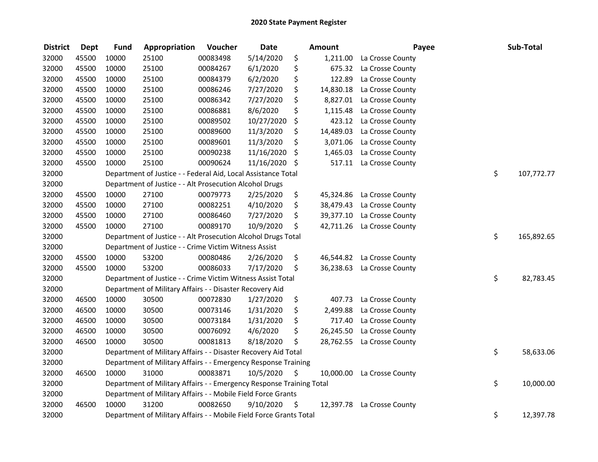| <b>District</b> | <b>Dept</b> | <b>Fund</b> | Appropriation                                                        | Voucher  | <b>Date</b> | <b>Amount</b>   | Payee                      | Sub-Total        |
|-----------------|-------------|-------------|----------------------------------------------------------------------|----------|-------------|-----------------|----------------------------|------------------|
| 32000           | 45500       | 10000       | 25100                                                                | 00083498 | 5/14/2020   | \$<br>1,211.00  | La Crosse County           |                  |
| 32000           | 45500       | 10000       | 25100                                                                | 00084267 | 6/1/2020    | \$<br>675.32    | La Crosse County           |                  |
| 32000           | 45500       | 10000       | 25100                                                                | 00084379 | 6/2/2020    | \$<br>122.89    | La Crosse County           |                  |
| 32000           | 45500       | 10000       | 25100                                                                | 00086246 | 7/27/2020   | \$<br>14,830.18 | La Crosse County           |                  |
| 32000           | 45500       | 10000       | 25100                                                                | 00086342 | 7/27/2020   | \$<br>8,827.01  | La Crosse County           |                  |
| 32000           | 45500       | 10000       | 25100                                                                | 00086881 | 8/6/2020    | \$<br>1,115.48  | La Crosse County           |                  |
| 32000           | 45500       | 10000       | 25100                                                                | 00089502 | 10/27/2020  | \$<br>423.12    | La Crosse County           |                  |
| 32000           | 45500       | 10000       | 25100                                                                | 00089600 | 11/3/2020   | \$<br>14,489.03 | La Crosse County           |                  |
| 32000           | 45500       | 10000       | 25100                                                                | 00089601 | 11/3/2020   | \$<br>3,071.06  | La Crosse County           |                  |
| 32000           | 45500       | 10000       | 25100                                                                | 00090238 | 11/16/2020  | \$<br>1,465.03  | La Crosse County           |                  |
| 32000           | 45500       | 10000       | 25100                                                                | 00090624 | 11/16/2020  | \$<br>517.11    | La Crosse County           |                  |
| 32000           |             |             | Department of Justice - - Federal Aid, Local Assistance Total        |          |             |                 |                            | \$<br>107,772.77 |
| 32000           |             |             | Department of Justice - - Alt Prosecution Alcohol Drugs              |          |             |                 |                            |                  |
| 32000           | 45500       | 10000       | 27100                                                                | 00079773 | 2/25/2020   | \$<br>45,324.86 | La Crosse County           |                  |
| 32000           | 45500       | 10000       | 27100                                                                | 00082251 | 4/10/2020   | \$<br>38,479.43 | La Crosse County           |                  |
| 32000           | 45500       | 10000       | 27100                                                                | 00086460 | 7/27/2020   | \$<br>39,377.10 | La Crosse County           |                  |
| 32000           | 45500       | 10000       | 27100                                                                | 00089170 | 10/9/2020   | \$<br>42,711.26 | La Crosse County           |                  |
| 32000           |             |             | Department of Justice - - Alt Prosecution Alcohol Drugs Total        |          |             |                 |                            | \$<br>165,892.65 |
| 32000           |             |             | Department of Justice - - Crime Victim Witness Assist                |          |             |                 |                            |                  |
| 32000           | 45500       | 10000       | 53200                                                                | 00080486 | 2/26/2020   | \$<br>46,544.82 | La Crosse County           |                  |
| 32000           | 45500       | 10000       | 53200                                                                | 00086033 | 7/17/2020   | \$              | 36,238.63 La Crosse County |                  |
| 32000           |             |             | Department of Justice - - Crime Victim Witness Assist Total          |          |             |                 |                            | \$<br>82,783.45  |
| 32000           |             |             | Department of Military Affairs - - Disaster Recovery Aid             |          |             |                 |                            |                  |
| 32000           | 46500       | 10000       | 30500                                                                | 00072830 | 1/27/2020   | \$<br>407.73    | La Crosse County           |                  |
| 32000           | 46500       | 10000       | 30500                                                                | 00073146 | 1/31/2020   | \$<br>2,499.88  | La Crosse County           |                  |
| 32000           | 46500       | 10000       | 30500                                                                | 00073184 | 1/31/2020   | \$<br>717.40    | La Crosse County           |                  |
| 32000           | 46500       | 10000       | 30500                                                                | 00076092 | 4/6/2020    | \$<br>26,245.50 | La Crosse County           |                  |
| 32000           | 46500       | 10000       | 30500                                                                | 00081813 | 8/18/2020   | \$<br>28,762.55 | La Crosse County           |                  |
| 32000           |             |             | Department of Military Affairs - - Disaster Recovery Aid Total       |          |             |                 |                            | \$<br>58,633.06  |
| 32000           |             |             | Department of Military Affairs - - Emergency Response Training       |          |             |                 |                            |                  |
| 32000           | 46500       | 10000       | 31000                                                                | 00083871 | 10/5/2020   | \$<br>10,000.00 | La Crosse County           |                  |
| 32000           |             |             | Department of Military Affairs - - Emergency Response Training Total |          |             |                 |                            | \$<br>10,000.00  |
| 32000           |             |             | Department of Military Affairs - - Mobile Field Force Grants         |          |             |                 |                            |                  |
| 32000           | 46500       | 10000       | 31200                                                                | 00082650 | 9/10/2020   | \$<br>12,397.78 | La Crosse County           |                  |
| 32000           |             |             | Department of Military Affairs - - Mobile Field Force Grants Total   |          |             |                 |                            | \$<br>12,397.78  |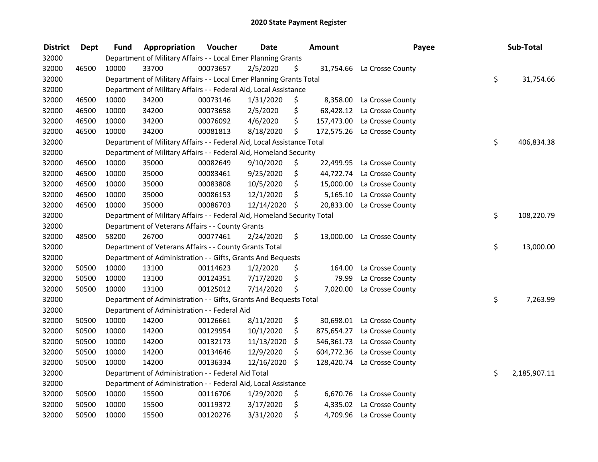| <b>District</b> | <b>Dept</b> | Fund  | Appropriation                                                           | Voucher  | <b>Date</b> |     | Amount     | Payee                       | Sub-Total          |
|-----------------|-------------|-------|-------------------------------------------------------------------------|----------|-------------|-----|------------|-----------------------------|--------------------|
| 32000           |             |       | Department of Military Affairs - - Local Emer Planning Grants           |          |             |     |            |                             |                    |
| 32000           | 46500       | 10000 | 33700                                                                   | 00073657 | 2/5/2020    | \$. |            | 31,754.66 La Crosse County  |                    |
| 32000           |             |       | Department of Military Affairs - - Local Emer Planning Grants Total     |          |             |     |            |                             | \$<br>31,754.66    |
| 32000           |             |       | Department of Military Affairs - - Federal Aid, Local Assistance        |          |             |     |            |                             |                    |
| 32000           | 46500       | 10000 | 34200                                                                   | 00073146 | 1/31/2020   | \$  | 8,358.00   | La Crosse County            |                    |
| 32000           | 46500       | 10000 | 34200                                                                   | 00073658 | 2/5/2020    | \$  | 68,428.12  | La Crosse County            |                    |
| 32000           | 46500       | 10000 | 34200                                                                   | 00076092 | 4/6/2020    | \$  |            | 157,473.00 La Crosse County |                    |
| 32000           | 46500       | 10000 | 34200                                                                   | 00081813 | 8/18/2020   | \$  |            | 172,575.26 La Crosse County |                    |
| 32000           |             |       | Department of Military Affairs - - Federal Aid, Local Assistance Total  |          |             |     |            |                             | \$<br>406,834.38   |
| 32000           |             |       | Department of Military Affairs - - Federal Aid, Homeland Security       |          |             |     |            |                             |                    |
| 32000           | 46500       | 10000 | 35000                                                                   | 00082649 | 9/10/2020   | \$  | 22,499.95  | La Crosse County            |                    |
| 32000           | 46500       | 10000 | 35000                                                                   | 00083461 | 9/25/2020   | \$  | 44,722.74  | La Crosse County            |                    |
| 32000           | 46500       | 10000 | 35000                                                                   | 00083808 | 10/5/2020   | \$  | 15,000.00  | La Crosse County            |                    |
| 32000           | 46500       | 10000 | 35000                                                                   | 00086153 | 12/1/2020   | \$  | 5,165.10   | La Crosse County            |                    |
| 32000           | 46500       | 10000 | 35000                                                                   | 00086703 | 12/14/2020  | \$  | 20,833.00  | La Crosse County            |                    |
| 32000           |             |       | Department of Military Affairs - - Federal Aid, Homeland Security Total |          |             |     |            |                             | \$<br>108,220.79   |
| 32000           |             |       | Department of Veterans Affairs - - County Grants                        |          |             |     |            |                             |                    |
| 32000           | 48500       | 58200 | 26700                                                                   | 00077461 | 2/24/2020   | \$  | 13,000.00  | La Crosse County            |                    |
| 32000           |             |       | Department of Veterans Affairs - - County Grants Total                  |          |             |     |            |                             | \$<br>13,000.00    |
| 32000           |             |       | Department of Administration - - Gifts, Grants And Bequests             |          |             |     |            |                             |                    |
| 32000           | 50500       | 10000 | 13100                                                                   | 00114623 | 1/2/2020    | \$  | 164.00     | La Crosse County            |                    |
| 32000           | 50500       | 10000 | 13100                                                                   | 00124351 | 7/17/2020   | \$  | 79.99      | La Crosse County            |                    |
| 32000           | 50500       | 10000 | 13100                                                                   | 00125012 | 7/14/2020   | \$  | 7,020.00   | La Crosse County            |                    |
| 32000           |             |       | Department of Administration - - Gifts, Grants And Bequests Total       |          |             |     |            |                             | \$<br>7,263.99     |
| 32000           |             |       | Department of Administration - - Federal Aid                            |          |             |     |            |                             |                    |
| 32000           | 50500       | 10000 | 14200                                                                   | 00126661 | 8/11/2020   | \$  |            | 30,698.01 La Crosse County  |                    |
| 32000           | 50500       | 10000 | 14200                                                                   | 00129954 | 10/1/2020   | \$  |            | 875,654.27 La Crosse County |                    |
| 32000           | 50500       | 10000 | 14200                                                                   | 00132173 | 11/13/2020  | \$  |            | 546,361.73 La Crosse County |                    |
| 32000           | 50500       | 10000 | 14200                                                                   | 00134646 | 12/9/2020   | \$  | 604,772.36 | La Crosse County            |                    |
| 32000           | 50500       | 10000 | 14200                                                                   | 00136334 | 12/16/2020  | \$  | 128,420.74 | La Crosse County            |                    |
| 32000           |             |       | Department of Administration - - Federal Aid Total                      |          |             |     |            |                             | \$<br>2,185,907.11 |
| 32000           |             |       | Department of Administration - - Federal Aid, Local Assistance          |          |             |     |            |                             |                    |
| 32000           | 50500       | 10000 | 15500                                                                   | 00116706 | 1/29/2020   | \$  | 6,670.76   | La Crosse County            |                    |
| 32000           | 50500       | 10000 | 15500                                                                   | 00119372 | 3/17/2020   | \$  |            | 4,335.02 La Crosse County   |                    |
| 32000           | 50500       | 10000 | 15500                                                                   | 00120276 | 3/31/2020   | \$  |            | 4,709.96 La Crosse County   |                    |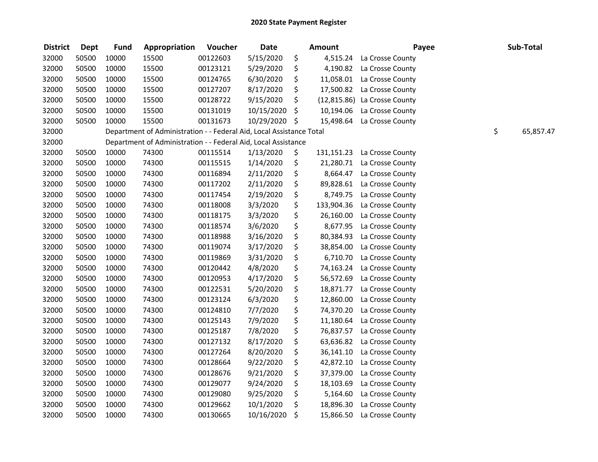| <b>District</b> | <b>Dept</b> | <b>Fund</b> | Appropriation                                                        | Voucher  | <b>Date</b>   |     | Amount     | Payee                        | Sub-Total       |
|-----------------|-------------|-------------|----------------------------------------------------------------------|----------|---------------|-----|------------|------------------------------|-----------------|
| 32000           | 50500       | 10000       | 15500                                                                | 00122603 | 5/15/2020     | \$  | 4,515.24   | La Crosse County             |                 |
| 32000           | 50500       | 10000       | 15500                                                                | 00123121 | 5/29/2020     | \$  | 4,190.82   | La Crosse County             |                 |
| 32000           | 50500       | 10000       | 15500                                                                | 00124765 | 6/30/2020     | \$  | 11,058.01  | La Crosse County             |                 |
| 32000           | 50500       | 10000       | 15500                                                                | 00127207 | 8/17/2020     | \$  | 17,500.82  | La Crosse County             |                 |
| 32000           | 50500       | 10000       | 15500                                                                | 00128722 | 9/15/2020     | \$  |            | (12,815.86) La Crosse County |                 |
| 32000           | 50500       | 10000       | 15500                                                                | 00131019 | 10/15/2020    | \$  | 10,194.06  | La Crosse County             |                 |
| 32000           | 50500       | 10000       | 15500                                                                | 00131673 | 10/29/2020 \$ |     | 15,498.64  | La Crosse County             |                 |
| 32000           |             |             | Department of Administration - - Federal Aid, Local Assistance Total |          |               |     |            |                              | \$<br>65,857.47 |
| 32000           |             |             | Department of Administration - - Federal Aid, Local Assistance       |          |               |     |            |                              |                 |
| 32000           | 50500       | 10000       | 74300                                                                | 00115514 | 1/13/2020     | \$, | 131,151.23 | La Crosse County             |                 |
| 32000           | 50500       | 10000       | 74300                                                                | 00115515 | 1/14/2020     | \$  | 21,280.71  | La Crosse County             |                 |
| 32000           | 50500       | 10000       | 74300                                                                | 00116894 | 2/11/2020     | \$  | 8,664.47   | La Crosse County             |                 |
| 32000           | 50500       | 10000       | 74300                                                                | 00117202 | 2/11/2020     | \$  | 89,828.61  | La Crosse County             |                 |
| 32000           | 50500       | 10000       | 74300                                                                | 00117454 | 2/19/2020     | \$  | 8,749.75   | La Crosse County             |                 |
| 32000           | 50500       | 10000       | 74300                                                                | 00118008 | 3/3/2020      | \$  | 133,904.36 | La Crosse County             |                 |
| 32000           | 50500       | 10000       | 74300                                                                | 00118175 | 3/3/2020      | \$  | 26,160.00  | La Crosse County             |                 |
| 32000           | 50500       | 10000       | 74300                                                                | 00118574 | 3/6/2020      | \$  | 8,677.95   | La Crosse County             |                 |
| 32000           | 50500       | 10000       | 74300                                                                | 00118988 | 3/16/2020     | \$  | 80,384.93  | La Crosse County             |                 |
| 32000           | 50500       | 10000       | 74300                                                                | 00119074 | 3/17/2020     | \$  | 38,854.00  | La Crosse County             |                 |
| 32000           | 50500       | 10000       | 74300                                                                | 00119869 | 3/31/2020     | \$  | 6,710.70   | La Crosse County             |                 |
| 32000           | 50500       | 10000       | 74300                                                                | 00120442 | 4/8/2020      | \$  | 74,163.24  | La Crosse County             |                 |
| 32000           | 50500       | 10000       | 74300                                                                | 00120953 | 4/17/2020     | \$  | 56,572.69  | La Crosse County             |                 |
| 32000           | 50500       | 10000       | 74300                                                                | 00122531 | 5/20/2020     | \$  | 18,871.77  | La Crosse County             |                 |
| 32000           | 50500       | 10000       | 74300                                                                | 00123124 | 6/3/2020      | \$  | 12,860.00  | La Crosse County             |                 |
| 32000           | 50500       | 10000       | 74300                                                                | 00124810 | 7/7/2020      | \$  | 74,370.20  | La Crosse County             |                 |
| 32000           | 50500       | 10000       | 74300                                                                | 00125143 | 7/9/2020      | \$  | 11,180.64  | La Crosse County             |                 |
| 32000           | 50500       | 10000       | 74300                                                                | 00125187 | 7/8/2020      | \$  | 76,837.57  | La Crosse County             |                 |
| 32000           | 50500       | 10000       | 74300                                                                | 00127132 | 8/17/2020     | \$  | 63,636.82  | La Crosse County             |                 |
| 32000           | 50500       | 10000       | 74300                                                                | 00127264 | 8/20/2020     | \$  | 36,141.10  | La Crosse County             |                 |
| 32000           | 50500       | 10000       | 74300                                                                | 00128664 | 9/22/2020     | \$  | 42,872.10  | La Crosse County             |                 |
| 32000           | 50500       | 10000       | 74300                                                                | 00128676 | 9/21/2020     | \$  | 37,379.00  | La Crosse County             |                 |
| 32000           | 50500       | 10000       | 74300                                                                | 00129077 | 9/24/2020     | \$  | 18,103.69  | La Crosse County             |                 |
| 32000           | 50500       | 10000       | 74300                                                                | 00129080 | 9/25/2020     | \$  | 5,164.60   | La Crosse County             |                 |
| 32000           | 50500       | 10000       | 74300                                                                | 00129662 | 10/1/2020     | \$  | 18,896.30  | La Crosse County             |                 |
| 32000           | 50500       | 10000       | 74300                                                                | 00130665 | 10/16/2020    | \$  | 15,866.50  | La Crosse County             |                 |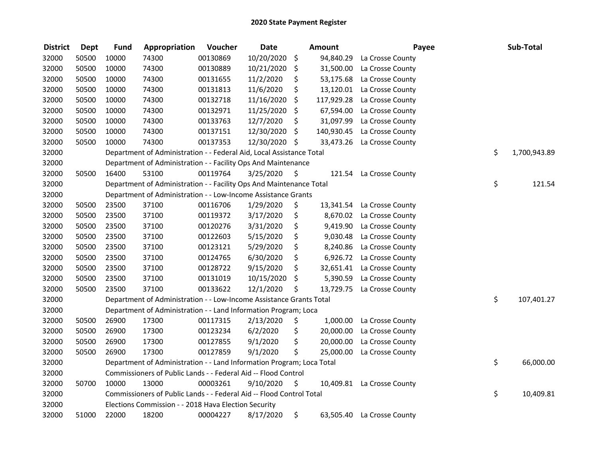| <b>District</b> | <b>Dept</b> | <b>Fund</b> | Appropriation                                                         | Voucher  | <b>Date</b>   | <b>Amount</b>    | Payee                      | Sub-Total          |
|-----------------|-------------|-------------|-----------------------------------------------------------------------|----------|---------------|------------------|----------------------------|--------------------|
| 32000           | 50500       | 10000       | 74300                                                                 | 00130869 | 10/20/2020    | \$<br>94,840.29  | La Crosse County           |                    |
| 32000           | 50500       | 10000       | 74300                                                                 | 00130889 | 10/21/2020    | \$<br>31,500.00  | La Crosse County           |                    |
| 32000           | 50500       | 10000       | 74300                                                                 | 00131655 | 11/2/2020     | \$<br>53,175.68  | La Crosse County           |                    |
| 32000           | 50500       | 10000       | 74300                                                                 | 00131813 | 11/6/2020     | \$               | 13,120.01 La Crosse County |                    |
| 32000           | 50500       | 10000       | 74300                                                                 | 00132718 | 11/16/2020    | \$<br>117,929.28 | La Crosse County           |                    |
| 32000           | 50500       | 10000       | 74300                                                                 | 00132971 | 11/25/2020    | \$<br>67,594.00  | La Crosse County           |                    |
| 32000           | 50500       | 10000       | 74300                                                                 | 00133763 | 12/7/2020     | \$<br>31,097.99  | La Crosse County           |                    |
| 32000           | 50500       | 10000       | 74300                                                                 | 00137151 | 12/30/2020    | \$<br>140,930.45 | La Crosse County           |                    |
| 32000           | 50500       | 10000       | 74300                                                                 | 00137353 | 12/30/2020 \$ |                  | 33,473.26 La Crosse County |                    |
| 32000           |             |             | Department of Administration - - Federal Aid, Local Assistance Total  |          |               |                  |                            | \$<br>1,700,943.89 |
| 32000           |             |             | Department of Administration - - Facility Ops And Maintenance         |          |               |                  |                            |                    |
| 32000           | 50500       | 16400       | 53100                                                                 | 00119764 | 3/25/2020     | \$<br>121.54     | La Crosse County           |                    |
| 32000           |             |             | Department of Administration - - Facility Ops And Maintenance Total   |          |               |                  |                            | \$<br>121.54       |
| 32000           |             |             | Department of Administration - - Low-Income Assistance Grants         |          |               |                  |                            |                    |
| 32000           | 50500       | 23500       | 37100                                                                 | 00116706 | 1/29/2020     | \$               | 13,341.54 La Crosse County |                    |
| 32000           | 50500       | 23500       | 37100                                                                 | 00119372 | 3/17/2020     | \$               | 8,670.02 La Crosse County  |                    |
| 32000           | 50500       | 23500       | 37100                                                                 | 00120276 | 3/31/2020     | \$<br>9,419.90   | La Crosse County           |                    |
| 32000           | 50500       | 23500       | 37100                                                                 | 00122603 | 5/15/2020     | \$<br>9,030.48   | La Crosse County           |                    |
| 32000           | 50500       | 23500       | 37100                                                                 | 00123121 | 5/29/2020     | \$<br>8,240.86   | La Crosse County           |                    |
| 32000           | 50500       | 23500       | 37100                                                                 | 00124765 | 6/30/2020     | \$               | 6,926.72 La Crosse County  |                    |
| 32000           | 50500       | 23500       | 37100                                                                 | 00128722 | 9/15/2020     | \$               | 32,651.41 La Crosse County |                    |
| 32000           | 50500       | 23500       | 37100                                                                 | 00131019 | 10/15/2020    | \$<br>5,390.59   | La Crosse County           |                    |
| 32000           | 50500       | 23500       | 37100                                                                 | 00133622 | 12/1/2020     | \$               | 13,729.75 La Crosse County |                    |
| 32000           |             |             | Department of Administration - - Low-Income Assistance Grants Total   |          |               |                  |                            | \$<br>107,401.27   |
| 32000           |             |             | Department of Administration - - Land Information Program; Loca       |          |               |                  |                            |                    |
| 32000           | 50500       | 26900       | 17300                                                                 | 00117315 | 2/13/2020     | \$<br>1,000.00   | La Crosse County           |                    |
| 32000           | 50500       | 26900       | 17300                                                                 | 00123234 | 6/2/2020      | \$<br>20,000.00  | La Crosse County           |                    |
| 32000           | 50500       | 26900       | 17300                                                                 | 00127855 | 9/1/2020      | \$               | 20,000.00 La Crosse County |                    |
| 32000           | 50500       | 26900       | 17300                                                                 | 00127859 | 9/1/2020      | \$<br>25,000.00  | La Crosse County           |                    |
| 32000           |             |             | Department of Administration - - Land Information Program; Loca Total |          |               |                  |                            | \$<br>66,000.00    |
| 32000           |             |             | Commissioners of Public Lands - - Federal Aid -- Flood Control        |          |               |                  |                            |                    |
| 32000           | 50700       | 10000       | 13000                                                                 | 00003261 | 9/10/2020     | \$               | 10,409.81 La Crosse County |                    |
| 32000           |             |             | Commissioners of Public Lands - - Federal Aid -- Flood Control Total  |          |               |                  |                            | \$<br>10,409.81    |
| 32000           |             |             | Elections Commission - - 2018 Hava Election Security                  |          |               |                  |                            |                    |
| 32000           | 51000       | 22000       | 18200                                                                 | 00004227 | 8/17/2020     | \$               | 63,505.40 La Crosse County |                    |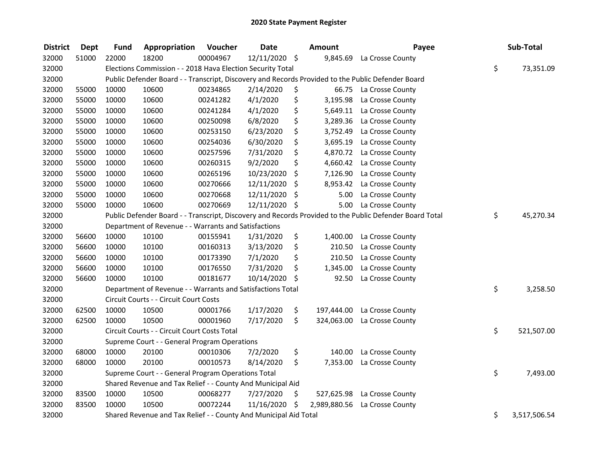| <b>District</b> | <b>Dept</b> | <b>Fund</b> | Appropriation                                                    | Voucher  | <b>Date</b>   | <b>Amount</b>      | Payee                                                                                                   | Sub-Total          |
|-----------------|-------------|-------------|------------------------------------------------------------------|----------|---------------|--------------------|---------------------------------------------------------------------------------------------------------|--------------------|
| 32000           | 51000       | 22000       | 18200                                                            | 00004967 | 12/11/2020 \$ | 9,845.69           | La Crosse County                                                                                        |                    |
| 32000           |             |             | Elections Commission - - 2018 Hava Election Security Total       |          |               |                    |                                                                                                         | \$<br>73,351.09    |
| 32000           |             |             |                                                                  |          |               |                    | Public Defender Board - - Transcript, Discovery and Records Provided to the Public Defender Board       |                    |
| 32000           | 55000       | 10000       | 10600                                                            | 00234865 | 2/14/2020     | \$                 | 66.75 La Crosse County                                                                                  |                    |
| 32000           | 55000       | 10000       | 10600                                                            | 00241282 | 4/1/2020      | \$<br>3,195.98     | La Crosse County                                                                                        |                    |
| 32000           | 55000       | 10000       | 10600                                                            | 00241284 | 4/1/2020      | \$<br>5,649.11     | La Crosse County                                                                                        |                    |
| 32000           | 55000       | 10000       | 10600                                                            | 00250098 | 6/8/2020      | \$<br>3,289.36     | La Crosse County                                                                                        |                    |
| 32000           | 55000       | 10000       | 10600                                                            | 00253150 | 6/23/2020     | \$<br>3,752.49     | La Crosse County                                                                                        |                    |
| 32000           | 55000       | 10000       | 10600                                                            | 00254036 | 6/30/2020     | \$<br>3,695.19     | La Crosse County                                                                                        |                    |
| 32000           | 55000       | 10000       | 10600                                                            | 00257596 | 7/31/2020     | \$                 | 4,870.72 La Crosse County                                                                               |                    |
| 32000           | 55000       | 10000       | 10600                                                            | 00260315 | 9/2/2020      | \$<br>4,660.42     | La Crosse County                                                                                        |                    |
| 32000           | 55000       | 10000       | 10600                                                            | 00265196 | 10/23/2020    | \$<br>7,126.90     | La Crosse County                                                                                        |                    |
| 32000           | 55000       | 10000       | 10600                                                            | 00270666 | 12/11/2020    | \$<br>8,953.42     | La Crosse County                                                                                        |                    |
| 32000           | 55000       | 10000       | 10600                                                            | 00270668 | 12/11/2020    | \$<br>5.00         | La Crosse County                                                                                        |                    |
| 32000           | 55000       | 10000       | 10600                                                            | 00270669 | 12/11/2020    | \$<br>5.00         | La Crosse County                                                                                        |                    |
| 32000           |             |             |                                                                  |          |               |                    | Public Defender Board - - Transcript, Discovery and Records Provided to the Public Defender Board Total | \$<br>45,270.34    |
| 32000           |             |             | Department of Revenue - - Warrants and Satisfactions             |          |               |                    |                                                                                                         |                    |
| 32000           | 56600       | 10000       | 10100                                                            | 00155941 | 1/31/2020     | \$<br>1,400.00     | La Crosse County                                                                                        |                    |
| 32000           | 56600       | 10000       | 10100                                                            | 00160313 | 3/13/2020     | \$<br>210.50       | La Crosse County                                                                                        |                    |
| 32000           | 56600       | 10000       | 10100                                                            | 00173390 | 7/1/2020      | \$<br>210.50       | La Crosse County                                                                                        |                    |
| 32000           | 56600       | 10000       | 10100                                                            | 00176550 | 7/31/2020     | \$<br>1,345.00     | La Crosse County                                                                                        |                    |
| 32000           | 56600       | 10000       | 10100                                                            | 00181677 | 10/14/2020    | \$<br>92.50        | La Crosse County                                                                                        |                    |
| 32000           |             |             | Department of Revenue - - Warrants and Satisfactions Total       |          |               |                    |                                                                                                         | \$<br>3,258.50     |
| 32000           |             |             | Circuit Courts - - Circuit Court Costs                           |          |               |                    |                                                                                                         |                    |
| 32000           | 62500       | 10000       | 10500                                                            | 00001766 | 1/17/2020     | \$<br>197,444.00   | La Crosse County                                                                                        |                    |
| 32000           | 62500       | 10000       | 10500                                                            | 00001960 | 7/17/2020     | \$<br>324,063.00   | La Crosse County                                                                                        |                    |
| 32000           |             |             | Circuit Courts - - Circuit Court Costs Total                     |          |               |                    |                                                                                                         | \$<br>521,507.00   |
| 32000           |             |             | Supreme Court - - General Program Operations                     |          |               |                    |                                                                                                         |                    |
| 32000           | 68000       | 10000       | 20100                                                            | 00010306 | 7/2/2020      | \$<br>140.00       | La Crosse County                                                                                        |                    |
| 32000           | 68000       | 10000       | 20100                                                            | 00010573 | 8/14/2020     | \$<br>7,353.00     | La Crosse County                                                                                        |                    |
| 32000           |             |             | Supreme Court - - General Program Operations Total               |          |               |                    |                                                                                                         | \$<br>7,493.00     |
| 32000           |             |             | Shared Revenue and Tax Relief - - County And Municipal Aid       |          |               |                    |                                                                                                         |                    |
| 32000           | 83500       | 10000       | 10500                                                            | 00068277 | 7/27/2020     | \$<br>527,625.98   | La Crosse County                                                                                        |                    |
| 32000           | 83500       | 10000       | 10500                                                            | 00072244 | 11/16/2020    | \$<br>2,989,880.56 | La Crosse County                                                                                        |                    |
| 32000           |             |             | Shared Revenue and Tax Relief - - County And Municipal Aid Total |          |               |                    |                                                                                                         | \$<br>3,517,506.54 |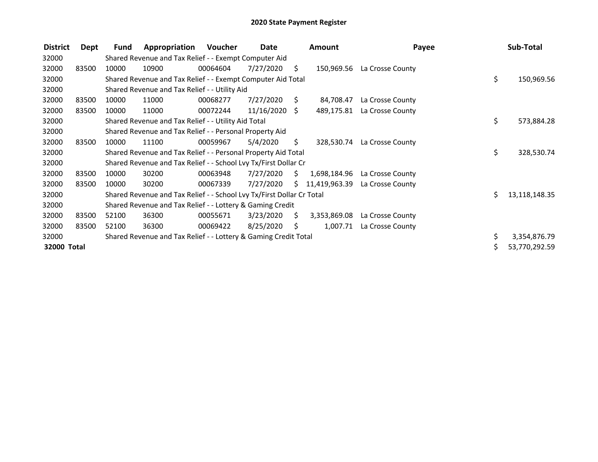| <b>District</b> | Dept  | Fund  | Appropriation                                                         | Voucher  | Date            |                | <b>Amount</b> | Payee            |    | Sub-Total     |
|-----------------|-------|-------|-----------------------------------------------------------------------|----------|-----------------|----------------|---------------|------------------|----|---------------|
| 32000           |       |       | Shared Revenue and Tax Relief - - Exempt Computer Aid                 |          |                 |                |               |                  |    |               |
| 32000           | 83500 | 10000 | 10900                                                                 | 00064604 | 7/27/2020       | S.             | 150,969.56    | La Crosse County |    |               |
| 32000           |       |       | Shared Revenue and Tax Relief - - Exempt Computer Aid Total           |          |                 |                |               |                  | \$ | 150,969.56    |
| 32000           |       |       | Shared Revenue and Tax Relief - - Utility Aid                         |          |                 |                |               |                  |    |               |
| 32000           | 83500 | 10000 | 11000                                                                 | 00068277 | 7/27/2020       | S.             | 84,708.47     | La Crosse County |    |               |
| 32000           | 83500 | 10000 | 11000                                                                 | 00072244 | $11/16/2020$ \$ |                | 489,175.81    | La Crosse County |    |               |
| 32000           |       |       | Shared Revenue and Tax Relief - - Utility Aid Total                   |          |                 |                |               |                  | \$ | 573,884.28    |
| 32000           |       |       | Shared Revenue and Tax Relief - - Personal Property Aid               |          |                 |                |               |                  |    |               |
| 32000           | 83500 | 10000 | 11100                                                                 | 00059967 | 5/4/2020        | S.             | 328,530.74    | La Crosse County |    |               |
| 32000           |       |       | Shared Revenue and Tax Relief - - Personal Property Aid Total         |          |                 |                |               |                  | \$ | 328,530.74    |
| 32000           |       |       | Shared Revenue and Tax Relief - - School Lvy Tx/First Dollar Cr       |          |                 |                |               |                  |    |               |
| 32000           | 83500 | 10000 | 30200                                                                 | 00063948 | 7/27/2020       | S.             | 1,698,184.96  | La Crosse County |    |               |
| 32000           | 83500 | 10000 | 30200                                                                 | 00067339 | 7/27/2020       | S.             | 11,419,963.39 | La Crosse County |    |               |
| 32000           |       |       | Shared Revenue and Tax Relief - - School Lvy Tx/First Dollar Cr Total |          |                 |                |               |                  | ς. | 13,118,148.35 |
| 32000           |       |       | Shared Revenue and Tax Relief - - Lottery & Gaming Credit             |          |                 |                |               |                  |    |               |
| 32000           | 83500 | 52100 | 36300                                                                 | 00055671 | 3/23/2020       | $\ddot{\zeta}$ | 3,353,869.08  | La Crosse County |    |               |
| 32000           | 83500 | 52100 | 36300                                                                 | 00069422 | 8/25/2020       | S.             | 1,007.71      | La Crosse County |    |               |
| 32000           |       |       | Shared Revenue and Tax Relief - - Lottery & Gaming Credit Total       |          |                 |                |               |                  | \$ | 3,354,876.79  |
| 32000 Total     |       |       |                                                                       |          |                 |                |               |                  |    | 53,770,292.59 |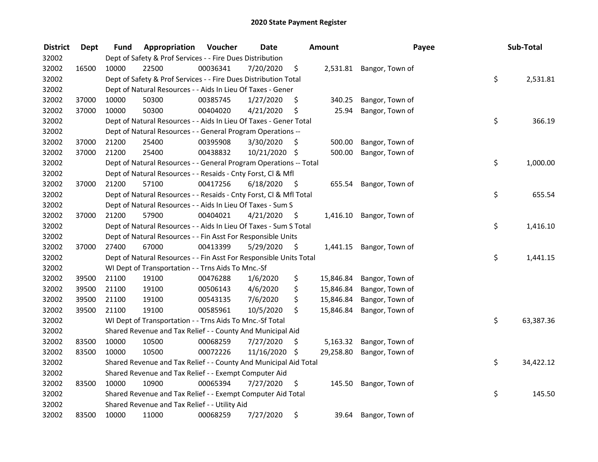| <b>District</b> | <b>Dept</b> | Fund  | Appropriation                                                      | Voucher  | <b>Date</b>   |      | <b>Amount</b> | Payee           | Sub-Total       |
|-----------------|-------------|-------|--------------------------------------------------------------------|----------|---------------|------|---------------|-----------------|-----------------|
| 32002           |             |       | Dept of Safety & Prof Services - - Fire Dues Distribution          |          |               |      |               |                 |                 |
| 32002           | 16500       | 10000 | 22500                                                              | 00036341 | 7/20/2020     | \$   | 2,531.81      | Bangor, Town of |                 |
| 32002           |             |       | Dept of Safety & Prof Services - - Fire Dues Distribution Total    |          |               |      |               |                 | \$<br>2,531.81  |
| 32002           |             |       | Dept of Natural Resources - - Aids In Lieu Of Taxes - Gener        |          |               |      |               |                 |                 |
| 32002           | 37000       | 10000 | 50300                                                              | 00385745 | 1/27/2020     | \$   | 340.25        | Bangor, Town of |                 |
| 32002           | 37000       | 10000 | 50300                                                              | 00404020 | 4/21/2020     | \$   | 25.94         | Bangor, Town of |                 |
| 32002           |             |       | Dept of Natural Resources - - Aids In Lieu Of Taxes - Gener Total  |          |               |      |               |                 | \$<br>366.19    |
| 32002           |             |       | Dept of Natural Resources - - General Program Operations --        |          |               |      |               |                 |                 |
| 32002           | 37000       | 21200 | 25400                                                              | 00395908 | 3/30/2020     | \$   | 500.00        | Bangor, Town of |                 |
| 32002           | 37000       | 21200 | 25400                                                              | 00438832 | 10/21/2020 \$ |      | 500.00        | Bangor, Town of |                 |
| 32002           |             |       | Dept of Natural Resources - - General Program Operations -- Total  |          |               |      |               |                 | \$<br>1,000.00  |
| 32002           |             |       | Dept of Natural Resources - - Resaids - Cnty Forst, CI & Mfl       |          |               |      |               |                 |                 |
| 32002           | 37000       | 21200 | 57100                                                              | 00417256 | 6/18/2020     | - \$ | 655.54        | Bangor, Town of |                 |
| 32002           |             |       | Dept of Natural Resources - - Resaids - Cnty Forst, Cl & Mfl Total |          |               |      |               |                 | \$<br>655.54    |
| 32002           |             |       | Dept of Natural Resources - - Aids In Lieu Of Taxes - Sum S        |          |               |      |               |                 |                 |
| 32002           | 37000       | 21200 | 57900                                                              | 00404021 | 4/21/2020     | \$   | 1,416.10      | Bangor, Town of |                 |
| 32002           |             |       | Dept of Natural Resources - - Aids In Lieu Of Taxes - Sum S Total  |          |               |      |               |                 | \$<br>1,416.10  |
| 32002           |             |       | Dept of Natural Resources - - Fin Asst For Responsible Units       |          |               |      |               |                 |                 |
| 32002           | 37000       | 27400 | 67000                                                              | 00413399 | 5/29/2020     | - \$ | 1,441.15      | Bangor, Town of |                 |
| 32002           |             |       | Dept of Natural Resources - - Fin Asst For Responsible Units Total |          |               |      |               |                 | \$<br>1,441.15  |
| 32002           |             |       | WI Dept of Transportation - - Trns Aids To Mnc.-Sf                 |          |               |      |               |                 |                 |
| 32002           | 39500       | 21100 | 19100                                                              | 00476288 | 1/6/2020      | \$   | 15,846.84     | Bangor, Town of |                 |
| 32002           | 39500       | 21100 | 19100                                                              | 00506143 | 4/6/2020      | \$   | 15,846.84     | Bangor, Town of |                 |
| 32002           | 39500       | 21100 | 19100                                                              | 00543135 | 7/6/2020      | \$   | 15,846.84     | Bangor, Town of |                 |
| 32002           | 39500       | 21100 | 19100                                                              | 00585961 | 10/5/2020     | \$   | 15,846.84     | Bangor, Town of |                 |
| 32002           |             |       | WI Dept of Transportation - - Trns Aids To Mnc.-Sf Total           |          |               |      |               |                 | \$<br>63,387.36 |
| 32002           |             |       | Shared Revenue and Tax Relief - - County And Municipal Aid         |          |               |      |               |                 |                 |
| 32002           | 83500       | 10000 | 10500                                                              | 00068259 | 7/27/2020     | \$   | 5,163.32      | Bangor, Town of |                 |
| 32002           | 83500       | 10000 | 10500                                                              | 00072226 | 11/16/2020 \$ |      | 29,258.80     | Bangor, Town of |                 |
| 32002           |             |       | Shared Revenue and Tax Relief - - County And Municipal Aid Total   |          |               |      |               |                 | \$<br>34,422.12 |
| 32002           |             |       | Shared Revenue and Tax Relief - - Exempt Computer Aid              |          |               |      |               |                 |                 |
| 32002           | 83500       | 10000 | 10900                                                              | 00065394 | 7/27/2020     | \$   | 145.50        | Bangor, Town of |                 |
| 32002           |             |       | Shared Revenue and Tax Relief - - Exempt Computer Aid Total        |          |               |      |               |                 | \$<br>145.50    |
| 32002           |             |       | Shared Revenue and Tax Relief - - Utility Aid                      |          |               |      |               |                 |                 |
| 32002           | 83500       | 10000 | 11000                                                              | 00068259 | 7/27/2020     | \$   | 39.64         | Bangor, Town of |                 |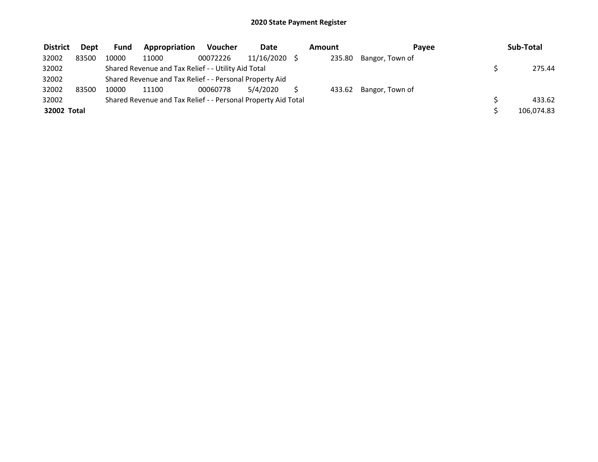| <b>District</b> | <b>Dept</b> | <b>Fund</b> | Appropriation                                                 | <b>Voucher</b> | <b>Date</b> | Amount | Pavee           | Sub-Total  |
|-----------------|-------------|-------------|---------------------------------------------------------------|----------------|-------------|--------|-----------------|------------|
| 32002           | 83500       | 10000       | 11000                                                         | 00072226       | 11/16/2020  | 235.80 | Bangor, Town of |            |
| 32002           |             |             | Shared Revenue and Tax Relief - - Utility Aid Total           |                |             |        |                 | 275.44     |
| 32002           |             |             | Shared Revenue and Tax Relief - - Personal Property Aid       |                |             |        |                 |            |
| 32002           | 83500       | 10000       | 11100                                                         | 00060778       | 5/4/2020    | 433.62 | Bangor, Town of |            |
| 32002           |             |             | Shared Revenue and Tax Relief - - Personal Property Aid Total |                |             |        |                 | 433.62     |
| 32002 Total     |             |             |                                                               |                |             |        |                 | 106,074.83 |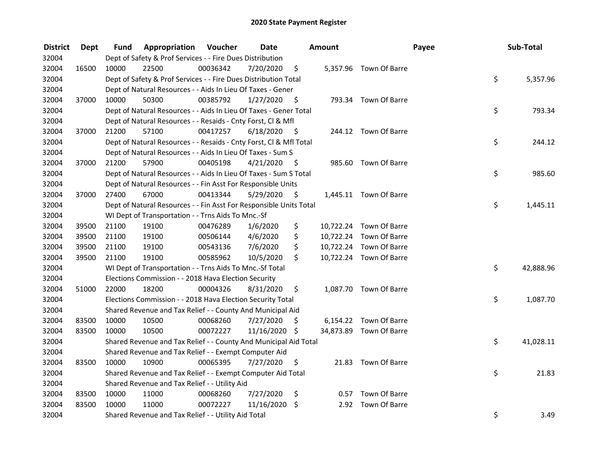| <b>District</b> | Dept  | Fund  | Appropriation                                                      | Voucher  | <b>Date</b>   |      | Amount |                         | Payee | Sub-Total |
|-----------------|-------|-------|--------------------------------------------------------------------|----------|---------------|------|--------|-------------------------|-------|-----------|
| 32004           |       |       | Dept of Safety & Prof Services - - Fire Dues Distribution          |          |               |      |        |                         |       |           |
| 32004           | 16500 | 10000 | 22500                                                              | 00036342 | 7/20/2020     | \$   |        | 5,357.96 Town Of Barre  |       |           |
| 32004           |       |       | Dept of Safety & Prof Services - - Fire Dues Distribution Total    |          |               |      |        |                         | \$    | 5,357.96  |
| 32004           |       |       | Dept of Natural Resources - - Aids In Lieu Of Taxes - Gener        |          |               |      |        |                         |       |           |
| 32004           | 37000 | 10000 | 50300                                                              | 00385792 | 1/27/2020     | - \$ |        | 793.34 Town Of Barre    |       |           |
| 32004           |       |       | Dept of Natural Resources - - Aids In Lieu Of Taxes - Gener Total  |          |               |      |        |                         | \$    | 793.34    |
| 32004           |       |       | Dept of Natural Resources - - Resaids - Cnty Forst, CI & Mfl       |          |               |      |        |                         |       |           |
| 32004           | 37000 | 21200 | 57100                                                              | 00417257 | 6/18/2020     | - \$ |        | 244.12 Town Of Barre    |       |           |
| 32004           |       |       | Dept of Natural Resources - - Resaids - Cnty Forst, Cl & Mfl Total |          |               |      |        |                         | \$    | 244.12    |
| 32004           |       |       | Dept of Natural Resources - - Aids In Lieu Of Taxes - Sum S        |          |               |      |        |                         |       |           |
| 32004           | 37000 | 21200 | 57900                                                              | 00405198 | 4/21/2020     | - \$ |        | 985.60 Town Of Barre    |       |           |
| 32004           |       |       | Dept of Natural Resources - - Aids In Lieu Of Taxes - Sum S Total  |          |               |      |        |                         | \$    | 985.60    |
| 32004           |       |       | Dept of Natural Resources - - Fin Asst For Responsible Units       |          |               |      |        |                         |       |           |
| 32004           | 37000 | 27400 | 67000                                                              | 00413344 | 5/29/2020     | \$   |        | 1,445.11 Town Of Barre  |       |           |
| 32004           |       |       | Dept of Natural Resources - - Fin Asst For Responsible Units Total |          |               |      |        |                         | \$    | 1,445.11  |
| 32004           |       |       | WI Dept of Transportation - - Trns Aids To Mnc.-Sf                 |          |               |      |        |                         |       |           |
| 32004           | 39500 | 21100 | 19100                                                              | 00476289 | 1/6/2020      | \$   |        | 10,722.24 Town Of Barre |       |           |
| 32004           | 39500 | 21100 | 19100                                                              | 00506144 | 4/6/2020      | \$   |        | 10,722.24 Town Of Barre |       |           |
| 32004           | 39500 | 21100 | 19100                                                              | 00543136 | 7/6/2020      | \$   |        | 10,722.24 Town Of Barre |       |           |
| 32004           | 39500 | 21100 | 19100                                                              | 00585962 | 10/5/2020     | \$   |        | 10,722.24 Town Of Barre |       |           |
| 32004           |       |       | WI Dept of Transportation - - Trns Aids To Mnc.-Sf Total           |          |               |      |        |                         | \$    | 42,888.96 |
| 32004           |       |       | Elections Commission - - 2018 Hava Election Security               |          |               |      |        |                         |       |           |
| 32004           | 51000 | 22000 | 18200                                                              | 00004326 | 8/31/2020     | \$   |        | 1,087.70 Town Of Barre  |       |           |
| 32004           |       |       | Elections Commission - - 2018 Hava Election Security Total         |          |               |      |        |                         | \$    | 1,087.70  |
| 32004           |       |       | Shared Revenue and Tax Relief - - County And Municipal Aid         |          |               |      |        |                         |       |           |
| 32004           | 83500 | 10000 | 10500                                                              | 00068260 | 7/27/2020     | S    |        | 6,154.22 Town Of Barre  |       |           |
| 32004           | 83500 | 10000 | 10500                                                              | 00072227 | 11/16/2020 \$ |      |        | 34,873.89 Town Of Barre |       |           |
| 32004           |       |       | Shared Revenue and Tax Relief - - County And Municipal Aid Total   |          |               |      |        |                         | \$    | 41,028.11 |
| 32004           |       |       | Shared Revenue and Tax Relief - - Exempt Computer Aid              |          |               |      |        |                         |       |           |
| 32004           | 83500 | 10000 | 10900                                                              | 00065395 | 7/27/2020     | \$   |        | 21.83 Town Of Barre     |       |           |
| 32004           |       |       | Shared Revenue and Tax Relief - - Exempt Computer Aid Total        |          |               |      |        |                         | \$    | 21.83     |
| 32004           |       |       | Shared Revenue and Tax Relief - - Utility Aid                      |          |               |      |        |                         |       |           |
| 32004           | 83500 | 10000 | 11000                                                              | 00068260 | 7/27/2020     | \$   |        | 0.57 Town Of Barre      |       |           |
| 32004           | 83500 | 10000 | 11000                                                              | 00072227 | 11/16/2020    | \$   | 2.92   | Town Of Barre           |       |           |
| 32004           |       |       | Shared Revenue and Tax Relief - - Utility Aid Total                |          |               |      |        |                         | \$    | 3.49      |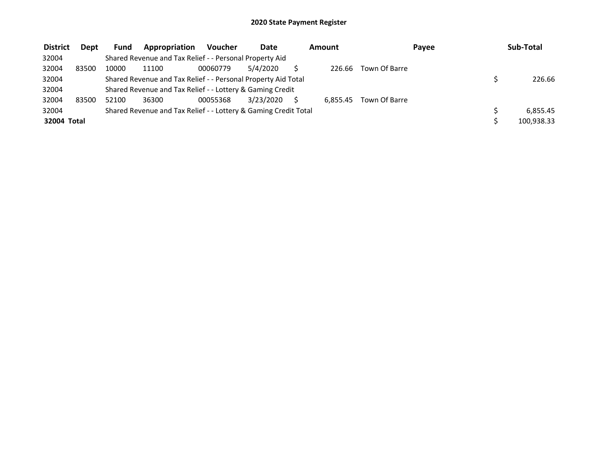| <b>District</b> | <b>Dept</b> | <b>Fund</b> | <b>Appropriation</b>                                            | Voucher  | Date      | Amount   |               | Payee | Sub-Total  |
|-----------------|-------------|-------------|-----------------------------------------------------------------|----------|-----------|----------|---------------|-------|------------|
| 32004           |             |             | Shared Revenue and Tax Relief - - Personal Property Aid         |          |           |          |               |       |            |
| 32004           | 83500       | 10000       | 11100                                                           | 00060779 | 5/4/2020  | 226.66   | Town Of Barre |       |            |
| 32004           |             |             | Shared Revenue and Tax Relief - - Personal Property Aid Total   |          |           |          |               |       | 226.66     |
| 32004           |             |             | Shared Revenue and Tax Relief - - Lottery & Gaming Credit       |          |           |          |               |       |            |
| 32004           | 83500       | 52100       | 36300                                                           | 00055368 | 3/23/2020 | 6.855.45 | Town Of Barre |       |            |
| 32004           |             |             | Shared Revenue and Tax Relief - - Lottery & Gaming Credit Total |          |           |          |               |       | 6.855.45   |
| 32004 Total     |             |             |                                                                 |          |           |          |               |       | 100,938.33 |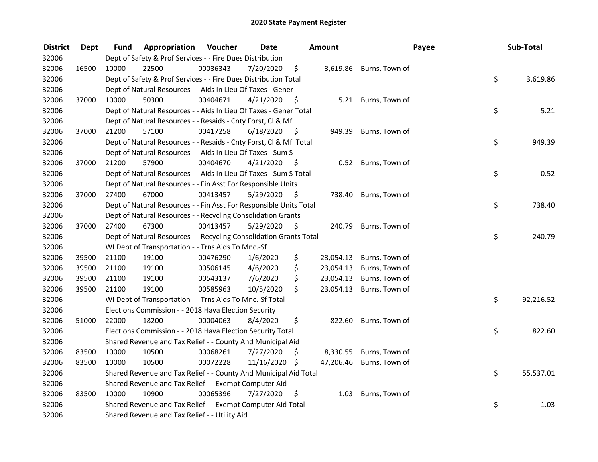| <b>District</b> | <b>Dept</b> | Fund  | Appropriation                                                      | Voucher  | <b>Date</b>   |      | Amount    | Payee                   | Sub-Total       |
|-----------------|-------------|-------|--------------------------------------------------------------------|----------|---------------|------|-----------|-------------------------|-----------------|
| 32006           |             |       | Dept of Safety & Prof Services - - Fire Dues Distribution          |          |               |      |           |                         |                 |
| 32006           | 16500       | 10000 | 22500                                                              | 00036343 | 7/20/2020     | \$   |           | 3,619.86 Burns, Town of |                 |
| 32006           |             |       | Dept of Safety & Prof Services - - Fire Dues Distribution Total    |          |               |      |           |                         | \$<br>3,619.86  |
| 32006           |             |       | Dept of Natural Resources - - Aids In Lieu Of Taxes - Gener        |          |               |      |           |                         |                 |
| 32006           | 37000       | 10000 | 50300                                                              | 00404671 | 4/21/2020     | \$   |           | 5.21 Burns, Town of     |                 |
| 32006           |             |       | Dept of Natural Resources - - Aids In Lieu Of Taxes - Gener Total  |          |               |      |           |                         | \$<br>5.21      |
| 32006           |             |       | Dept of Natural Resources - - Resaids - Cnty Forst, Cl & Mfl       |          |               |      |           |                         |                 |
| 32006           | 37000       | 21200 | 57100                                                              | 00417258 | 6/18/2020     | - \$ |           | 949.39 Burns, Town of   |                 |
| 32006           |             |       | Dept of Natural Resources - - Resaids - Cnty Forst, Cl & Mfl Total |          |               |      |           |                         | \$<br>949.39    |
| 32006           |             |       | Dept of Natural Resources - - Aids In Lieu Of Taxes - Sum S        |          |               |      |           |                         |                 |
| 32006           | 37000       | 21200 | 57900                                                              | 00404670 | 4/21/2020     | - \$ | 0.52      | Burns, Town of          |                 |
| 32006           |             |       | Dept of Natural Resources - - Aids In Lieu Of Taxes - Sum S Total  |          |               |      |           |                         | \$<br>0.52      |
| 32006           |             |       | Dept of Natural Resources - - Fin Asst For Responsible Units       |          |               |      |           |                         |                 |
| 32006           | 37000       | 27400 | 67000                                                              | 00413457 | 5/29/2020     | -\$  | 738.40    | Burns, Town of          |                 |
| 32006           |             |       | Dept of Natural Resources - - Fin Asst For Responsible Units Total |          |               |      |           |                         | \$<br>738.40    |
| 32006           |             |       | Dept of Natural Resources - - Recycling Consolidation Grants       |          |               |      |           |                         |                 |
| 32006           | 37000       | 27400 | 67300                                                              | 00413457 | 5/29/2020     | \$   |           | 240.79 Burns, Town of   |                 |
| 32006           |             |       | Dept of Natural Resources - - Recycling Consolidation Grants Total |          |               |      |           |                         | \$<br>240.79    |
| 32006           |             |       | WI Dept of Transportation - - Trns Aids To Mnc.-Sf                 |          |               |      |           |                         |                 |
| 32006           | 39500       | 21100 | 19100                                                              | 00476290 | 1/6/2020      | \$   | 23,054.13 | Burns, Town of          |                 |
| 32006           | 39500       | 21100 | 19100                                                              | 00506145 | 4/6/2020      | \$   | 23,054.13 | Burns, Town of          |                 |
| 32006           | 39500       | 21100 | 19100                                                              | 00543137 | 7/6/2020      | \$   | 23,054.13 | Burns, Town of          |                 |
| 32006           | 39500       | 21100 | 19100                                                              | 00585963 | 10/5/2020     | \$   | 23,054.13 | Burns, Town of          |                 |
| 32006           |             |       | WI Dept of Transportation - - Trns Aids To Mnc.-Sf Total           |          |               |      |           |                         | \$<br>92,216.52 |
| 32006           |             |       | Elections Commission - - 2018 Hava Election Security               |          |               |      |           |                         |                 |
| 32006           | 51000       | 22000 | 18200                                                              | 00004063 | 8/4/2020      | \$   | 822.60    | Burns, Town of          |                 |
| 32006           |             |       | Elections Commission - - 2018 Hava Election Security Total         |          |               |      |           |                         | \$<br>822.60    |
| 32006           |             |       | Shared Revenue and Tax Relief - - County And Municipal Aid         |          |               |      |           |                         |                 |
| 32006           | 83500       | 10000 | 10500                                                              | 00068261 | 7/27/2020     | \$   | 8,330.55  | Burns, Town of          |                 |
| 32006           | 83500       | 10000 | 10500                                                              | 00072228 | 11/16/2020 \$ |      | 47,206.46 | Burns, Town of          |                 |
| 32006           |             |       | Shared Revenue and Tax Relief - - County And Municipal Aid Total   |          |               |      |           |                         | \$<br>55,537.01 |
| 32006           |             |       | Shared Revenue and Tax Relief - - Exempt Computer Aid              |          |               |      |           |                         |                 |
| 32006           | 83500       | 10000 | 10900                                                              | 00065396 | 7/27/2020     | \$   | 1.03      | Burns, Town of          |                 |
| 32006           |             |       | Shared Revenue and Tax Relief - - Exempt Computer Aid Total        |          |               |      |           |                         | \$<br>1.03      |
| 32006           |             |       | Shared Revenue and Tax Relief - - Utility Aid                      |          |               |      |           |                         |                 |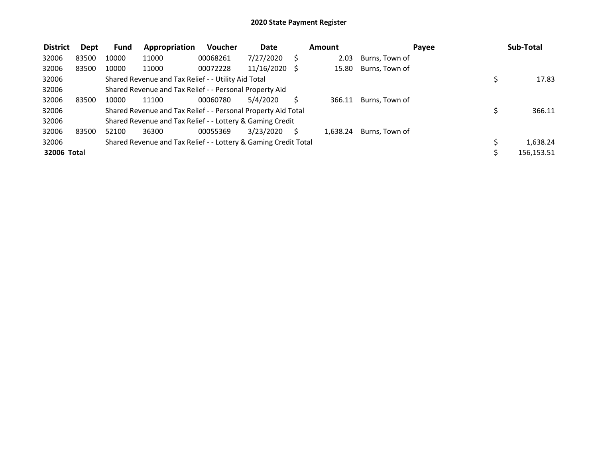| <b>District</b> | Dept  | <b>Fund</b> | Appropriation                                                   | Voucher  | <b>Date</b> |    | Amount   | Payee          |    | Sub-Total  |
|-----------------|-------|-------------|-----------------------------------------------------------------|----------|-------------|----|----------|----------------|----|------------|
| 32006           | 83500 | 10000       | 11000                                                           | 00068261 | 7/27/2020   |    | 2.03     | Burns, Town of |    |            |
| 32006           | 83500 | 10000       | 11000                                                           | 00072228 | 11/16/2020  | -S | 15.80    | Burns, Town of |    |            |
| 32006           |       |             | Shared Revenue and Tax Relief - - Utility Aid Total             |          |             |    |          |                | \$ | 17.83      |
| 32006           |       |             | Shared Revenue and Tax Relief - - Personal Property Aid         |          |             |    |          |                |    |            |
| 32006           | 83500 | 10000       | 11100                                                           | 00060780 | 5/4/2020    |    | 366.11   | Burns, Town of |    |            |
| 32006           |       |             | Shared Revenue and Tax Relief - - Personal Property Aid Total   |          |             |    |          |                | Ś  | 366.11     |
| 32006           |       |             | Shared Revenue and Tax Relief - - Lottery & Gaming Credit       |          |             |    |          |                |    |            |
| 32006           | 83500 | 52100       | 36300                                                           | 00055369 | 3/23/2020   |    | 1.638.24 | Burns, Town of |    |            |
| 32006           |       |             | Shared Revenue and Tax Relief - - Lottery & Gaming Credit Total |          |             |    |          |                | Ś  | 1,638.24   |
| 32006 Total     |       |             |                                                                 |          |             |    |          |                |    | 156,153.51 |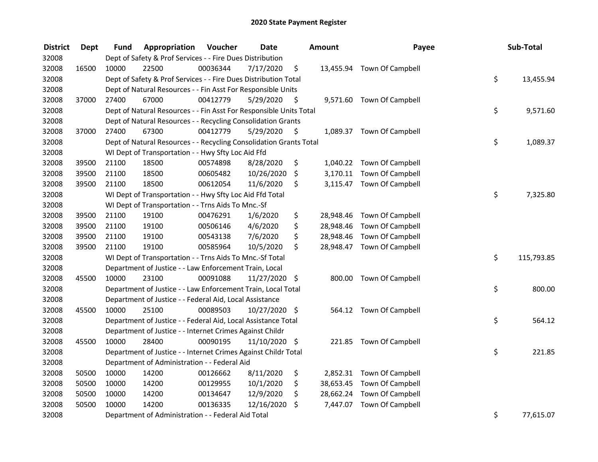| <b>District</b> | <b>Dept</b> | Fund  | Appropriation                                                      | Voucher  | <b>Date</b>   | <b>Amount</b>   | Payee                      | Sub-Total        |
|-----------------|-------------|-------|--------------------------------------------------------------------|----------|---------------|-----------------|----------------------------|------------------|
| 32008           |             |       | Dept of Safety & Prof Services - - Fire Dues Distribution          |          |               |                 |                            |                  |
| 32008           | 16500       | 10000 | 22500                                                              | 00036344 | 7/17/2020     | \$              | 13,455.94 Town Of Campbell |                  |
| 32008           |             |       | Dept of Safety & Prof Services - - Fire Dues Distribution Total    |          |               |                 |                            | \$<br>13,455.94  |
| 32008           |             |       | Dept of Natural Resources - - Fin Asst For Responsible Units       |          |               |                 |                            |                  |
| 32008           | 37000       | 27400 | 67000                                                              | 00412779 | 5/29/2020     | \$              | 9,571.60 Town Of Campbell  |                  |
| 32008           |             |       | Dept of Natural Resources - - Fin Asst For Responsible Units Total |          |               |                 |                            | \$<br>9,571.60   |
| 32008           |             |       | Dept of Natural Resources - - Recycling Consolidation Grants       |          |               |                 |                            |                  |
| 32008           | 37000       | 27400 | 67300                                                              | 00412779 | 5/29/2020     | \$              | 1,089.37 Town Of Campbell  |                  |
| 32008           |             |       | Dept of Natural Resources - - Recycling Consolidation Grants Total |          |               |                 |                            | \$<br>1,089.37   |
| 32008           |             |       | WI Dept of Transportation - - Hwy Sfty Loc Aid Ffd                 |          |               |                 |                            |                  |
| 32008           | 39500       | 21100 | 18500                                                              | 00574898 | 8/28/2020     | \$              | 1,040.22 Town Of Campbell  |                  |
| 32008           | 39500       | 21100 | 18500                                                              | 00605482 | 10/26/2020    | \$              | 3,170.11 Town Of Campbell  |                  |
| 32008           | 39500       | 21100 | 18500                                                              | 00612054 | 11/6/2020     | \$              | 3,115.47 Town Of Campbell  |                  |
| 32008           |             |       | WI Dept of Transportation - - Hwy Sfty Loc Aid Ffd Total           |          |               |                 |                            | \$<br>7,325.80   |
| 32008           |             |       | WI Dept of Transportation - - Trns Aids To Mnc.-Sf                 |          |               |                 |                            |                  |
| 32008           | 39500       | 21100 | 19100                                                              | 00476291 | 1/6/2020      | \$<br>28,948.46 | Town Of Campbell           |                  |
| 32008           | 39500       | 21100 | 19100                                                              | 00506146 | 4/6/2020      | \$<br>28,948.46 | Town Of Campbell           |                  |
| 32008           | 39500       | 21100 | 19100                                                              | 00543138 | 7/6/2020      | \$<br>28,948.46 | Town Of Campbell           |                  |
| 32008           | 39500       | 21100 | 19100                                                              | 00585964 | 10/5/2020     | \$              | 28,948.47 Town Of Campbell |                  |
| 32008           |             |       | WI Dept of Transportation - - Trns Aids To Mnc.-Sf Total           |          |               |                 |                            | \$<br>115,793.85 |
| 32008           |             |       | Department of Justice - - Law Enforcement Train, Local             |          |               |                 |                            |                  |
| 32008           | 45500       | 10000 | 23100                                                              | 00091088 | 11/27/2020 \$ |                 | 800.00 Town Of Campbell    |                  |
| 32008           |             |       | Department of Justice - - Law Enforcement Train, Local Total       |          |               |                 |                            | \$<br>800.00     |
| 32008           |             |       | Department of Justice - - Federal Aid, Local Assistance            |          |               |                 |                            |                  |
| 32008           | 45500       | 10000 | 25100                                                              | 00089503 | 10/27/2020 \$ |                 | 564.12 Town Of Campbell    |                  |
| 32008           |             |       | Department of Justice - - Federal Aid, Local Assistance Total      |          |               |                 |                            | \$<br>564.12     |
| 32008           |             |       | Department of Justice - - Internet Crimes Against Childr           |          |               |                 |                            |                  |
| 32008           | 45500       | 10000 | 28400                                                              | 00090195 | 11/10/2020 \$ |                 | 221.85 Town Of Campbell    |                  |
| 32008           |             |       | Department of Justice - - Internet Crimes Against Childr Total     |          |               |                 |                            | \$<br>221.85     |
| 32008           |             |       | Department of Administration - - Federal Aid                       |          |               |                 |                            |                  |
| 32008           | 50500       | 10000 | 14200                                                              | 00126662 | 8/11/2020     | \$              | 2,852.31 Town Of Campbell  |                  |
| 32008           | 50500       | 10000 | 14200                                                              | 00129955 | 10/1/2020     | \$              | 38,653.45 Town Of Campbell |                  |
| 32008           | 50500       | 10000 | 14200                                                              | 00134647 | 12/9/2020     | \$              | 28,662.24 Town Of Campbell |                  |
| 32008           | 50500       | 10000 | 14200                                                              | 00136335 | 12/16/2020    | \$<br>7,447.07  | Town Of Campbell           |                  |
| 32008           |             |       | Department of Administration - - Federal Aid Total                 |          |               |                 |                            | \$<br>77,615.07  |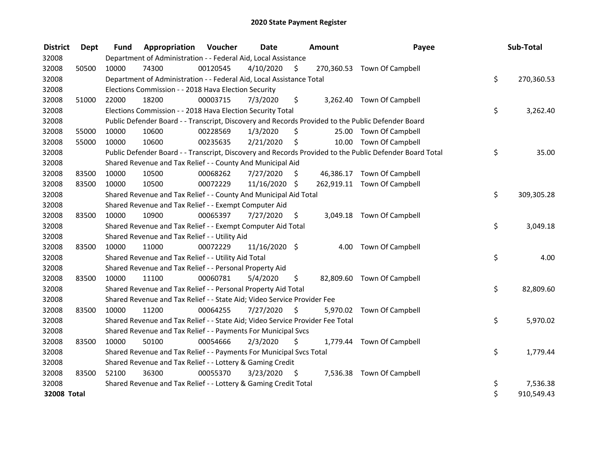| <b>District</b> | Dept  | <b>Fund</b> | <b>Appropriation Voucher</b>                                                  |          | <b>Date</b>   |      | <b>Amount</b> | Payee                                                                                                   | Sub-Total        |
|-----------------|-------|-------------|-------------------------------------------------------------------------------|----------|---------------|------|---------------|---------------------------------------------------------------------------------------------------------|------------------|
| 32008           |       |             | Department of Administration - - Federal Aid, Local Assistance                |          |               |      |               |                                                                                                         |                  |
| 32008           | 50500 | 10000       | 74300                                                                         | 00120545 | 4/10/2020     | \$   |               | 270,360.53 Town Of Campbell                                                                             |                  |
| 32008           |       |             | Department of Administration - - Federal Aid, Local Assistance Total          |          |               |      |               |                                                                                                         | \$<br>270,360.53 |
| 32008           |       |             | Elections Commission - - 2018 Hava Election Security                          |          |               |      |               |                                                                                                         |                  |
| 32008           | 51000 | 22000       | 18200                                                                         | 00003715 | 7/3/2020      | \$   |               | 3,262.40 Town Of Campbell                                                                               |                  |
| 32008           |       |             | Elections Commission - - 2018 Hava Election Security Total                    |          |               |      |               |                                                                                                         | \$<br>3,262.40   |
| 32008           |       |             |                                                                               |          |               |      |               | Public Defender Board - - Transcript, Discovery and Records Provided to the Public Defender Board       |                  |
| 32008           | 55000 | 10000       | 10600                                                                         | 00228569 | 1/3/2020      | \$   |               | 25.00 Town Of Campbell                                                                                  |                  |
| 32008           | 55000 | 10000       | 10600                                                                         | 00235635 | 2/21/2020     | \$   |               | 10.00 Town Of Campbell                                                                                  |                  |
| 32008           |       |             |                                                                               |          |               |      |               | Public Defender Board - - Transcript, Discovery and Records Provided to the Public Defender Board Total | \$<br>35.00      |
| 32008           |       |             | Shared Revenue and Tax Relief - - County And Municipal Aid                    |          |               |      |               |                                                                                                         |                  |
| 32008           | 83500 | 10000       | 10500                                                                         | 00068262 | 7/27/2020     | \$   |               | 46,386.17 Town Of Campbell                                                                              |                  |
| 32008           | 83500 | 10000       | 10500                                                                         | 00072229 | 11/16/2020 \$ |      |               | 262,919.11 Town Of Campbell                                                                             |                  |
| 32008           |       |             | Shared Revenue and Tax Relief - - County And Municipal Aid Total              |          |               |      |               |                                                                                                         | \$<br>309,305.28 |
| 32008           |       |             | Shared Revenue and Tax Relief - - Exempt Computer Aid                         |          |               |      |               |                                                                                                         |                  |
| 32008           | 83500 | 10000       | 10900                                                                         | 00065397 | 7/27/2020     | \$   |               | 3,049.18 Town Of Campbell                                                                               |                  |
| 32008           |       |             | Shared Revenue and Tax Relief - - Exempt Computer Aid Total                   |          |               |      |               |                                                                                                         | \$<br>3,049.18   |
| 32008           |       |             | Shared Revenue and Tax Relief - - Utility Aid                                 |          |               |      |               |                                                                                                         |                  |
| 32008           | 83500 | 10000       | 11000                                                                         | 00072229 | 11/16/2020 \$ |      |               | 4.00 Town Of Campbell                                                                                   |                  |
| 32008           |       |             | Shared Revenue and Tax Relief - - Utility Aid Total                           |          |               |      |               |                                                                                                         | \$<br>4.00       |
| 32008           |       |             | Shared Revenue and Tax Relief - - Personal Property Aid                       |          |               |      |               |                                                                                                         |                  |
| 32008           | 83500 | 10000       | 11100                                                                         | 00060781 | 5/4/2020      | \$   |               | 82,809.60 Town Of Campbell                                                                              |                  |
| 32008           |       |             | Shared Revenue and Tax Relief - - Personal Property Aid Total                 |          |               |      |               |                                                                                                         | \$<br>82,809.60  |
| 32008           |       |             | Shared Revenue and Tax Relief - - State Aid; Video Service Provider Fee       |          |               |      |               |                                                                                                         |                  |
| 32008           | 83500 | 10000       | 11200                                                                         | 00064255 | 7/27/2020     | \$   | 5,970.02      | Town Of Campbell                                                                                        |                  |
| 32008           |       |             | Shared Revenue and Tax Relief - - State Aid; Video Service Provider Fee Total |          |               |      |               |                                                                                                         | \$<br>5,970.02   |
| 32008           |       |             | Shared Revenue and Tax Relief - - Payments For Municipal Svcs                 |          |               |      |               |                                                                                                         |                  |
| 32008           | 83500 | 10000       | 50100                                                                         | 00054666 | 2/3/2020      | \$   |               | 1,779.44 Town Of Campbell                                                                               |                  |
| 32008           |       |             | Shared Revenue and Tax Relief - - Payments For Municipal Svcs Total           |          |               |      |               |                                                                                                         | \$<br>1,779.44   |
| 32008           |       |             | Shared Revenue and Tax Relief - - Lottery & Gaming Credit                     |          |               |      |               |                                                                                                         |                  |
| 32008           | 83500 | 52100       | 36300                                                                         | 00055370 | 3/23/2020     | - \$ |               | 7,536.38 Town Of Campbell                                                                               |                  |
| 32008           |       |             | Shared Revenue and Tax Relief - - Lottery & Gaming Credit Total               |          |               |      |               |                                                                                                         | \$<br>7,536.38   |
| 32008 Total     |       |             |                                                                               |          |               |      |               |                                                                                                         | \$<br>910,549.43 |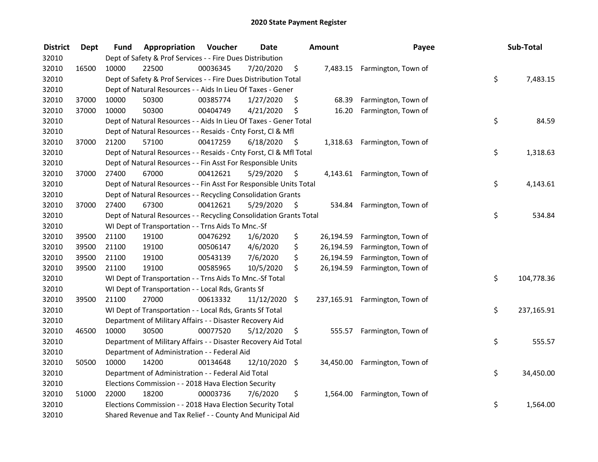| <b>District</b> | <b>Dept</b> | Fund  | Appropriation                                                      | Voucher  | <b>Date</b>     |      | <b>Amount</b> | Payee                          | Sub-Total        |
|-----------------|-------------|-------|--------------------------------------------------------------------|----------|-----------------|------|---------------|--------------------------------|------------------|
| 32010           |             |       | Dept of Safety & Prof Services - - Fire Dues Distribution          |          |                 |      |               |                                |                  |
| 32010           | 16500       | 10000 | 22500                                                              | 00036345 | 7/20/2020       | \$   |               | 7,483.15 Farmington, Town of   |                  |
| 32010           |             |       | Dept of Safety & Prof Services - - Fire Dues Distribution Total    |          |                 |      |               |                                | \$<br>7,483.15   |
| 32010           |             |       | Dept of Natural Resources - - Aids In Lieu Of Taxes - Gener        |          |                 |      |               |                                |                  |
| 32010           | 37000       | 10000 | 50300                                                              | 00385774 | 1/27/2020       | \$   | 68.39         | Farmington, Town of            |                  |
| 32010           | 37000       | 10000 | 50300                                                              | 00404749 | 4/21/2020       | \$   | 16.20         | Farmington, Town of            |                  |
| 32010           |             |       | Dept of Natural Resources - - Aids In Lieu Of Taxes - Gener Total  |          |                 |      |               |                                | \$<br>84.59      |
| 32010           |             |       | Dept of Natural Resources - - Resaids - Cnty Forst, Cl & Mfl       |          |                 |      |               |                                |                  |
| 32010           | 37000       | 21200 | 57100                                                              | 00417259 | 6/18/2020       | - \$ |               | 1,318.63 Farmington, Town of   |                  |
| 32010           |             |       | Dept of Natural Resources - - Resaids - Cnty Forst, CI & Mfl Total |          |                 |      |               |                                | \$<br>1,318.63   |
| 32010           |             |       | Dept of Natural Resources - - Fin Asst For Responsible Units       |          |                 |      |               |                                |                  |
| 32010           | 37000       | 27400 | 67000                                                              | 00412621 | 5/29/2020       | \$   |               | 4,143.61 Farmington, Town of   |                  |
| 32010           |             |       | Dept of Natural Resources - - Fin Asst For Responsible Units Total |          |                 |      |               |                                | \$<br>4,143.61   |
| 32010           |             |       | Dept of Natural Resources - - Recycling Consolidation Grants       |          |                 |      |               |                                |                  |
| 32010           | 37000       | 27400 | 67300                                                              | 00412621 | 5/29/2020       | \$   | 534.84        | Farmington, Town of            |                  |
| 32010           |             |       | Dept of Natural Resources - - Recycling Consolidation Grants Total |          |                 |      |               |                                | \$<br>534.84     |
| 32010           |             |       | WI Dept of Transportation - - Trns Aids To Mnc.-Sf                 |          |                 |      |               |                                |                  |
| 32010           | 39500       | 21100 | 19100                                                              | 00476292 | 1/6/2020        | \$   | 26,194.59     | Farmington, Town of            |                  |
| 32010           | 39500       | 21100 | 19100                                                              | 00506147 | 4/6/2020        | \$   | 26,194.59     | Farmington, Town of            |                  |
| 32010           | 39500       | 21100 | 19100                                                              | 00543139 | 7/6/2020        | \$   | 26,194.59     | Farmington, Town of            |                  |
| 32010           | 39500       | 21100 | 19100                                                              | 00585965 | 10/5/2020       | \$   | 26,194.59     | Farmington, Town of            |                  |
| 32010           |             |       | WI Dept of Transportation - - Trns Aids To Mnc.-Sf Total           |          |                 |      |               |                                | \$<br>104,778.36 |
| 32010           |             |       | WI Dept of Transportation - - Local Rds, Grants Sf                 |          |                 |      |               |                                |                  |
| 32010           | 39500       | 21100 | 27000                                                              | 00613332 | $11/12/2020$ \$ |      |               | 237,165.91 Farmington, Town of |                  |
| 32010           |             |       | WI Dept of Transportation - - Local Rds, Grants Sf Total           |          |                 |      |               |                                | \$<br>237,165.91 |
| 32010           |             |       | Department of Military Affairs - - Disaster Recovery Aid           |          |                 |      |               |                                |                  |
| 32010           | 46500       | 10000 | 30500                                                              | 00077520 | 5/12/2020       | \$   | 555.57        | Farmington, Town of            |                  |
| 32010           |             |       | Department of Military Affairs - - Disaster Recovery Aid Total     |          |                 |      |               |                                | \$<br>555.57     |
| 32010           |             |       | Department of Administration - - Federal Aid                       |          |                 |      |               |                                |                  |
| 32010           | 50500       | 10000 | 14200                                                              | 00134648 | 12/10/2020 \$   |      |               | 34,450.00 Farmington, Town of  |                  |
| 32010           |             |       | Department of Administration - - Federal Aid Total                 |          |                 |      |               |                                | \$<br>34,450.00  |
| 32010           |             |       | Elections Commission - - 2018 Hava Election Security               |          |                 |      |               |                                |                  |
| 32010           | 51000       | 22000 | 18200                                                              | 00003736 | 7/6/2020        | \$   | 1,564.00      | Farmington, Town of            |                  |
| 32010           |             |       | Elections Commission - - 2018 Hava Election Security Total         |          |                 |      |               |                                | \$<br>1,564.00   |
| 32010           |             |       | Shared Revenue and Tax Relief - - County And Municipal Aid         |          |                 |      |               |                                |                  |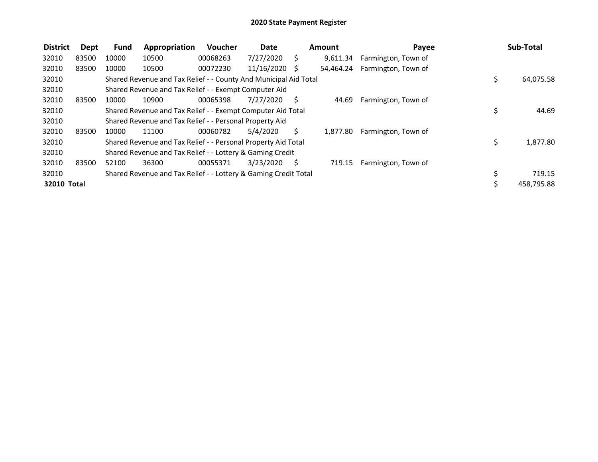| <b>District</b> | Dept  | Fund  | Appropriation                                                    | Voucher  | <b>Date</b>   |     | Amount    | Payee               |    | Sub-Total  |
|-----------------|-------|-------|------------------------------------------------------------------|----------|---------------|-----|-----------|---------------------|----|------------|
| 32010           | 83500 | 10000 | 10500                                                            | 00068263 | 7/27/2020     | S   | 9,611.34  | Farmington, Town of |    |            |
| 32010           | 83500 | 10000 | 10500                                                            | 00072230 | 11/16/2020 \$ |     | 54.464.24 | Farmington, Town of |    |            |
| 32010           |       |       | Shared Revenue and Tax Relief - - County And Municipal Aid Total |          |               |     |           |                     | \$ | 64,075.58  |
| 32010           |       |       | Shared Revenue and Tax Relief - - Exempt Computer Aid            |          |               |     |           |                     |    |            |
| 32010           | 83500 | 10000 | 10900                                                            | 00065398 | 7/27/2020     | - S | 44.69     | Farmington, Town of |    |            |
| 32010           |       |       | Shared Revenue and Tax Relief - - Exempt Computer Aid Total      |          |               |     |           |                     | \$ | 44.69      |
| 32010           |       |       | Shared Revenue and Tax Relief - - Personal Property Aid          |          |               |     |           |                     |    |            |
| 32010           | 83500 | 10000 | 11100                                                            | 00060782 | 5/4/2020      | Ś.  | 1.877.80  | Farmington, Town of |    |            |
| 32010           |       |       | Shared Revenue and Tax Relief - - Personal Property Aid Total    |          |               |     |           |                     | \$ | 1,877.80   |
| 32010           |       |       | Shared Revenue and Tax Relief - - Lottery & Gaming Credit        |          |               |     |           |                     |    |            |
| 32010           | 83500 | 52100 | 36300                                                            | 00055371 | 3/23/2020     | -S  | 719.15    | Farmington, Town of |    |            |
| 32010           |       |       | Shared Revenue and Tax Relief - - Lottery & Gaming Credit Total  |          |               |     |           |                     |    | 719.15     |
| 32010 Total     |       |       |                                                                  |          |               |     |           |                     | Ś  | 458,795.88 |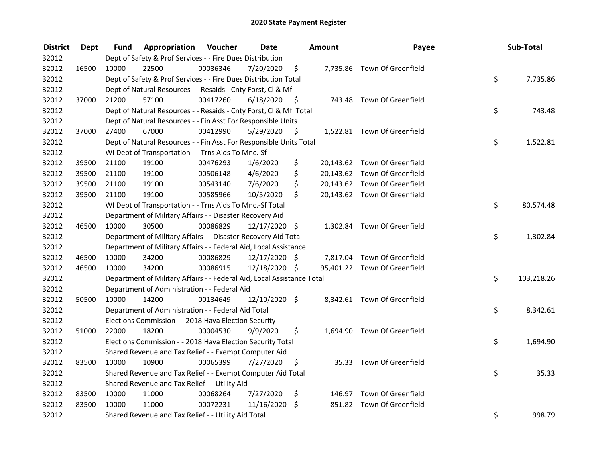| <b>District</b> | <b>Dept</b> | Fund  | <b>Appropriation Voucher</b>                                           |          | <b>Date</b>     |      | Amount | Payee                        | Sub-Total        |
|-----------------|-------------|-------|------------------------------------------------------------------------|----------|-----------------|------|--------|------------------------------|------------------|
| 32012           |             |       | Dept of Safety & Prof Services - - Fire Dues Distribution              |          |                 |      |        |                              |                  |
| 32012           | 16500       | 10000 | 22500                                                                  | 00036346 | 7/20/2020       | \$   |        | 7,735.86 Town Of Greenfield  |                  |
| 32012           |             |       | Dept of Safety & Prof Services - - Fire Dues Distribution Total        |          |                 |      |        |                              | \$<br>7,735.86   |
| 32012           |             |       | Dept of Natural Resources - - Resaids - Cnty Forst, Cl & Mfl           |          |                 |      |        |                              |                  |
| 32012           | 37000       | 21200 | 57100                                                                  | 00417260 | 6/18/2020       | - \$ |        | 743.48 Town Of Greenfield    |                  |
| 32012           |             |       | Dept of Natural Resources - - Resaids - Cnty Forst, Cl & Mfl Total     |          |                 |      |        |                              | \$<br>743.48     |
| 32012           |             |       | Dept of Natural Resources - - Fin Asst For Responsible Units           |          |                 |      |        |                              |                  |
| 32012           | 37000       | 27400 | 67000                                                                  | 00412990 | 5/29/2020       | - \$ |        | 1,522.81 Town Of Greenfield  |                  |
| 32012           |             |       | Dept of Natural Resources - - Fin Asst For Responsible Units Total     |          |                 |      |        |                              | \$<br>1,522.81   |
| 32012           |             |       | WI Dept of Transportation - - Trns Aids To Mnc.-Sf                     |          |                 |      |        |                              |                  |
| 32012           | 39500       | 21100 | 19100                                                                  | 00476293 | 1/6/2020        | \$   |        | 20,143.62 Town Of Greenfield |                  |
| 32012           | 39500       | 21100 | 19100                                                                  | 00506148 | 4/6/2020        | \$   |        | 20,143.62 Town Of Greenfield |                  |
| 32012           | 39500       | 21100 | 19100                                                                  | 00543140 | 7/6/2020        | \$   |        | 20,143.62 Town Of Greenfield |                  |
| 32012           | 39500       | 21100 | 19100                                                                  | 00585966 | 10/5/2020       | \$   |        | 20,143.62 Town Of Greenfield |                  |
| 32012           |             |       | WI Dept of Transportation - - Trns Aids To Mnc.-Sf Total               |          |                 |      |        |                              | \$<br>80,574.48  |
| 32012           |             |       | Department of Military Affairs - - Disaster Recovery Aid               |          |                 |      |        |                              |                  |
| 32012           | 46500       | 10000 | 30500                                                                  | 00086829 | 12/17/2020 \$   |      |        | 1,302.84 Town Of Greenfield  |                  |
| 32012           |             |       | Department of Military Affairs - - Disaster Recovery Aid Total         |          |                 |      |        |                              | \$<br>1,302.84   |
| 32012           |             |       | Department of Military Affairs - - Federal Aid, Local Assistance       |          |                 |      |        |                              |                  |
| 32012           | 46500       | 10000 | 34200                                                                  | 00086829 | 12/17/2020 \$   |      |        | 7,817.04 Town Of Greenfield  |                  |
| 32012           | 46500       | 10000 | 34200                                                                  | 00086915 | 12/18/2020 \$   |      |        | 95,401.22 Town Of Greenfield |                  |
| 32012           |             |       | Department of Military Affairs - - Federal Aid, Local Assistance Total |          |                 |      |        |                              | \$<br>103,218.26 |
| 32012           |             |       | Department of Administration - - Federal Aid                           |          |                 |      |        |                              |                  |
| 32012           | 50500       | 10000 | 14200                                                                  | 00134649 | $12/10/2020$ \$ |      |        | 8,342.61 Town Of Greenfield  |                  |
| 32012           |             |       | Department of Administration - - Federal Aid Total                     |          |                 |      |        |                              | \$<br>8,342.61   |
| 32012           |             |       | Elections Commission - - 2018 Hava Election Security                   |          |                 |      |        |                              |                  |
| 32012           | 51000       | 22000 | 18200                                                                  | 00004530 | 9/9/2020        | \$   |        | 1,694.90 Town Of Greenfield  |                  |
| 32012           |             |       | Elections Commission - - 2018 Hava Election Security Total             |          |                 |      |        |                              | \$<br>1,694.90   |
| 32012           |             |       | Shared Revenue and Tax Relief - - Exempt Computer Aid                  |          |                 |      |        |                              |                  |
| 32012           | 83500       | 10000 | 10900                                                                  | 00065399 | 7/27/2020       | \$   |        | 35.33 Town Of Greenfield     |                  |
| 32012           |             |       | Shared Revenue and Tax Relief - - Exempt Computer Aid Total            |          |                 |      |        |                              | \$<br>35.33      |
| 32012           |             |       | Shared Revenue and Tax Relief - - Utility Aid                          |          |                 |      |        |                              |                  |
| 32012           | 83500       | 10000 | 11000                                                                  | 00068264 | 7/27/2020       | \$   |        | 146.97 Town Of Greenfield    |                  |
| 32012           | 83500       | 10000 | 11000                                                                  | 00072231 | 11/16/2020      | \$   |        | 851.82 Town Of Greenfield    |                  |
| 32012           |             |       | Shared Revenue and Tax Relief - - Utility Aid Total                    |          |                 |      |        |                              | \$<br>998.79     |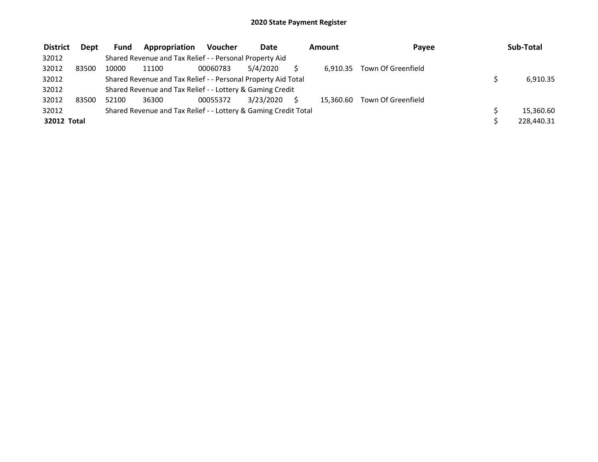| <b>District</b> | <b>Dept</b> | <b>Fund</b> | Appropriation                                                   | Voucher  | <b>Date</b> | Amount    | Payee              | Sub-Total  |
|-----------------|-------------|-------------|-----------------------------------------------------------------|----------|-------------|-----------|--------------------|------------|
| 32012           |             |             | Shared Revenue and Tax Relief - - Personal Property Aid         |          |             |           |                    |            |
| 32012           | 83500       | 10000       | 11100                                                           | 00060783 | 5/4/2020    | 6.910.35  | Town Of Greenfield |            |
| 32012           |             |             | Shared Revenue and Tax Relief - - Personal Property Aid Total   |          |             |           |                    | 6,910.35   |
| 32012           |             |             | Shared Revenue and Tax Relief - - Lottery & Gaming Credit       |          |             |           |                    |            |
| 32012           | 83500       | 52100       | 36300                                                           | 00055372 | 3/23/2020   | 15.360.60 | Town Of Greenfield |            |
| 32012           |             |             | Shared Revenue and Tax Relief - - Lottery & Gaming Credit Total |          |             |           |                    | 15,360.60  |
| 32012 Total     |             |             |                                                                 |          |             |           |                    | 228,440.31 |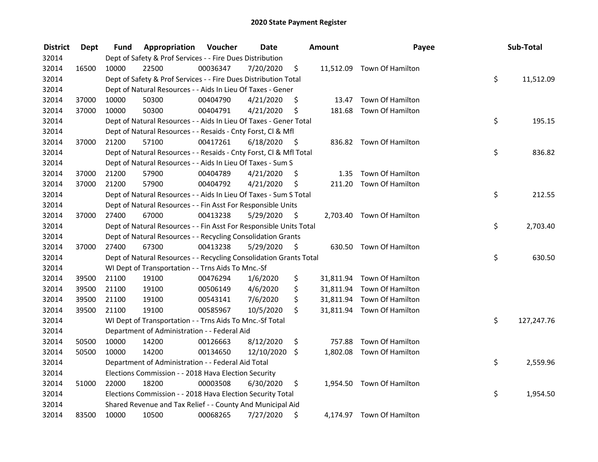| <b>District</b> | <b>Dept</b> | Fund  | Appropriation                                                      | Voucher  | <b>Date</b> |      | Amount | Payee                      | Sub-Total        |
|-----------------|-------------|-------|--------------------------------------------------------------------|----------|-------------|------|--------|----------------------------|------------------|
| 32014           |             |       | Dept of Safety & Prof Services - - Fire Dues Distribution          |          |             |      |        |                            |                  |
| 32014           | 16500       | 10000 | 22500                                                              | 00036347 | 7/20/2020   | \$   |        | 11,512.09 Town Of Hamilton |                  |
| 32014           |             |       | Dept of Safety & Prof Services - - Fire Dues Distribution Total    |          |             |      |        |                            | \$<br>11,512.09  |
| 32014           |             |       | Dept of Natural Resources - - Aids In Lieu Of Taxes - Gener        |          |             |      |        |                            |                  |
| 32014           | 37000       | 10000 | 50300                                                              | 00404790 | 4/21/2020   | \$   |        | 13.47 Town Of Hamilton     |                  |
| 32014           | 37000       | 10000 | 50300                                                              | 00404791 | 4/21/2020   | \$   |        | 181.68 Town Of Hamilton    |                  |
| 32014           |             |       | Dept of Natural Resources - - Aids In Lieu Of Taxes - Gener Total  |          |             |      |        |                            | \$<br>195.15     |
| 32014           |             |       | Dept of Natural Resources - - Resaids - Cnty Forst, Cl & Mfl       |          |             |      |        |                            |                  |
| 32014           | 37000       | 21200 | 57100                                                              | 00417261 | 6/18/2020   | - \$ |        | 836.82 Town Of Hamilton    |                  |
| 32014           |             |       | Dept of Natural Resources - - Resaids - Cnty Forst, Cl & Mfl Total |          |             |      |        |                            | \$<br>836.82     |
| 32014           |             |       | Dept of Natural Resources - - Aids In Lieu Of Taxes - Sum S        |          |             |      |        |                            |                  |
| 32014           | 37000       | 21200 | 57900                                                              | 00404789 | 4/21/2020   | \$   | 1.35   | Town Of Hamilton           |                  |
| 32014           | 37000       | 21200 | 57900                                                              | 00404792 | 4/21/2020   | \$   |        | 211.20 Town Of Hamilton    |                  |
| 32014           |             |       | Dept of Natural Resources - - Aids In Lieu Of Taxes - Sum S Total  |          |             |      |        |                            | \$<br>212.55     |
| 32014           |             |       | Dept of Natural Resources - - Fin Asst For Responsible Units       |          |             |      |        |                            |                  |
| 32014           | 37000       | 27400 | 67000                                                              | 00413238 | 5/29/2020   | \$   |        | 2,703.40 Town Of Hamilton  |                  |
| 32014           |             |       | Dept of Natural Resources - - Fin Asst For Responsible Units Total |          |             |      |        |                            | \$<br>2,703.40   |
| 32014           |             |       | Dept of Natural Resources - - Recycling Consolidation Grants       |          |             |      |        |                            |                  |
| 32014           | 37000       | 27400 | 67300                                                              | 00413238 | 5/29/2020   | - \$ |        | 630.50 Town Of Hamilton    |                  |
| 32014           |             |       | Dept of Natural Resources - - Recycling Consolidation Grants Total |          |             |      |        |                            | \$<br>630.50     |
| 32014           |             |       | WI Dept of Transportation - - Trns Aids To Mnc.-Sf                 |          |             |      |        |                            |                  |
| 32014           | 39500       | 21100 | 19100                                                              | 00476294 | 1/6/2020    | \$   |        | 31,811.94 Town Of Hamilton |                  |
| 32014           | 39500       | 21100 | 19100                                                              | 00506149 | 4/6/2020    | \$   |        | 31,811.94 Town Of Hamilton |                  |
| 32014           | 39500       | 21100 | 19100                                                              | 00543141 | 7/6/2020    | \$   |        | 31,811.94 Town Of Hamilton |                  |
| 32014           | 39500       | 21100 | 19100                                                              | 00585967 | 10/5/2020   | \$   |        | 31,811.94 Town Of Hamilton |                  |
| 32014           |             |       | WI Dept of Transportation - - Trns Aids To Mnc.-Sf Total           |          |             |      |        |                            | \$<br>127,247.76 |
| 32014           |             |       | Department of Administration - - Federal Aid                       |          |             |      |        |                            |                  |
| 32014           | 50500       | 10000 | 14200                                                              | 00126663 | 8/12/2020   | \$   |        | 757.88 Town Of Hamilton    |                  |
| 32014           | 50500       | 10000 | 14200                                                              | 00134650 | 12/10/2020  | \$   |        | 1,802.08 Town Of Hamilton  |                  |
| 32014           |             |       | Department of Administration - - Federal Aid Total                 |          |             |      |        |                            | \$<br>2,559.96   |
| 32014           |             |       | Elections Commission - - 2018 Hava Election Security               |          |             |      |        |                            |                  |
| 32014           | 51000       | 22000 | 18200                                                              | 00003508 | 6/30/2020   | \$   |        | 1,954.50 Town Of Hamilton  |                  |
| 32014           |             |       | Elections Commission - - 2018 Hava Election Security Total         |          |             |      |        |                            | \$<br>1,954.50   |
| 32014           |             |       | Shared Revenue and Tax Relief - - County And Municipal Aid         |          |             |      |        |                            |                  |
| 32014           | 83500       | 10000 | 10500                                                              | 00068265 | 7/27/2020   | \$   |        | 4,174.97 Town Of Hamilton  |                  |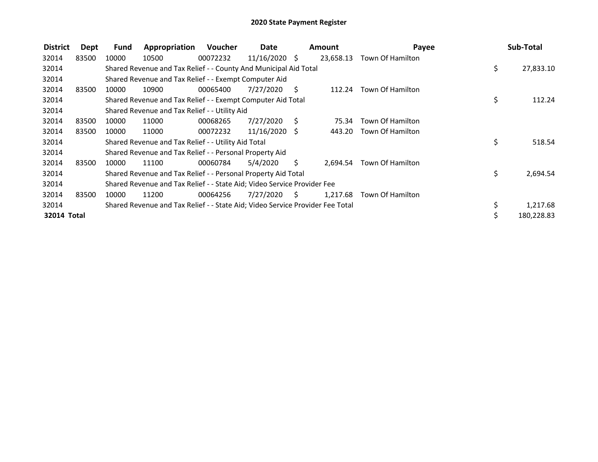| <b>District</b> | Dept  | Fund  | Appropriation                                                                 | Voucher  | Date            |     | <b>Amount</b> | Payee                     |     | Sub-Total  |
|-----------------|-------|-------|-------------------------------------------------------------------------------|----------|-----------------|-----|---------------|---------------------------|-----|------------|
| 32014           | 83500 | 10000 | 10500                                                                         | 00072232 | $11/16/2020$ \$ |     | 23,658.13     | Town Of Hamilton          |     |            |
| 32014           |       |       | Shared Revenue and Tax Relief - - County And Municipal Aid Total              |          |                 |     |               |                           | \$. | 27,833.10  |
| 32014           |       |       | Shared Revenue and Tax Relief - - Exempt Computer Aid                         |          |                 |     |               |                           |     |            |
| 32014           | 83500 | 10000 | 10900                                                                         | 00065400 | 7/27/2020       | - S | 112.24        | Town Of Hamilton          |     |            |
| 32014           |       |       | Shared Revenue and Tax Relief - - Exempt Computer Aid Total                   |          |                 |     |               |                           | \$  | 112.24     |
| 32014           |       |       | Shared Revenue and Tax Relief - - Utility Aid                                 |          |                 |     |               |                           |     |            |
| 32014           | 83500 | 10000 | 11000                                                                         | 00068265 | 7/27/2020       | - S | 75.34         | Town Of Hamilton          |     |            |
| 32014           | 83500 | 10000 | 11000                                                                         | 00072232 | $11/16/2020$ \$ |     | 443.20        | Town Of Hamilton          |     |            |
| 32014           |       |       | Shared Revenue and Tax Relief - - Utility Aid Total                           |          |                 |     |               |                           | \$  | 518.54     |
| 32014           |       |       | Shared Revenue and Tax Relief - - Personal Property Aid                       |          |                 |     |               |                           |     |            |
| 32014           | 83500 | 10000 | 11100                                                                         | 00060784 | 5/4/2020        | S.  |               | 2,694.54 Town Of Hamilton |     |            |
| 32014           |       |       | Shared Revenue and Tax Relief - - Personal Property Aid Total                 |          |                 |     |               |                           | \$. | 2,694.54   |
| 32014           |       |       | Shared Revenue and Tax Relief - - State Aid; Video Service Provider Fee       |          |                 |     |               |                           |     |            |
| 32014           | 83500 | 10000 | 11200                                                                         | 00064256 | 7/27/2020       | S.  | 1,217.68      | Town Of Hamilton          |     |            |
| 32014           |       |       | Shared Revenue and Tax Relief - - State Aid; Video Service Provider Fee Total |          |                 |     |               |                           | \$  | 1,217.68   |
| 32014 Total     |       |       |                                                                               |          |                 |     |               |                           |     | 180,228.83 |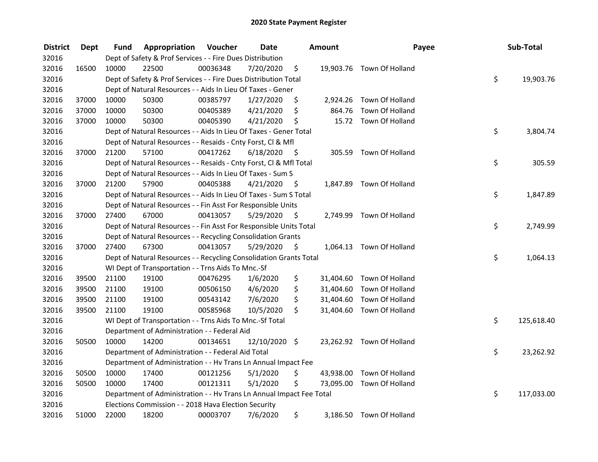| <b>District</b> | <b>Dept</b> | Fund  | Appropriation                                                        | Voucher  | <b>Date</b>   |      | Amount    | Payee                     | Sub-Total        |
|-----------------|-------------|-------|----------------------------------------------------------------------|----------|---------------|------|-----------|---------------------------|------------------|
| 32016           |             |       | Dept of Safety & Prof Services - - Fire Dues Distribution            |          |               |      |           |                           |                  |
| 32016           | 16500       | 10000 | 22500                                                                | 00036348 | 7/20/2020     | \$   |           | 19,903.76 Town Of Holland |                  |
| 32016           |             |       | Dept of Safety & Prof Services - - Fire Dues Distribution Total      |          |               |      |           |                           | \$<br>19,903.76  |
| 32016           |             |       | Dept of Natural Resources - - Aids In Lieu Of Taxes - Gener          |          |               |      |           |                           |                  |
| 32016           | 37000       | 10000 | 50300                                                                | 00385797 | 1/27/2020     | \$   |           | 2,924.26 Town Of Holland  |                  |
| 32016           | 37000       | 10000 | 50300                                                                | 00405389 | 4/21/2020     | \$   | 864.76    | Town Of Holland           |                  |
| 32016           | 37000       | 10000 | 50300                                                                | 00405390 | 4/21/2020     | \$   |           | 15.72 Town Of Holland     |                  |
| 32016           |             |       | Dept of Natural Resources - - Aids In Lieu Of Taxes - Gener Total    |          |               |      |           |                           | \$<br>3,804.74   |
| 32016           |             |       | Dept of Natural Resources - - Resaids - Cnty Forst, Cl & Mfl         |          |               |      |           |                           |                  |
| 32016           | 37000       | 21200 | 57100                                                                | 00417262 | 6/18/2020     | - \$ |           | 305.59 Town Of Holland    |                  |
| 32016           |             |       | Dept of Natural Resources - - Resaids - Cnty Forst, Cl & Mfl Total   |          |               |      |           |                           | \$<br>305.59     |
| 32016           |             |       | Dept of Natural Resources - - Aids In Lieu Of Taxes - Sum S          |          |               |      |           |                           |                  |
| 32016           | 37000       | 21200 | 57900                                                                | 00405388 | 4/21/2020     | -\$  |           | 1,847.89 Town Of Holland  |                  |
| 32016           |             |       | Dept of Natural Resources - - Aids In Lieu Of Taxes - Sum S Total    |          |               |      |           |                           | \$<br>1,847.89   |
| 32016           |             |       | Dept of Natural Resources - - Fin Asst For Responsible Units         |          |               |      |           |                           |                  |
| 32016           | 37000       | 27400 | 67000                                                                | 00413057 | 5/29/2020     | \$   |           | 2,749.99 Town Of Holland  |                  |
| 32016           |             |       | Dept of Natural Resources - - Fin Asst For Responsible Units Total   |          |               |      |           |                           | \$<br>2,749.99   |
| 32016           |             |       | Dept of Natural Resources - - Recycling Consolidation Grants         |          |               |      |           |                           |                  |
| 32016           | 37000       | 27400 | 67300                                                                | 00413057 | 5/29/2020     | \$   |           | 1,064.13 Town Of Holland  |                  |
| 32016           |             |       | Dept of Natural Resources - - Recycling Consolidation Grants Total   |          |               |      |           |                           | \$<br>1,064.13   |
| 32016           |             |       | WI Dept of Transportation - - Trns Aids To Mnc.-Sf                   |          |               |      |           |                           |                  |
| 32016           | 39500       | 21100 | 19100                                                                | 00476295 | 1/6/2020      | \$   |           | 31,404.60 Town Of Holland |                  |
| 32016           | 39500       | 21100 | 19100                                                                | 00506150 | 4/6/2020      | \$   |           | 31,404.60 Town Of Holland |                  |
| 32016           | 39500       | 21100 | 19100                                                                | 00543142 | 7/6/2020      | \$   | 31,404.60 | Town Of Holland           |                  |
| 32016           | 39500       | 21100 | 19100                                                                | 00585968 | 10/5/2020     | \$   |           | 31,404.60 Town Of Holland |                  |
| 32016           |             |       | WI Dept of Transportation - - Trns Aids To Mnc.-Sf Total             |          |               |      |           |                           | \$<br>125,618.40 |
| 32016           |             |       | Department of Administration - - Federal Aid                         |          |               |      |           |                           |                  |
| 32016           | 50500       | 10000 | 14200                                                                | 00134651 | 12/10/2020 \$ |      |           | 23,262.92 Town Of Holland |                  |
| 32016           |             |       | Department of Administration - - Federal Aid Total                   |          |               |      |           |                           | \$<br>23,262.92  |
| 32016           |             |       | Department of Administration - - Hv Trans Ln Annual Impact Fee       |          |               |      |           |                           |                  |
| 32016           | 50500       | 10000 | 17400                                                                | 00121256 | 5/1/2020      | \$   |           | 43,938.00 Town Of Holland |                  |
| 32016           | 50500       | 10000 | 17400                                                                | 00121311 | 5/1/2020      | \$   |           | 73,095.00 Town Of Holland |                  |
| 32016           |             |       | Department of Administration - - Hv Trans Ln Annual Impact Fee Total |          |               |      |           |                           | \$<br>117,033.00 |
| 32016           |             |       | Elections Commission - - 2018 Hava Election Security                 |          |               |      |           |                           |                  |
| 32016           | 51000       | 22000 | 18200                                                                | 00003707 | 7/6/2020      | \$   |           | 3,186.50 Town Of Holland  |                  |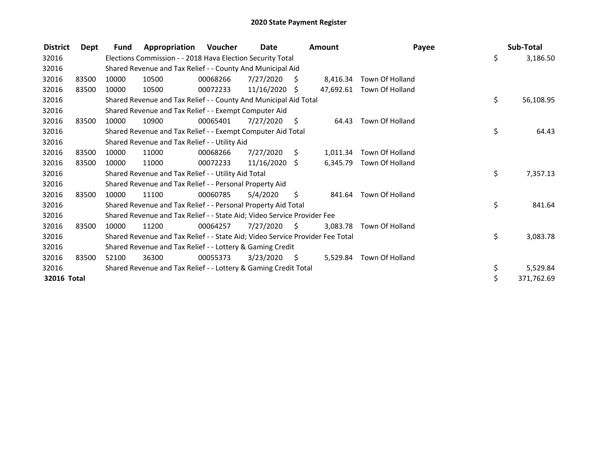| <b>District</b> | Dept  | <b>Fund</b> | Appropriation                                                                 | Voucher  | Date            |      | <b>Amount</b> |                           | Payee | Sub-Total  |
|-----------------|-------|-------------|-------------------------------------------------------------------------------|----------|-----------------|------|---------------|---------------------------|-------|------------|
| 32016           |       |             | Elections Commission - - 2018 Hava Election Security Total                    |          |                 |      |               |                           | \$    | 3,186.50   |
| 32016           |       |             | Shared Revenue and Tax Relief - - County And Municipal Aid                    |          |                 |      |               |                           |       |            |
| 32016           | 83500 | 10000       | 10500                                                                         | 00068266 | 7/27/2020       | - \$ | 8.416.34      | Town Of Holland           |       |            |
| 32016           | 83500 | 10000       | 10500                                                                         | 00072233 | $11/16/2020$ \$ |      |               | 47,692.61 Town Of Holland |       |            |
| 32016           |       |             | Shared Revenue and Tax Relief - - County And Municipal Aid Total              |          |                 |      |               |                           | \$    | 56,108.95  |
| 32016           |       |             | Shared Revenue and Tax Relief - - Exempt Computer Aid                         |          |                 |      |               |                           |       |            |
| 32016           | 83500 | 10000       | 10900                                                                         | 00065401 | 7/27/2020       | - \$ | 64.43         | <b>Town Of Holland</b>    |       |            |
| 32016           |       |             | Shared Revenue and Tax Relief - - Exempt Computer Aid Total                   |          |                 |      |               |                           | \$    | 64.43      |
| 32016           |       |             | Shared Revenue and Tax Relief - - Utility Aid                                 |          |                 |      |               |                           |       |            |
| 32016           | 83500 | 10000       | 11000                                                                         | 00068266 | 7/27/2020       | S.   | 1,011.34      | Town Of Holland           |       |            |
| 32016           | 83500 | 10000       | 11000                                                                         | 00072233 | $11/16/2020$ \$ |      |               | 6,345.79 Town Of Holland  |       |            |
| 32016           |       |             | Shared Revenue and Tax Relief - - Utility Aid Total                           |          |                 |      |               |                           | \$    | 7,357.13   |
| 32016           |       |             | Shared Revenue and Tax Relief - - Personal Property Aid                       |          |                 |      |               |                           |       |            |
| 32016           | 83500 | 10000       | 11100                                                                         | 00060785 | 5/4/2020        | \$   |               | 841.64 Town Of Holland    |       |            |
| 32016           |       |             | Shared Revenue and Tax Relief - - Personal Property Aid Total                 |          |                 |      |               |                           | \$    | 841.64     |
| 32016           |       |             | Shared Revenue and Tax Relief - - State Aid; Video Service Provider Fee       |          |                 |      |               |                           |       |            |
| 32016           | 83500 | 10000       | 11200                                                                         | 00064257 | 7/27/2020       | - S  | 3.083.78      | Town Of Holland           |       |            |
| 32016           |       |             | Shared Revenue and Tax Relief - - State Aid; Video Service Provider Fee Total |          |                 |      |               |                           | \$    | 3,083.78   |
| 32016           |       |             | Shared Revenue and Tax Relief - - Lottery & Gaming Credit                     |          |                 |      |               |                           |       |            |
| 32016           | 83500 | 52100       | 36300                                                                         | 00055373 | 3/23/2020       | - \$ | 5,529.84      | Town Of Holland           |       |            |
| 32016           |       |             | Shared Revenue and Tax Relief - - Lottery & Gaming Credit Total               |          |                 |      |               |                           | \$    | 5,529.84   |
| 32016 Total     |       |             |                                                                               |          |                 |      |               |                           | \$    | 371,762.69 |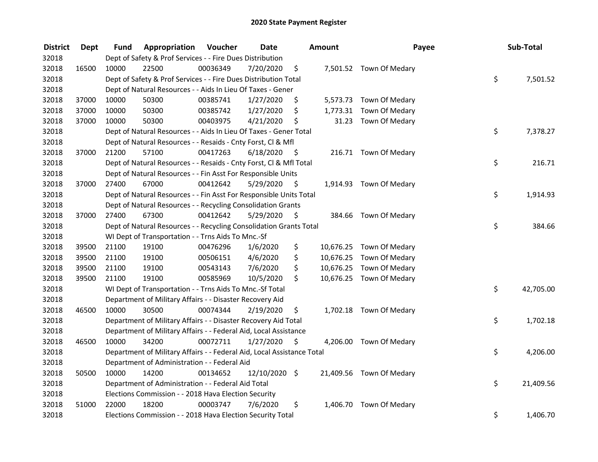| <b>District</b> | <b>Dept</b> | Fund  | Appropriation                                                          | Voucher  | <b>Date</b>   |      | <b>Amount</b> | Payee                    | Sub-Total       |
|-----------------|-------------|-------|------------------------------------------------------------------------|----------|---------------|------|---------------|--------------------------|-----------------|
| 32018           |             |       | Dept of Safety & Prof Services - - Fire Dues Distribution              |          |               |      |               |                          |                 |
| 32018           | 16500       | 10000 | 22500                                                                  | 00036349 | 7/20/2020     | \$   |               | 7,501.52 Town Of Medary  |                 |
| 32018           |             |       | Dept of Safety & Prof Services - - Fire Dues Distribution Total        |          |               |      |               |                          | \$<br>7,501.52  |
| 32018           |             |       | Dept of Natural Resources - - Aids In Lieu Of Taxes - Gener            |          |               |      |               |                          |                 |
| 32018           | 37000       | 10000 | 50300                                                                  | 00385741 | 1/27/2020     | \$   |               | 5,573.73 Town Of Medary  |                 |
| 32018           | 37000       | 10000 | 50300                                                                  | 00385742 | 1/27/2020     | \$   | 1,773.31      | Town Of Medary           |                 |
| 32018           | 37000       | 10000 | 50300                                                                  | 00403975 | 4/21/2020     | \$   | 31.23         | Town Of Medary           |                 |
| 32018           |             |       | Dept of Natural Resources - - Aids In Lieu Of Taxes - Gener Total      |          |               |      |               |                          | \$<br>7,378.27  |
| 32018           |             |       | Dept of Natural Resources - - Resaids - Cnty Forst, Cl & Mfl           |          |               |      |               |                          |                 |
| 32018           | 37000       | 21200 | 57100                                                                  | 00417263 | 6/18/2020     | - \$ |               | 216.71 Town Of Medary    |                 |
| 32018           |             |       | Dept of Natural Resources - - Resaids - Cnty Forst, Cl & Mfl Total     |          |               |      |               |                          | \$<br>216.71    |
| 32018           |             |       | Dept of Natural Resources - - Fin Asst For Responsible Units           |          |               |      |               |                          |                 |
| 32018           | 37000       | 27400 | 67000                                                                  | 00412642 | 5/29/2020     | -\$  |               | 1,914.93 Town Of Medary  |                 |
| 32018           |             |       | Dept of Natural Resources - - Fin Asst For Responsible Units Total     |          |               |      |               |                          | \$<br>1,914.93  |
| 32018           |             |       | Dept of Natural Resources - - Recycling Consolidation Grants           |          |               |      |               |                          |                 |
| 32018           | 37000       | 27400 | 67300                                                                  | 00412642 | 5/29/2020     | \$   | 384.66        | Town Of Medary           |                 |
| 32018           |             |       | Dept of Natural Resources - - Recycling Consolidation Grants Total     |          |               |      |               |                          | \$<br>384.66    |
| 32018           |             |       | WI Dept of Transportation - - Trns Aids To Mnc.-Sf                     |          |               |      |               |                          |                 |
| 32018           | 39500       | 21100 | 19100                                                                  | 00476296 | 1/6/2020      | \$   | 10,676.25     | Town Of Medary           |                 |
| 32018           | 39500       | 21100 | 19100                                                                  | 00506151 | 4/6/2020      | \$   | 10,676.25     | Town Of Medary           |                 |
| 32018           | 39500       | 21100 | 19100                                                                  | 00543143 | 7/6/2020      | \$   | 10,676.25     | Town Of Medary           |                 |
| 32018           | 39500       | 21100 | 19100                                                                  | 00585969 | 10/5/2020     | \$   |               | 10,676.25 Town Of Medary |                 |
| 32018           |             |       | WI Dept of Transportation - - Trns Aids To Mnc.-Sf Total               |          |               |      |               |                          | \$<br>42,705.00 |
| 32018           |             |       | Department of Military Affairs - - Disaster Recovery Aid               |          |               |      |               |                          |                 |
| 32018           | 46500       | 10000 | 30500                                                                  | 00074344 | 2/19/2020     | \$.  |               | 1,702.18 Town Of Medary  |                 |
| 32018           |             |       | Department of Military Affairs - - Disaster Recovery Aid Total         |          |               |      |               |                          | \$<br>1,702.18  |
| 32018           |             |       | Department of Military Affairs - - Federal Aid, Local Assistance       |          |               |      |               |                          |                 |
| 32018           | 46500       | 10000 | 34200                                                                  | 00072711 | 1/27/2020     | \$   |               | 4,206.00 Town Of Medary  |                 |
| 32018           |             |       | Department of Military Affairs - - Federal Aid, Local Assistance Total |          |               |      |               |                          | \$<br>4,206.00  |
| 32018           |             |       | Department of Administration - - Federal Aid                           |          |               |      |               |                          |                 |
| 32018           | 50500       | 10000 | 14200                                                                  | 00134652 | 12/10/2020 \$ |      |               | 21,409.56 Town Of Medary |                 |
| 32018           |             |       | Department of Administration - - Federal Aid Total                     |          |               |      |               |                          | \$<br>21,409.56 |
| 32018           |             |       | Elections Commission - - 2018 Hava Election Security                   |          |               |      |               |                          |                 |
| 32018           | 51000       | 22000 | 18200                                                                  | 00003747 | 7/6/2020      | \$   | 1,406.70      | Town Of Medary           |                 |
| 32018           |             |       | Elections Commission - - 2018 Hava Election Security Total             |          |               |      |               |                          | \$<br>1,406.70  |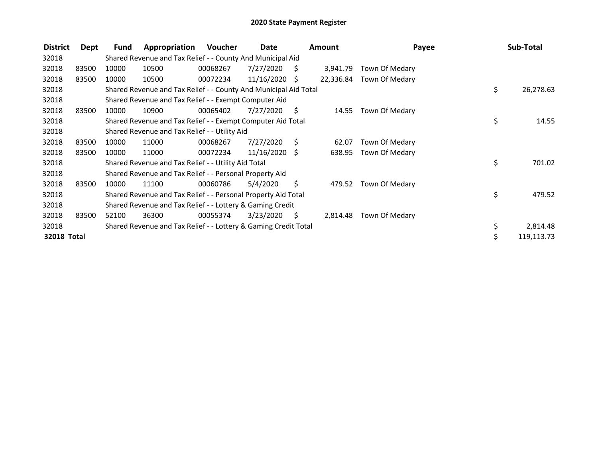| <b>District</b> | Dept  | Fund  | Appropriation                                                    | Voucher  | Date            |     | Amount    | Payee          | Sub-Total        |
|-----------------|-------|-------|------------------------------------------------------------------|----------|-----------------|-----|-----------|----------------|------------------|
| 32018           |       |       | Shared Revenue and Tax Relief - - County And Municipal Aid       |          |                 |     |           |                |                  |
| 32018           | 83500 | 10000 | 10500                                                            | 00068267 | 7/27/2020       | S.  | 3,941.79  | Town Of Medary |                  |
| 32018           | 83500 | 10000 | 10500                                                            | 00072234 | $11/16/2020$ \$ |     | 22,336.84 | Town Of Medary |                  |
| 32018           |       |       | Shared Revenue and Tax Relief - - County And Municipal Aid Total |          |                 |     |           |                | \$<br>26,278.63  |
| 32018           |       |       | Shared Revenue and Tax Relief - - Exempt Computer Aid            |          |                 |     |           |                |                  |
| 32018           | 83500 | 10000 | 10900                                                            | 00065402 | 7/27/2020       | S   | 14.55     | Town Of Medary |                  |
| 32018           |       |       | Shared Revenue and Tax Relief - - Exempt Computer Aid Total      |          |                 |     |           |                | \$<br>14.55      |
| 32018           |       |       | Shared Revenue and Tax Relief - - Utility Aid                    |          |                 |     |           |                |                  |
| 32018           | 83500 | 10000 | 11000                                                            | 00068267 | 7/27/2020       | - S | 62.07     | Town Of Medary |                  |
| 32018           | 83500 | 10000 | 11000                                                            | 00072234 | $11/16/2020$ \$ |     | 638.95    | Town Of Medary |                  |
| 32018           |       |       | Shared Revenue and Tax Relief - - Utility Aid Total              |          |                 |     |           |                | \$<br>701.02     |
| 32018           |       |       | Shared Revenue and Tax Relief - - Personal Property Aid          |          |                 |     |           |                |                  |
| 32018           | 83500 | 10000 | 11100                                                            | 00060786 | 5/4/2020        | S   | 479.52    | Town Of Medary |                  |
| 32018           |       |       | Shared Revenue and Tax Relief - - Personal Property Aid Total    |          |                 |     |           |                | \$<br>479.52     |
| 32018           |       |       | Shared Revenue and Tax Relief - - Lottery & Gaming Credit        |          |                 |     |           |                |                  |
| 32018           | 83500 | 52100 | 36300                                                            | 00055374 | 3/23/2020       | - S | 2,814.48  | Town Of Medary |                  |
| 32018           |       |       | Shared Revenue and Tax Relief - - Lottery & Gaming Credit Total  |          |                 |     |           |                | \$<br>2,814.48   |
| 32018 Total     |       |       |                                                                  |          |                 |     |           |                | \$<br>119,113.73 |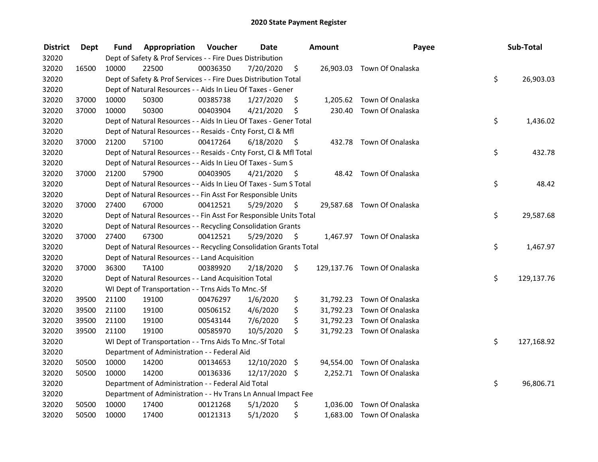| <b>District</b> | <b>Dept</b> | Fund  | Appropriation                                                      | Voucher  | <b>Date</b>   |      | Amount   | Payee                       | Sub-Total        |
|-----------------|-------------|-------|--------------------------------------------------------------------|----------|---------------|------|----------|-----------------------------|------------------|
| 32020           |             |       | Dept of Safety & Prof Services - - Fire Dues Distribution          |          |               |      |          |                             |                  |
| 32020           | 16500       | 10000 | 22500                                                              | 00036350 | 7/20/2020     | \$   |          | 26,903.03 Town Of Onalaska  |                  |
| 32020           |             |       | Dept of Safety & Prof Services - - Fire Dues Distribution Total    |          |               |      |          |                             | \$<br>26,903.03  |
| 32020           |             |       | Dept of Natural Resources - - Aids In Lieu Of Taxes - Gener        |          |               |      |          |                             |                  |
| 32020           | 37000       | 10000 | 50300                                                              | 00385738 | 1/27/2020     | \$   |          | 1,205.62 Town Of Onalaska   |                  |
| 32020           | 37000       | 10000 | 50300                                                              | 00403904 | 4/21/2020     | \$   |          | 230.40 Town Of Onalaska     |                  |
| 32020           |             |       | Dept of Natural Resources - - Aids In Lieu Of Taxes - Gener Total  |          |               |      |          |                             | \$<br>1,436.02   |
| 32020           |             |       | Dept of Natural Resources - - Resaids - Cnty Forst, Cl & Mfl       |          |               |      |          |                             |                  |
| 32020           | 37000       | 21200 | 57100                                                              | 00417264 | 6/18/2020     | - \$ |          | 432.78 Town Of Onalaska     |                  |
| 32020           |             |       | Dept of Natural Resources - - Resaids - Cnty Forst, CI & Mfl Total |          |               |      |          |                             | \$<br>432.78     |
| 32020           |             |       | Dept of Natural Resources - - Aids In Lieu Of Taxes - Sum S        |          |               |      |          |                             |                  |
| 32020           | 37000       | 21200 | 57900                                                              | 00403905 | 4/21/2020     | -\$  |          | 48.42 Town Of Onalaska      |                  |
| 32020           |             |       | Dept of Natural Resources - - Aids In Lieu Of Taxes - Sum S Total  |          |               |      |          |                             | \$<br>48.42      |
| 32020           |             |       | Dept of Natural Resources - - Fin Asst For Responsible Units       |          |               |      |          |                             |                  |
| 32020           | 37000       | 27400 | 67000                                                              | 00412521 | 5/29/2020     | \$   |          | 29,587.68 Town Of Onalaska  |                  |
| 32020           |             |       | Dept of Natural Resources - - Fin Asst For Responsible Units Total |          |               |      |          |                             | \$<br>29,587.68  |
| 32020           |             |       | Dept of Natural Resources - - Recycling Consolidation Grants       |          |               |      |          |                             |                  |
| 32020           | 37000       | 27400 | 67300                                                              | 00412521 | 5/29/2020     | \$   |          | 1,467.97 Town Of Onalaska   |                  |
| 32020           |             |       | Dept of Natural Resources - - Recycling Consolidation Grants Total |          |               |      |          |                             | \$<br>1,467.97   |
| 32020           |             |       | Dept of Natural Resources - - Land Acquisition                     |          |               |      |          |                             |                  |
| 32020           | 37000       | 36300 | TA100                                                              | 00389920 | 2/18/2020     | \$   |          | 129,137.76 Town Of Onalaska |                  |
| 32020           |             |       | Dept of Natural Resources - - Land Acquisition Total               |          |               |      |          |                             | \$<br>129,137.76 |
| 32020           |             |       | WI Dept of Transportation - - Trns Aids To Mnc.-Sf                 |          |               |      |          |                             |                  |
| 32020           | 39500       | 21100 | 19100                                                              | 00476297 | 1/6/2020      | \$   |          | 31,792.23 Town Of Onalaska  |                  |
| 32020           | 39500       | 21100 | 19100                                                              | 00506152 | 4/6/2020      | \$   |          | 31,792.23 Town Of Onalaska  |                  |
| 32020           | 39500       | 21100 | 19100                                                              | 00543144 | 7/6/2020      | \$   |          | 31,792.23 Town Of Onalaska  |                  |
| 32020           | 39500       | 21100 | 19100                                                              | 00585970 | 10/5/2020     | \$   |          | 31,792.23 Town Of Onalaska  |                  |
| 32020           |             |       | WI Dept of Transportation - - Trns Aids To Mnc.-Sf Total           |          |               |      |          |                             | \$<br>127,168.92 |
| 32020           |             |       | Department of Administration - - Federal Aid                       |          |               |      |          |                             |                  |
| 32020           | 50500       | 10000 | 14200                                                              | 00134653 | 12/10/2020 \$ |      |          | 94,554.00 Town Of Onalaska  |                  |
| 32020           | 50500       | 10000 | 14200                                                              | 00136336 | 12/17/2020 \$ |      |          | 2,252.71 Town Of Onalaska   |                  |
| 32020           |             |       | Department of Administration - - Federal Aid Total                 |          |               |      |          |                             | \$<br>96,806.71  |
| 32020           |             |       | Department of Administration - - Hv Trans Ln Annual Impact Fee     |          |               |      |          |                             |                  |
| 32020           | 50500       | 10000 | 17400                                                              | 00121268 | 5/1/2020      | \$   | 1,036.00 | Town Of Onalaska            |                  |
| 32020           | 50500       | 10000 | 17400                                                              | 00121313 | 5/1/2020      | \$   |          | 1,683.00 Town Of Onalaska   |                  |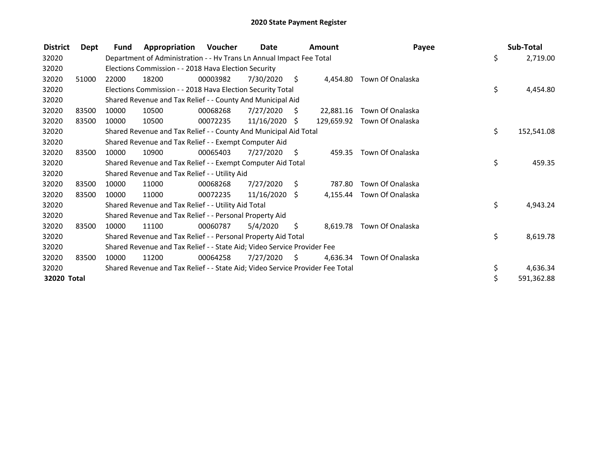| <b>District</b> | Dept  | Fund  | Appropriation                                                                 | Voucher  | <b>Date</b>     |      | Amount     | Payee                     | Sub-Total        |
|-----------------|-------|-------|-------------------------------------------------------------------------------|----------|-----------------|------|------------|---------------------------|------------------|
| 32020           |       |       | Department of Administration - - Hv Trans Ln Annual Impact Fee Total          |          |                 |      |            |                           | \$<br>2,719.00   |
| 32020           |       |       | Elections Commission - - 2018 Hava Election Security                          |          |                 |      |            |                           |                  |
| 32020           | 51000 | 22000 | 18200                                                                         | 00003982 | 7/30/2020       | - \$ | 4.454.80   | Town Of Onalaska          |                  |
| 32020           |       |       | Elections Commission - - 2018 Hava Election Security Total                    |          |                 |      |            |                           | \$<br>4,454.80   |
| 32020           |       |       | Shared Revenue and Tax Relief - - County And Municipal Aid                    |          |                 |      |            |                           |                  |
| 32020           | 83500 | 10000 | 10500                                                                         | 00068268 | 7/27/2020       | S.   | 22,881.16  | Town Of Onalaska          |                  |
| 32020           | 83500 | 10000 | 10500                                                                         | 00072235 | $11/16/2020$ \$ |      | 129.659.92 | Town Of Onalaska          |                  |
| 32020           |       |       | Shared Revenue and Tax Relief - - County And Municipal Aid Total              |          |                 |      |            |                           | \$<br>152,541.08 |
| 32020           |       |       | Shared Revenue and Tax Relief - - Exempt Computer Aid                         |          |                 |      |            |                           |                  |
| 32020           | 83500 | 10000 | 10900                                                                         | 00065403 | 7/27/2020       | -\$  | 459.35     | Town Of Onalaska          |                  |
| 32020           |       |       | Shared Revenue and Tax Relief - - Exempt Computer Aid Total                   |          |                 |      |            |                           | \$<br>459.35     |
| 32020           |       |       | Shared Revenue and Tax Relief - - Utility Aid                                 |          |                 |      |            |                           |                  |
| 32020           | 83500 | 10000 | 11000                                                                         | 00068268 | 7/27/2020       | - \$ | 787.80     | Town Of Onalaska          |                  |
| 32020           | 83500 | 10000 | 11000                                                                         | 00072235 | $11/16/2020$ \$ |      |            | 4,155.44 Town Of Onalaska |                  |
| 32020           |       |       | Shared Revenue and Tax Relief - - Utility Aid Total                           |          |                 |      |            |                           | \$<br>4,943.24   |
| 32020           |       |       | Shared Revenue and Tax Relief - - Personal Property Aid                       |          |                 |      |            |                           |                  |
| 32020           | 83500 | 10000 | 11100                                                                         | 00060787 | 5/4/2020        | \$.  |            | 8,619.78 Town Of Onalaska |                  |
| 32020           |       |       | Shared Revenue and Tax Relief - - Personal Property Aid Total                 |          |                 |      |            |                           | \$<br>8,619.78   |
| 32020           |       |       | Shared Revenue and Tax Relief - - State Aid; Video Service Provider Fee       |          |                 |      |            |                           |                  |
| 32020           | 83500 | 10000 | 11200                                                                         | 00064258 | 7/27/2020       | -S   | 4.636.34   | Town Of Onalaska          |                  |
| 32020           |       |       | Shared Revenue and Tax Relief - - State Aid; Video Service Provider Fee Total |          |                 |      |            |                           | \$<br>4,636.34   |
| 32020 Total     |       |       |                                                                               |          |                 |      |            |                           | \$<br>591,362.88 |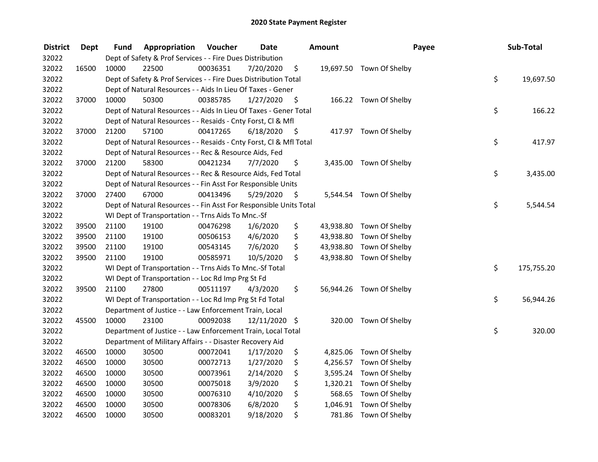| <b>District</b> | <b>Dept</b> | Fund  | Appropriation                                                      | Voucher  | <b>Date</b>   |      | Amount    | Payee                    | Sub-Total        |
|-----------------|-------------|-------|--------------------------------------------------------------------|----------|---------------|------|-----------|--------------------------|------------------|
| 32022           |             |       | Dept of Safety & Prof Services - - Fire Dues Distribution          |          |               |      |           |                          |                  |
| 32022           | 16500       | 10000 | 22500                                                              | 00036351 | 7/20/2020     | \$   |           | 19,697.50 Town Of Shelby |                  |
| 32022           |             |       | Dept of Safety & Prof Services - - Fire Dues Distribution Total    |          |               |      |           |                          | \$<br>19,697.50  |
| 32022           |             |       | Dept of Natural Resources - - Aids In Lieu Of Taxes - Gener        |          |               |      |           |                          |                  |
| 32022           | 37000       | 10000 | 50300                                                              | 00385785 | 1/27/2020     | \$   |           | 166.22 Town Of Shelby    |                  |
| 32022           |             |       | Dept of Natural Resources - - Aids In Lieu Of Taxes - Gener Total  |          |               |      |           |                          | \$<br>166.22     |
| 32022           |             |       | Dept of Natural Resources - - Resaids - Cnty Forst, Cl & Mfl       |          |               |      |           |                          |                  |
| 32022           | 37000       | 21200 | 57100                                                              | 00417265 | 6/18/2020     | - \$ |           | 417.97 Town Of Shelby    |                  |
| 32022           |             |       | Dept of Natural Resources - - Resaids - Cnty Forst, Cl & Mfl Total |          |               |      |           |                          | \$<br>417.97     |
| 32022           |             |       | Dept of Natural Resources - - Rec & Resource Aids, Fed             |          |               |      |           |                          |                  |
| 32022           | 37000       | 21200 | 58300                                                              | 00421234 | 7/7/2020      | \$   |           | 3,435.00 Town Of Shelby  |                  |
| 32022           |             |       | Dept of Natural Resources - - Rec & Resource Aids, Fed Total       |          |               |      |           |                          | \$<br>3,435.00   |
| 32022           |             |       | Dept of Natural Resources - - Fin Asst For Responsible Units       |          |               |      |           |                          |                  |
| 32022           | 37000       | 27400 | 67000                                                              | 00413496 | 5/29/2020     | \$   |           | 5,544.54 Town Of Shelby  |                  |
| 32022           |             |       | Dept of Natural Resources - - Fin Asst For Responsible Units Total |          |               |      |           |                          | \$<br>5,544.54   |
| 32022           |             |       | WI Dept of Transportation - - Trns Aids To Mnc.-Sf                 |          |               |      |           |                          |                  |
| 32022           | 39500       | 21100 | 19100                                                              | 00476298 | 1/6/2020      | \$   | 43,938.80 | Town Of Shelby           |                  |
| 32022           | 39500       | 21100 | 19100                                                              | 00506153 | 4/6/2020      | \$   | 43,938.80 | Town Of Shelby           |                  |
| 32022           | 39500       | 21100 | 19100                                                              | 00543145 | 7/6/2020      | \$   | 43,938.80 | Town Of Shelby           |                  |
| 32022           | 39500       | 21100 | 19100                                                              | 00585971 | 10/5/2020     | \$   | 43,938.80 | Town Of Shelby           |                  |
| 32022           |             |       | WI Dept of Transportation - - Trns Aids To Mnc.-Sf Total           |          |               |      |           |                          | \$<br>175,755.20 |
| 32022           |             |       | WI Dept of Transportation - - Loc Rd Imp Prg St Fd                 |          |               |      |           |                          |                  |
| 32022           | 39500       | 21100 | 27800                                                              | 00511197 | 4/3/2020      | \$   |           | 56,944.26 Town Of Shelby |                  |
| 32022           |             |       | WI Dept of Transportation - - Loc Rd Imp Prg St Fd Total           |          |               |      |           |                          | \$<br>56,944.26  |
| 32022           |             |       | Department of Justice - - Law Enforcement Train, Local             |          |               |      |           |                          |                  |
| 32022           | 45500       | 10000 | 23100                                                              | 00092038 | 12/11/2020 \$ |      |           | 320.00 Town Of Shelby    |                  |
| 32022           |             |       | Department of Justice - - Law Enforcement Train, Local Total       |          |               |      |           |                          | \$<br>320.00     |
| 32022           |             |       | Department of Military Affairs - - Disaster Recovery Aid           |          |               |      |           |                          |                  |
| 32022           | 46500       | 10000 | 30500                                                              | 00072041 | 1/17/2020     | \$   | 4,825.06  | Town Of Shelby           |                  |
| 32022           | 46500       | 10000 | 30500                                                              | 00072713 | 1/27/2020     | \$   | 4,256.57  | Town Of Shelby           |                  |
| 32022           | 46500       | 10000 | 30500                                                              | 00073961 | 2/14/2020     | \$   | 3,595.24  | Town Of Shelby           |                  |
| 32022           | 46500       | 10000 | 30500                                                              | 00075018 | 3/9/2020      | \$   | 1,320.21  | Town Of Shelby           |                  |
| 32022           | 46500       | 10000 | 30500                                                              | 00076310 | 4/10/2020     | \$   | 568.65    | Town Of Shelby           |                  |
| 32022           | 46500       | 10000 | 30500                                                              | 00078306 | 6/8/2020      | \$   | 1,046.91  | Town Of Shelby           |                  |
| 32022           | 46500       | 10000 | 30500                                                              | 00083201 | 9/18/2020     | \$   | 781.86    | Town Of Shelby           |                  |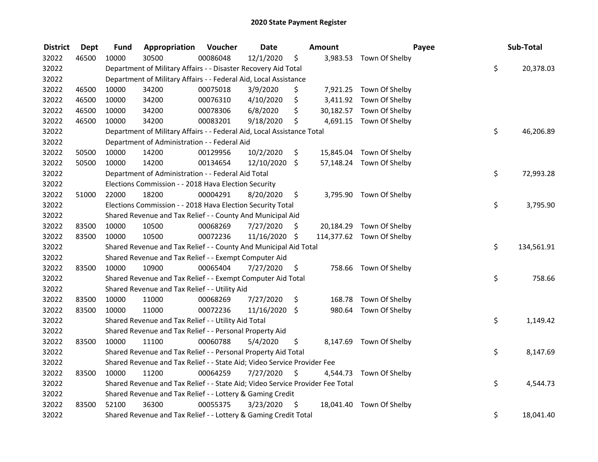| <b>District</b> | Dept  | Fund  | Appropriation                                                                 | Voucher  | <b>Date</b>   |      | Amount |                           | Payee | Sub-Total        |
|-----------------|-------|-------|-------------------------------------------------------------------------------|----------|---------------|------|--------|---------------------------|-------|------------------|
| 32022           | 46500 | 10000 | 30500                                                                         | 00086048 | 12/1/2020     | \$   |        | 3,983.53 Town Of Shelby   |       |                  |
| 32022           |       |       | Department of Military Affairs - - Disaster Recovery Aid Total                |          |               |      |        |                           |       | \$<br>20,378.03  |
| 32022           |       |       | Department of Military Affairs - - Federal Aid, Local Assistance              |          |               |      |        |                           |       |                  |
| 32022           | 46500 | 10000 | 34200                                                                         | 00075018 | 3/9/2020      | \$   |        | 7,921.25 Town Of Shelby   |       |                  |
| 32022           | 46500 | 10000 | 34200                                                                         | 00076310 | 4/10/2020     | \$   |        | 3,411.92 Town Of Shelby   |       |                  |
| 32022           | 46500 | 10000 | 34200                                                                         | 00078306 | 6/8/2020      | \$   |        | 30,182.57 Town Of Shelby  |       |                  |
| 32022           | 46500 | 10000 | 34200                                                                         | 00083201 | 9/18/2020     | \$   |        | 4,691.15 Town Of Shelby   |       |                  |
| 32022           |       |       | Department of Military Affairs - - Federal Aid, Local Assistance Total        |          |               |      |        |                           |       | \$<br>46,206.89  |
| 32022           |       |       | Department of Administration - - Federal Aid                                  |          |               |      |        |                           |       |                  |
| 32022           | 50500 | 10000 | 14200                                                                         | 00129956 | 10/2/2020     | \$   |        | 15,845.04 Town Of Shelby  |       |                  |
| 32022           | 50500 | 10000 | 14200                                                                         | 00134654 | 12/10/2020 \$ |      |        | 57,148.24 Town Of Shelby  |       |                  |
| 32022           |       |       | Department of Administration - - Federal Aid Total                            |          |               |      |        |                           |       | \$<br>72,993.28  |
| 32022           |       |       | Elections Commission - - 2018 Hava Election Security                          |          |               |      |        |                           |       |                  |
| 32022           | 51000 | 22000 | 18200                                                                         | 00004291 | 8/20/2020     | \$   |        | 3,795.90 Town Of Shelby   |       |                  |
| 32022           |       |       | Elections Commission - - 2018 Hava Election Security Total                    |          |               |      |        |                           |       | \$<br>3,795.90   |
| 32022           |       |       | Shared Revenue and Tax Relief - - County And Municipal Aid                    |          |               |      |        |                           |       |                  |
| 32022           | 83500 | 10000 | 10500                                                                         | 00068269 | 7/27/2020     | S    |        | 20,184.29 Town Of Shelby  |       |                  |
| 32022           | 83500 | 10000 | 10500                                                                         | 00072236 | 11/16/2020 \$ |      |        | 114,377.62 Town Of Shelby |       |                  |
| 32022           |       |       | Shared Revenue and Tax Relief - - County And Municipal Aid Total              |          |               |      |        |                           |       | \$<br>134,561.91 |
| 32022           |       |       | Shared Revenue and Tax Relief - - Exempt Computer Aid                         |          |               |      |        |                           |       |                  |
| 32022           | 83500 | 10000 | 10900                                                                         | 00065404 | 7/27/2020     | \$   |        | 758.66 Town Of Shelby     |       |                  |
| 32022           |       |       | Shared Revenue and Tax Relief - - Exempt Computer Aid Total                   |          |               |      |        |                           |       | \$<br>758.66     |
| 32022           |       |       | Shared Revenue and Tax Relief - - Utility Aid                                 |          |               |      |        |                           |       |                  |
| 32022           | 83500 | 10000 | 11000                                                                         | 00068269 | 7/27/2020     | \$   |        | 168.78 Town Of Shelby     |       |                  |
| 32022           | 83500 | 10000 | 11000                                                                         | 00072236 | 11/16/2020 \$ |      |        | 980.64 Town Of Shelby     |       |                  |
| 32022           |       |       | Shared Revenue and Tax Relief - - Utility Aid Total                           |          |               |      |        |                           |       | \$<br>1,149.42   |
| 32022           |       |       | Shared Revenue and Tax Relief - - Personal Property Aid                       |          |               |      |        |                           |       |                  |
| 32022           | 83500 | 10000 | 11100                                                                         | 00060788 | 5/4/2020      | \$   |        | 8,147.69 Town Of Shelby   |       |                  |
| 32022           |       |       | Shared Revenue and Tax Relief - - Personal Property Aid Total                 |          |               |      |        |                           |       | \$<br>8,147.69   |
| 32022           |       |       | Shared Revenue and Tax Relief - - State Aid; Video Service Provider Fee       |          |               |      |        |                           |       |                  |
| 32022           | 83500 | 10000 | 11200                                                                         | 00064259 | 7/27/2020     | \$   |        | 4,544.73 Town Of Shelby   |       |                  |
| 32022           |       |       | Shared Revenue and Tax Relief - - State Aid; Video Service Provider Fee Total |          |               |      |        |                           |       | \$<br>4,544.73   |
| 32022           |       |       | Shared Revenue and Tax Relief - - Lottery & Gaming Credit                     |          |               |      |        |                           |       |                  |
| 32022           | 83500 | 52100 | 36300                                                                         | 00055375 | 3/23/2020     | - \$ |        | 18,041.40 Town Of Shelby  |       |                  |
| 32022           |       |       | Shared Revenue and Tax Relief - - Lottery & Gaming Credit Total               |          |               |      |        |                           |       | \$<br>18,041.40  |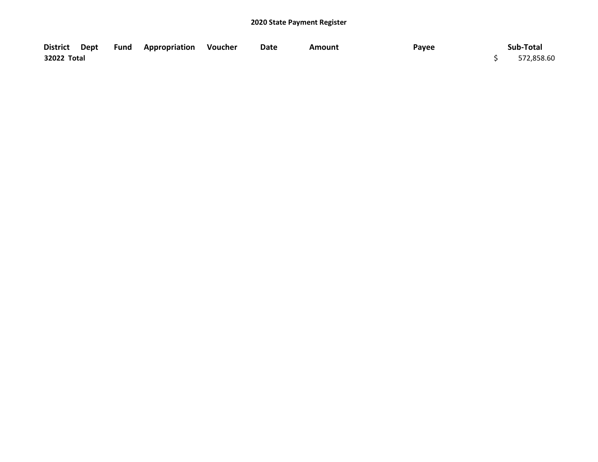|             |  | District Dept Fund Appropriation Voucher | Date | Amount | Payee | Sub-Total  |
|-------------|--|------------------------------------------|------|--------|-------|------------|
| 32022 Total |  |                                          |      |        |       | 572,858.60 |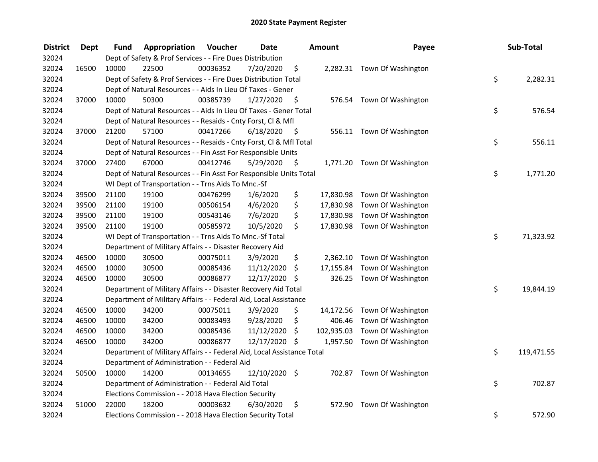| <b>District</b> | <b>Dept</b> | Fund  | Appropriation                                                          | Voucher  | <b>Date</b>     |      | <b>Amount</b> | Payee                        | Sub-Total        |
|-----------------|-------------|-------|------------------------------------------------------------------------|----------|-----------------|------|---------------|------------------------------|------------------|
| 32024           |             |       | Dept of Safety & Prof Services - - Fire Dues Distribution              |          |                 |      |               |                              |                  |
| 32024           | 16500       | 10000 | 22500                                                                  | 00036352 | 7/20/2020       | \$   |               | 2,282.31 Town Of Washington  |                  |
| 32024           |             |       | Dept of Safety & Prof Services - - Fire Dues Distribution Total        |          |                 |      |               |                              | \$<br>2,282.31   |
| 32024           |             |       | Dept of Natural Resources - - Aids In Lieu Of Taxes - Gener            |          |                 |      |               |                              |                  |
| 32024           | 37000       | 10000 | 50300                                                                  | 00385739 | 1/27/2020       | - \$ |               | 576.54 Town Of Washington    |                  |
| 32024           |             |       | Dept of Natural Resources - - Aids In Lieu Of Taxes - Gener Total      |          |                 |      |               |                              | \$<br>576.54     |
| 32024           |             |       | Dept of Natural Resources - - Resaids - Cnty Forst, Cl & Mfl           |          |                 |      |               |                              |                  |
| 32024           | 37000       | 21200 | 57100                                                                  | 00417266 | 6/18/2020       | - \$ |               | 556.11 Town Of Washington    |                  |
| 32024           |             |       | Dept of Natural Resources - - Resaids - Cnty Forst, Cl & Mfl Total     |          |                 |      |               |                              | \$<br>556.11     |
| 32024           |             |       | Dept of Natural Resources - - Fin Asst For Responsible Units           |          |                 |      |               |                              |                  |
| 32024           | 37000       | 27400 | 67000                                                                  | 00412746 | 5/29/2020       | \$   |               | 1,771.20 Town Of Washington  |                  |
| 32024           |             |       | Dept of Natural Resources - - Fin Asst For Responsible Units Total     |          |                 |      |               |                              | \$<br>1,771.20   |
| 32024           |             |       | WI Dept of Transportation - - Trns Aids To Mnc.-Sf                     |          |                 |      |               |                              |                  |
| 32024           | 39500       | 21100 | 19100                                                                  | 00476299 | 1/6/2020        | \$   | 17,830.98     | Town Of Washington           |                  |
| 32024           | 39500       | 21100 | 19100                                                                  | 00506154 | 4/6/2020        | \$   | 17,830.98     | Town Of Washington           |                  |
| 32024           | 39500       | 21100 | 19100                                                                  | 00543146 | 7/6/2020        | \$   | 17,830.98     | Town Of Washington           |                  |
| 32024           | 39500       | 21100 | 19100                                                                  | 00585972 | 10/5/2020       | \$   |               | 17,830.98 Town Of Washington |                  |
| 32024           |             |       | WI Dept of Transportation - - Trns Aids To Mnc.-Sf Total               |          |                 |      |               |                              | \$<br>71,323.92  |
| 32024           |             |       | Department of Military Affairs - - Disaster Recovery Aid               |          |                 |      |               |                              |                  |
| 32024           | 46500       | 10000 | 30500                                                                  | 00075011 | 3/9/2020        | \$   |               | 2,362.10 Town Of Washington  |                  |
| 32024           | 46500       | 10000 | 30500                                                                  | 00085436 | 11/12/2020      | \$   | 17,155.84     | Town Of Washington           |                  |
| 32024           | 46500       | 10000 | 30500                                                                  | 00086877 | $12/17/2020$ \$ |      | 326.25        | Town Of Washington           |                  |
| 32024           |             |       | Department of Military Affairs - - Disaster Recovery Aid Total         |          |                 |      |               |                              | \$<br>19,844.19  |
| 32024           |             |       | Department of Military Affairs - - Federal Aid, Local Assistance       |          |                 |      |               |                              |                  |
| 32024           | 46500       | 10000 | 34200                                                                  | 00075011 | 3/9/2020        | \$   | 14,172.56     | Town Of Washington           |                  |
| 32024           | 46500       | 10000 | 34200                                                                  | 00083493 | 9/28/2020       | \$   | 406.46        | Town Of Washington           |                  |
| 32024           | 46500       | 10000 | 34200                                                                  | 00085436 | 11/12/2020      | \$   | 102,935.03    | Town Of Washington           |                  |
| 32024           | 46500       | 10000 | 34200                                                                  | 00086877 | 12/17/2020 \$   |      |               | 1,957.50 Town Of Washington  |                  |
| 32024           |             |       | Department of Military Affairs - - Federal Aid, Local Assistance Total |          |                 |      |               |                              | \$<br>119,471.55 |
| 32024           |             |       | Department of Administration - - Federal Aid                           |          |                 |      |               |                              |                  |
| 32024           | 50500       | 10000 | 14200                                                                  | 00134655 | 12/10/2020 \$   |      |               | 702.87 Town Of Washington    |                  |
| 32024           |             |       | Department of Administration - - Federal Aid Total                     |          |                 |      |               |                              | \$<br>702.87     |
| 32024           |             |       | Elections Commission - - 2018 Hava Election Security                   |          |                 |      |               |                              |                  |
| 32024           | 51000       | 22000 | 18200                                                                  | 00003632 | 6/30/2020       | \$   | 572.90        | Town Of Washington           |                  |
| 32024           |             |       | Elections Commission - - 2018 Hava Election Security Total             |          |                 |      |               |                              | \$<br>572.90     |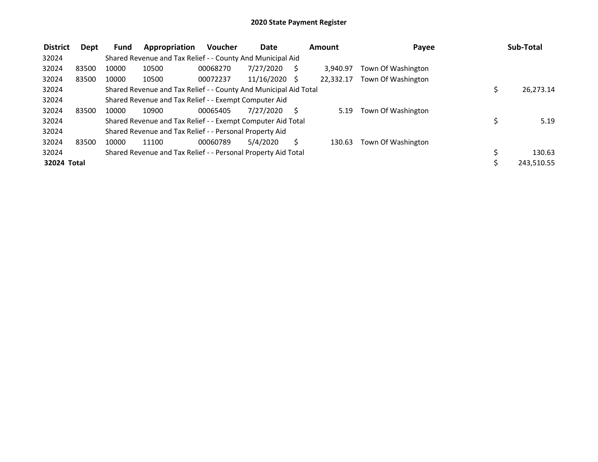| <b>District</b> | Dept  | Fund  | Appropriation                                                    | <b>Voucher</b> | Date       |   | Amount    | Payee              | Sub-Total  |
|-----------------|-------|-------|------------------------------------------------------------------|----------------|------------|---|-----------|--------------------|------------|
| 32024           |       |       | Shared Revenue and Tax Relief - - County And Municipal Aid       |                |            |   |           |                    |            |
| 32024           | 83500 | 10000 | 10500                                                            | 00068270       | 7/27/2020  |   | 3.940.97  | Town Of Washington |            |
| 32024           | 83500 | 10000 | 10500                                                            | 00072237       | 11/16/2020 | S | 22.332.17 | Town Of Washington |            |
| 32024           |       |       | Shared Revenue and Tax Relief - - County And Municipal Aid Total |                |            |   |           |                    | 26,273.14  |
| 32024           |       |       | Shared Revenue and Tax Relief - - Exempt Computer Aid            |                |            |   |           |                    |            |
| 32024           | 83500 | 10000 | 10900                                                            | 00065405       | 7/27/2020  |   | 5.19      | Town Of Washington |            |
| 32024           |       |       | Shared Revenue and Tax Relief - - Exempt Computer Aid Total      |                |            |   |           |                    | 5.19       |
| 32024           |       |       | Shared Revenue and Tax Relief - - Personal Property Aid          |                |            |   |           |                    |            |
| 32024           | 83500 | 10000 | 11100                                                            | 00060789       | 5/4/2020   |   | 130.63    | Town Of Washington |            |
| 32024           |       |       | Shared Revenue and Tax Relief - - Personal Property Aid Total    |                |            |   |           |                    | 130.63     |
| 32024 Total     |       |       |                                                                  |                |            |   |           |                    | 243.510.55 |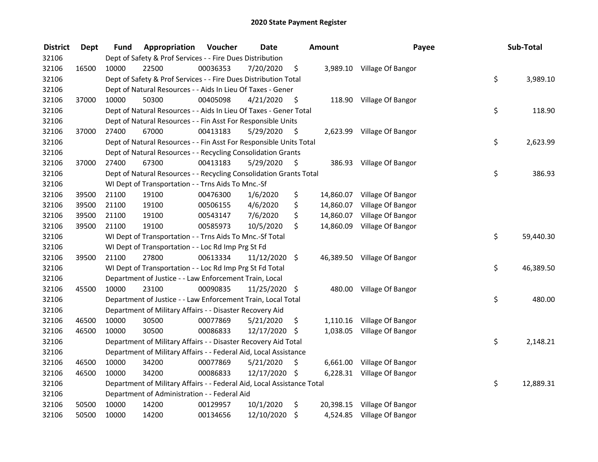| <b>District</b> | <b>Dept</b> | Fund  | Appropriation                                                          | Voucher  | <b>Date</b>   |      | <b>Amount</b> | Payee                       | Sub-Total       |
|-----------------|-------------|-------|------------------------------------------------------------------------|----------|---------------|------|---------------|-----------------------------|-----------------|
| 32106           |             |       | Dept of Safety & Prof Services - - Fire Dues Distribution              |          |               |      |               |                             |                 |
| 32106           | 16500       | 10000 | 22500                                                                  | 00036353 | 7/20/2020     | \$   |               | 3,989.10 Village Of Bangor  |                 |
| 32106           |             |       | Dept of Safety & Prof Services - - Fire Dues Distribution Total        |          |               |      |               |                             | \$<br>3,989.10  |
| 32106           |             |       | Dept of Natural Resources - - Aids In Lieu Of Taxes - Gener            |          |               |      |               |                             |                 |
| 32106           | 37000       | 10000 | 50300                                                                  | 00405098 | 4/21/2020     | \$   |               | 118.90 Village Of Bangor    |                 |
| 32106           |             |       | Dept of Natural Resources - - Aids In Lieu Of Taxes - Gener Total      |          |               |      |               |                             | \$<br>118.90    |
| 32106           |             |       | Dept of Natural Resources - - Fin Asst For Responsible Units           |          |               |      |               |                             |                 |
| 32106           | 37000       | 27400 | 67000                                                                  | 00413183 | 5/29/2020     | - \$ |               | 2,623.99 Village Of Bangor  |                 |
| 32106           |             |       | Dept of Natural Resources - - Fin Asst For Responsible Units Total     |          |               |      |               |                             | \$<br>2,623.99  |
| 32106           |             |       | Dept of Natural Resources - - Recycling Consolidation Grants           |          |               |      |               |                             |                 |
| 32106           | 37000       | 27400 | 67300                                                                  | 00413183 | 5/29/2020     | -\$  |               | 386.93 Village Of Bangor    |                 |
| 32106           |             |       | Dept of Natural Resources - - Recycling Consolidation Grants Total     |          |               |      |               |                             | \$<br>386.93    |
| 32106           |             |       | WI Dept of Transportation - - Trns Aids To Mnc.-Sf                     |          |               |      |               |                             |                 |
| 32106           | 39500       | 21100 | 19100                                                                  | 00476300 | 1/6/2020      | \$   |               | 14,860.07 Village Of Bangor |                 |
| 32106           | 39500       | 21100 | 19100                                                                  | 00506155 | 4/6/2020      | \$   | 14,860.07     | Village Of Bangor           |                 |
| 32106           | 39500       | 21100 | 19100                                                                  | 00543147 | 7/6/2020      | \$   |               | 14,860.07 Village Of Bangor |                 |
| 32106           | 39500       | 21100 | 19100                                                                  | 00585973 | 10/5/2020     | \$   |               | 14,860.09 Village Of Bangor |                 |
| 32106           |             |       | WI Dept of Transportation - - Trns Aids To Mnc.-Sf Total               |          |               |      |               |                             | \$<br>59,440.30 |
| 32106           |             |       | WI Dept of Transportation - - Loc Rd Imp Prg St Fd                     |          |               |      |               |                             |                 |
| 32106           | 39500       | 21100 | 27800                                                                  | 00613334 | 11/12/2020 \$ |      |               | 46,389.50 Village Of Bangor |                 |
| 32106           |             |       | WI Dept of Transportation - - Loc Rd Imp Prg St Fd Total               |          |               |      |               |                             | \$<br>46,389.50 |
| 32106           |             |       | Department of Justice - - Law Enforcement Train, Local                 |          |               |      |               |                             |                 |
| 32106           | 45500       | 10000 | 23100                                                                  | 00090835 | 11/25/2020 \$ |      |               | 480.00 Village Of Bangor    |                 |
| 32106           |             |       | Department of Justice - - Law Enforcement Train, Local Total           |          |               |      |               |                             | \$<br>480.00    |
| 32106           |             |       | Department of Military Affairs - - Disaster Recovery Aid               |          |               |      |               |                             |                 |
| 32106           | 46500       | 10000 | 30500                                                                  | 00077869 | 5/21/2020     | \$   |               | 1,110.16 Village Of Bangor  |                 |
| 32106           | 46500       | 10000 | 30500                                                                  | 00086833 | 12/17/2020    | \$   |               | 1,038.05 Village Of Bangor  |                 |
| 32106           |             |       | Department of Military Affairs - - Disaster Recovery Aid Total         |          |               |      |               |                             | \$<br>2,148.21  |
| 32106           |             |       | Department of Military Affairs - - Federal Aid, Local Assistance       |          |               |      |               |                             |                 |
| 32106           | 46500       | 10000 | 34200                                                                  | 00077869 | 5/21/2020     | \$   |               | 6,661.00 Village Of Bangor  |                 |
| 32106           | 46500       | 10000 | 34200                                                                  | 00086833 | 12/17/2020 \$ |      |               | 6,228.31 Village Of Bangor  |                 |
| 32106           |             |       | Department of Military Affairs - - Federal Aid, Local Assistance Total |          |               |      |               |                             | \$<br>12,889.31 |
| 32106           |             |       | Department of Administration - - Federal Aid                           |          |               |      |               |                             |                 |
| 32106           | 50500       | 10000 | 14200                                                                  | 00129957 | 10/1/2020     | \$   |               | 20,398.15 Village Of Bangor |                 |
| 32106           | 50500       | 10000 | 14200                                                                  | 00134656 | 12/10/2020    | \$   |               | 4,524.85 Village Of Bangor  |                 |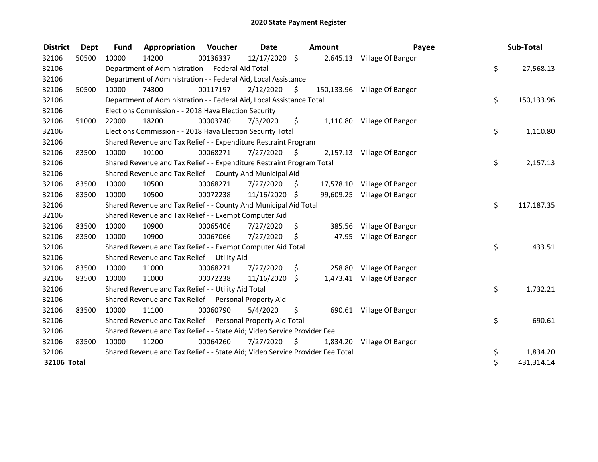| <b>District</b>    | <b>Dept</b> | <b>Fund</b> | Appropriation                                                                 | <b>Voucher</b> | Date          |      | <b>Amount</b> | Payee                        | Sub-Total        |
|--------------------|-------------|-------------|-------------------------------------------------------------------------------|----------------|---------------|------|---------------|------------------------------|------------------|
| 32106              | 50500       | 10000       | 14200                                                                         | 00136337       | 12/17/2020 \$ |      |               | 2,645.13 Village Of Bangor   |                  |
| 32106              |             |             | Department of Administration - - Federal Aid Total                            |                |               |      |               |                              | \$<br>27,568.13  |
| 32106              |             |             | Department of Administration - - Federal Aid, Local Assistance                |                |               |      |               |                              |                  |
| 32106              | 50500       | 10000       | 74300                                                                         | 00117197       | 2/12/2020     | Ŝ.   |               | 150,133.96 Village Of Bangor |                  |
| 32106              |             |             | Department of Administration - - Federal Aid, Local Assistance Total          |                |               |      |               |                              | \$<br>150,133.96 |
| 32106              |             |             | Elections Commission - - 2018 Hava Election Security                          |                |               |      |               |                              |                  |
| 32106              | 51000       | 22000       | 18200                                                                         | 00003740       | 7/3/2020      | \$   | 1,110.80      | Village Of Bangor            |                  |
| 32106              |             |             | Elections Commission - - 2018 Hava Election Security Total                    |                |               |      |               |                              | \$<br>1,110.80   |
| 32106              |             |             | Shared Revenue and Tax Relief - - Expenditure Restraint Program               |                |               |      |               |                              |                  |
| 32106              | 83500       | 10000       | 10100                                                                         | 00068271       | 7/27/2020     | S    |               | 2,157.13 Village Of Bangor   |                  |
| 32106              |             |             | Shared Revenue and Tax Relief - - Expenditure Restraint Program Total         |                |               |      |               |                              | \$<br>2,157.13   |
| 32106              |             |             | Shared Revenue and Tax Relief - - County And Municipal Aid                    |                |               |      |               |                              |                  |
| 32106              | 83500       | 10000       | 10500                                                                         | 00068271       | 7/27/2020     | \$   |               | 17,578.10 Village Of Bangor  |                  |
| 32106              | 83500       | 10000       | 10500                                                                         | 00072238       | 11/16/2020 \$ |      |               | 99,609.25 Village Of Bangor  |                  |
| 32106              |             |             | Shared Revenue and Tax Relief - - County And Municipal Aid Total              |                |               |      |               |                              | \$<br>117,187.35 |
| 32106              |             |             | Shared Revenue and Tax Relief - - Exempt Computer Aid                         |                |               |      |               |                              |                  |
| 32106              | 83500       | 10000       | 10900                                                                         | 00065406       | 7/27/2020     | \$.  | 385.56        | Village Of Bangor            |                  |
| 32106              | 83500       | 10000       | 10900                                                                         | 00067066       | 7/27/2020     | \$   | 47.95         | Village Of Bangor            |                  |
| 32106              |             |             | Shared Revenue and Tax Relief - - Exempt Computer Aid Total                   |                |               |      |               |                              | \$<br>433.51     |
| 32106              |             |             | Shared Revenue and Tax Relief - - Utility Aid                                 |                |               |      |               |                              |                  |
| 32106              | 83500       | 10000       | 11000                                                                         | 00068271       | 7/27/2020     | \$   | 258.80        | Village Of Bangor            |                  |
| 32106              | 83500       | 10000       | 11000                                                                         | 00072238       | 11/16/2020    | \$   | 1,473.41      | Village Of Bangor            |                  |
| 32106              |             |             | Shared Revenue and Tax Relief - - Utility Aid Total                           |                |               |      |               |                              | \$<br>1,732.21   |
| 32106              |             |             | Shared Revenue and Tax Relief - - Personal Property Aid                       |                |               |      |               |                              |                  |
| 32106              | 83500       | 10000       | 11100                                                                         | 00060790       | 5/4/2020      | \$   |               | 690.61 Village Of Bangor     |                  |
| 32106              |             |             | Shared Revenue and Tax Relief - - Personal Property Aid Total                 |                |               |      |               |                              | \$<br>690.61     |
| 32106              |             |             | Shared Revenue and Tax Relief - - State Aid; Video Service Provider Fee       |                |               |      |               |                              |                  |
| 32106              | 83500       | 10000       | 11200                                                                         | 00064260       | 7/27/2020     | - \$ | 1,834.20      | Village Of Bangor            |                  |
| 32106              |             |             | Shared Revenue and Tax Relief - - State Aid; Video Service Provider Fee Total |                |               |      |               |                              | \$<br>1,834.20   |
| <b>32106 Total</b> |             |             |                                                                               |                |               |      |               |                              | \$<br>431,314.14 |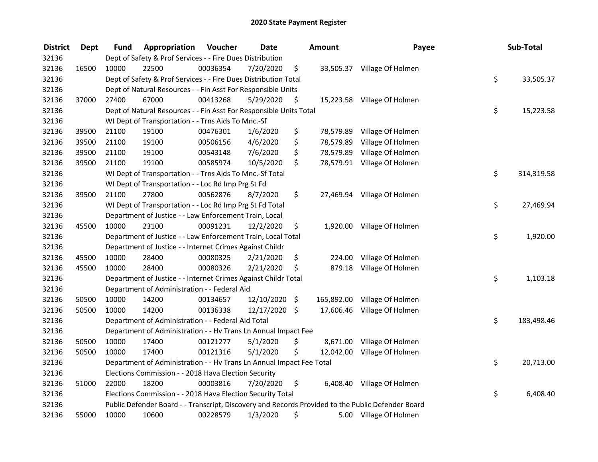| <b>District</b> | <b>Dept</b> | Fund  | Appropriation                                                        | Voucher  | <b>Date</b> | <b>Amount</b>    | Payee                                                                                             | Sub-Total        |
|-----------------|-------------|-------|----------------------------------------------------------------------|----------|-------------|------------------|---------------------------------------------------------------------------------------------------|------------------|
| 32136           |             |       | Dept of Safety & Prof Services - - Fire Dues Distribution            |          |             |                  |                                                                                                   |                  |
| 32136           | 16500       | 10000 | 22500                                                                | 00036354 | 7/20/2020   | \$               | 33,505.37 Village Of Holmen                                                                       |                  |
| 32136           |             |       | Dept of Safety & Prof Services - - Fire Dues Distribution Total      |          |             |                  |                                                                                                   | \$<br>33,505.37  |
| 32136           |             |       | Dept of Natural Resources - - Fin Asst For Responsible Units         |          |             |                  |                                                                                                   |                  |
| 32136           | 37000       | 27400 | 67000                                                                | 00413268 | 5/29/2020   | \$               | 15,223.58 Village Of Holmen                                                                       |                  |
| 32136           |             |       | Dept of Natural Resources - - Fin Asst For Responsible Units Total   |          |             |                  |                                                                                                   | \$<br>15,223.58  |
| 32136           |             |       | WI Dept of Transportation - - Trns Aids To Mnc.-Sf                   |          |             |                  |                                                                                                   |                  |
| 32136           | 39500       | 21100 | 19100                                                                | 00476301 | 1/6/2020    | \$               | 78,579.89 Village Of Holmen                                                                       |                  |
| 32136           | 39500       | 21100 | 19100                                                                | 00506156 | 4/6/2020    | \$<br>78,579.89  | Village Of Holmen                                                                                 |                  |
| 32136           | 39500       | 21100 | 19100                                                                | 00543148 | 7/6/2020    | \$<br>78,579.89  | Village Of Holmen                                                                                 |                  |
| 32136           | 39500       | 21100 | 19100                                                                | 00585974 | 10/5/2020   | \$               | 78,579.91 Village Of Holmen                                                                       |                  |
| 32136           |             |       | WI Dept of Transportation - - Trns Aids To Mnc.-Sf Total             |          |             |                  |                                                                                                   | \$<br>314,319.58 |
| 32136           |             |       | WI Dept of Transportation - - Loc Rd Imp Prg St Fd                   |          |             |                  |                                                                                                   |                  |
| 32136           | 39500       | 21100 | 27800                                                                | 00562876 | 8/7/2020    | \$               | 27,469.94 Village Of Holmen                                                                       |                  |
| 32136           |             |       | WI Dept of Transportation - - Loc Rd Imp Prg St Fd Total             |          |             |                  |                                                                                                   | \$<br>27,469.94  |
| 32136           |             |       | Department of Justice - - Law Enforcement Train, Local               |          |             |                  |                                                                                                   |                  |
| 32136           | 45500       | 10000 | 23100                                                                | 00091231 | 12/2/2020   | \$<br>1,920.00   | Village Of Holmen                                                                                 |                  |
| 32136           |             |       | Department of Justice - - Law Enforcement Train, Local Total         |          |             |                  |                                                                                                   | \$<br>1,920.00   |
| 32136           |             |       | Department of Justice - - Internet Crimes Against Childr             |          |             |                  |                                                                                                   |                  |
| 32136           | 45500       | 10000 | 28400                                                                | 00080325 | 2/21/2020   | \$<br>224.00     | Village Of Holmen                                                                                 |                  |
| 32136           | 45500       | 10000 | 28400                                                                | 00080326 | 2/21/2020   | \$<br>879.18     | Village Of Holmen                                                                                 |                  |
| 32136           |             |       | Department of Justice - - Internet Crimes Against Childr Total       |          |             |                  |                                                                                                   | \$<br>1,103.18   |
| 32136           |             |       | Department of Administration - - Federal Aid                         |          |             |                  |                                                                                                   |                  |
| 32136           | 50500       | 10000 | 14200                                                                | 00134657 | 12/10/2020  | \$<br>165,892.00 | Village Of Holmen                                                                                 |                  |
| 32136           | 50500       | 10000 | 14200                                                                | 00136338 | 12/17/2020  | \$               | 17,606.46 Village Of Holmen                                                                       |                  |
| 32136           |             |       | Department of Administration - - Federal Aid Total                   |          |             |                  |                                                                                                   | \$<br>183,498.46 |
| 32136           |             |       | Department of Administration - - Hv Trans Ln Annual Impact Fee       |          |             |                  |                                                                                                   |                  |
| 32136           | 50500       | 10000 | 17400                                                                | 00121277 | 5/1/2020    | \$               | 8,671.00 Village Of Holmen                                                                        |                  |
| 32136           | 50500       | 10000 | 17400                                                                | 00121316 | 5/1/2020    | \$<br>12,042.00  | Village Of Holmen                                                                                 |                  |
| 32136           |             |       | Department of Administration - - Hv Trans Ln Annual Impact Fee Total |          |             |                  |                                                                                                   | \$<br>20,713.00  |
| 32136           |             |       | Elections Commission - - 2018 Hava Election Security                 |          |             |                  |                                                                                                   |                  |
| 32136           | 51000       | 22000 | 18200                                                                | 00003816 | 7/20/2020   | \$               | 6,408.40 Village Of Holmen                                                                        |                  |
| 32136           |             |       | Elections Commission - - 2018 Hava Election Security Total           |          |             |                  |                                                                                                   | \$<br>6,408.40   |
| 32136           |             |       |                                                                      |          |             |                  | Public Defender Board - - Transcript, Discovery and Records Provided to the Public Defender Board |                  |
| 32136           | 55000       | 10000 | 10600                                                                | 00228579 | 1/3/2020    | \$               | 5.00 Village Of Holmen                                                                            |                  |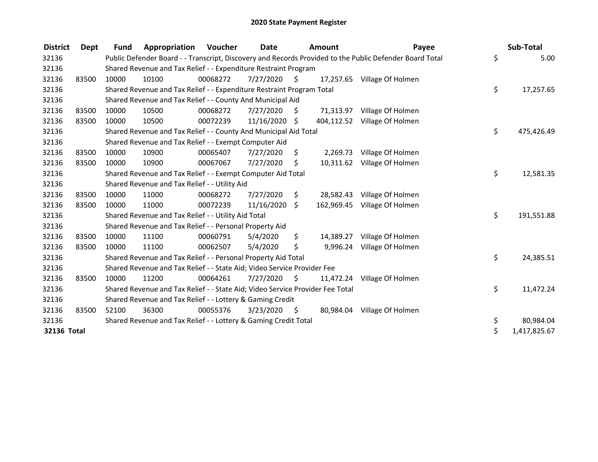| <b>District</b>    | Dept  | <b>Fund</b> | Appropriation                                                                 | Voucher  | Date       |      | <b>Amount</b> | Payee                                                                                                   | Sub-Total          |
|--------------------|-------|-------------|-------------------------------------------------------------------------------|----------|------------|------|---------------|---------------------------------------------------------------------------------------------------------|--------------------|
| 32136              |       |             |                                                                               |          |            |      |               | Public Defender Board - - Transcript, Discovery and Records Provided to the Public Defender Board Total | \$<br>5.00         |
| 32136              |       |             | Shared Revenue and Tax Relief - - Expenditure Restraint Program               |          |            |      |               |                                                                                                         |                    |
| 32136              | 83500 | 10000       | 10100                                                                         | 00068272 | 7/27/2020  | S.   |               | 17,257.65 Village Of Holmen                                                                             |                    |
| 32136              |       |             | Shared Revenue and Tax Relief - - Expenditure Restraint Program Total         |          |            |      |               |                                                                                                         | \$<br>17,257.65    |
| 32136              |       |             | Shared Revenue and Tax Relief - - County And Municipal Aid                    |          |            |      |               |                                                                                                         |                    |
| 32136              | 83500 | 10000       | 10500                                                                         | 00068272 | 7/27/2020  | \$.  |               | 71,313.97 Village Of Holmen                                                                             |                    |
| 32136              | 83500 | 10000       | 10500                                                                         | 00072239 | 11/16/2020 | \$   | 404,112.52    | Village Of Holmen                                                                                       |                    |
| 32136              |       |             | Shared Revenue and Tax Relief - - County And Municipal Aid Total              |          |            |      |               |                                                                                                         | \$<br>475,426.49   |
| 32136              |       |             | Shared Revenue and Tax Relief - - Exempt Computer Aid                         |          |            |      |               |                                                                                                         |                    |
| 32136              | 83500 | 10000       | 10900                                                                         | 00065407 | 7/27/2020  | \$.  | 2,269.73      | Village Of Holmen                                                                                       |                    |
| 32136              | 83500 | 10000       | 10900                                                                         | 00067067 | 7/27/2020  | Ŝ.   |               | 10,311.62 Village Of Holmen                                                                             |                    |
| 32136              |       |             | Shared Revenue and Tax Relief - - Exempt Computer Aid Total                   |          |            |      |               |                                                                                                         | \$<br>12,581.35    |
| 32136              |       |             | Shared Revenue and Tax Relief - - Utility Aid                                 |          |            |      |               |                                                                                                         |                    |
| 32136              | 83500 | 10000       | 11000                                                                         | 00068272 | 7/27/2020  | \$   | 28,582.43     | Village Of Holmen                                                                                       |                    |
| 32136              | 83500 | 10000       | 11000                                                                         | 00072239 | 11/16/2020 | \$   | 162,969.45    | Village Of Holmen                                                                                       |                    |
| 32136              |       |             | Shared Revenue and Tax Relief - - Utility Aid Total                           |          |            |      |               |                                                                                                         | \$<br>191,551.88   |
| 32136              |       |             | Shared Revenue and Tax Relief - - Personal Property Aid                       |          |            |      |               |                                                                                                         |                    |
| 32136              | 83500 | 10000       | 11100                                                                         | 00060791 | 5/4/2020   | \$   | 14,389.27     | Village Of Holmen                                                                                       |                    |
| 32136              | 83500 | 10000       | 11100                                                                         | 00062507 | 5/4/2020   | \$   | 9,996.24      | Village Of Holmen                                                                                       |                    |
| 32136              |       |             | Shared Revenue and Tax Relief - - Personal Property Aid Total                 |          |            |      |               |                                                                                                         | \$<br>24,385.51    |
| 32136              |       |             | Shared Revenue and Tax Relief - - State Aid; Video Service Provider Fee       |          |            |      |               |                                                                                                         |                    |
| 32136              | 83500 | 10000       | 11200                                                                         | 00064261 | 7/27/2020  | \$   | 11,472.24     | Village Of Holmen                                                                                       |                    |
| 32136              |       |             | Shared Revenue and Tax Relief - - State Aid; Video Service Provider Fee Total |          |            |      |               |                                                                                                         | \$<br>11,472.24    |
| 32136              |       |             | Shared Revenue and Tax Relief - - Lottery & Gaming Credit                     |          |            |      |               |                                                                                                         |                    |
| 32136              | 83500 | 52100       | 36300                                                                         | 00055376 | 3/23/2020  | - \$ |               | 80,984.04 Village Of Holmen                                                                             |                    |
| 32136              |       |             | Shared Revenue and Tax Relief - - Lottery & Gaming Credit Total               |          |            |      |               |                                                                                                         | \$<br>80,984.04    |
| <b>32136 Total</b> |       |             |                                                                               |          |            |      |               |                                                                                                         | \$<br>1,417,825.67 |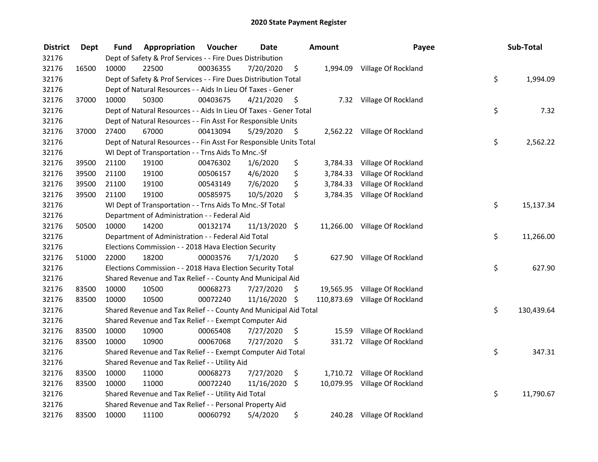| <b>District</b> | <b>Dept</b> | Fund  | Appropriation                                                      | Voucher  | <b>Date</b>   |      | Amount    | Payee                          | Sub-Total        |
|-----------------|-------------|-------|--------------------------------------------------------------------|----------|---------------|------|-----------|--------------------------------|------------------|
| 32176           |             |       | Dept of Safety & Prof Services - - Fire Dues Distribution          |          |               |      |           |                                |                  |
| 32176           | 16500       | 10000 | 22500                                                              | 00036355 | 7/20/2020     | \$   |           | 1,994.09 Village Of Rockland   |                  |
| 32176           |             |       | Dept of Safety & Prof Services - - Fire Dues Distribution Total    |          |               |      |           |                                | \$<br>1,994.09   |
| 32176           |             |       | Dept of Natural Resources - - Aids In Lieu Of Taxes - Gener        |          |               |      |           |                                |                  |
| 32176           | 37000       | 10000 | 50300                                                              | 00403675 | 4/21/2020     | \$   |           | 7.32 Village Of Rockland       |                  |
| 32176           |             |       | Dept of Natural Resources - - Aids In Lieu Of Taxes - Gener Total  |          |               |      |           |                                | \$<br>7.32       |
| 32176           |             |       | Dept of Natural Resources - - Fin Asst For Responsible Units       |          |               |      |           |                                |                  |
| 32176           | 37000       | 27400 | 67000                                                              | 00413094 | 5/29/2020     | - \$ |           | 2,562.22 Village Of Rockland   |                  |
| 32176           |             |       | Dept of Natural Resources - - Fin Asst For Responsible Units Total |          |               |      |           |                                | \$<br>2,562.22   |
| 32176           |             |       | WI Dept of Transportation - - Trns Aids To Mnc.-Sf                 |          |               |      |           |                                |                  |
| 32176           | 39500       | 21100 | 19100                                                              | 00476302 | 1/6/2020      | \$   |           | 3,784.33 Village Of Rockland   |                  |
| 32176           | 39500       | 21100 | 19100                                                              | 00506157 | 4/6/2020      | \$   | 3,784.33  | Village Of Rockland            |                  |
| 32176           | 39500       | 21100 | 19100                                                              | 00543149 | 7/6/2020      | \$   | 3,784.33  | Village Of Rockland            |                  |
| 32176           | 39500       | 21100 | 19100                                                              | 00585975 | 10/5/2020     | \$   |           | 3,784.35 Village Of Rockland   |                  |
| 32176           |             |       | WI Dept of Transportation - - Trns Aids To Mnc.-Sf Total           |          |               |      |           |                                | \$<br>15,137.34  |
| 32176           |             |       | Department of Administration - - Federal Aid                       |          |               |      |           |                                |                  |
| 32176           | 50500       | 10000 | 14200                                                              | 00132174 | 11/13/2020 \$ |      | 11,266.00 | Village Of Rockland            |                  |
| 32176           |             |       | Department of Administration - - Federal Aid Total                 |          |               |      |           |                                | \$<br>11,266.00  |
| 32176           |             |       | Elections Commission - - 2018 Hava Election Security               |          |               |      |           |                                |                  |
| 32176           | 51000       | 22000 | 18200                                                              | 00003576 | 7/1/2020      | \$   | 627.90    | Village Of Rockland            |                  |
| 32176           |             |       | Elections Commission - - 2018 Hava Election Security Total         |          |               |      |           |                                | \$<br>627.90     |
| 32176           |             |       | Shared Revenue and Tax Relief - - County And Municipal Aid         |          |               |      |           |                                |                  |
| 32176           | 83500       | 10000 | 10500                                                              | 00068273 | 7/27/2020     | S    |           | 19,565.95 Village Of Rockland  |                  |
| 32176           | 83500       | 10000 | 10500                                                              | 00072240 | 11/16/2020 \$ |      |           | 110,873.69 Village Of Rockland |                  |
| 32176           |             |       | Shared Revenue and Tax Relief - - County And Municipal Aid Total   |          |               |      |           |                                | \$<br>130,439.64 |
| 32176           |             |       | Shared Revenue and Tax Relief - - Exempt Computer Aid              |          |               |      |           |                                |                  |
| 32176           | 83500       | 10000 | 10900                                                              | 00065408 | 7/27/2020     | \$   | 15.59     | Village Of Rockland            |                  |
| 32176           | 83500       | 10000 | 10900                                                              | 00067068 | 7/27/2020     | \$   |           | 331.72 Village Of Rockland     |                  |
| 32176           |             |       | Shared Revenue and Tax Relief - - Exempt Computer Aid Total        |          |               |      |           |                                | \$<br>347.31     |
| 32176           |             |       | Shared Revenue and Tax Relief - - Utility Aid                      |          |               |      |           |                                |                  |
| 32176           | 83500       | 10000 | 11000                                                              | 00068273 | 7/27/2020     | \$   |           | 1,710.72 Village Of Rockland   |                  |
| 32176           | 83500       | 10000 | 11000                                                              | 00072240 | 11/16/2020    | \$   |           | 10,079.95 Village Of Rockland  |                  |
| 32176           |             |       | Shared Revenue and Tax Relief - - Utility Aid Total                |          |               |      |           |                                | \$<br>11,790.67  |
| 32176           |             |       | Shared Revenue and Tax Relief - - Personal Property Aid            |          |               |      |           |                                |                  |
| 32176           | 83500       | 10000 | 11100                                                              | 00060792 | 5/4/2020      | \$   |           | 240.28 Village Of Rockland     |                  |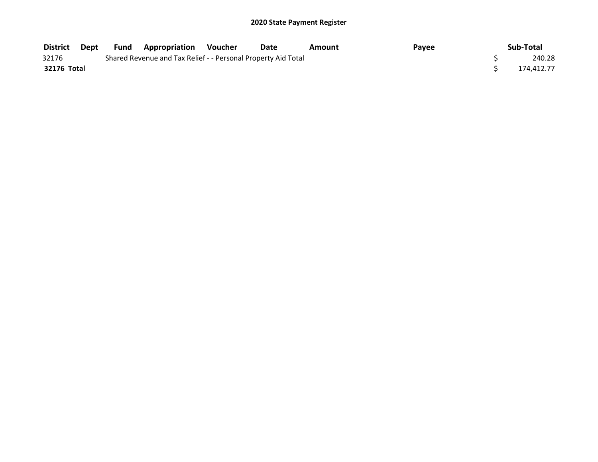| <b>District</b> | Dept | Fund | <b>Appropriation Voucher</b>                                  | Date | Amount | Payee | Sub-Total  |
|-----------------|------|------|---------------------------------------------------------------|------|--------|-------|------------|
| 32176           |      |      | Shared Revenue and Tax Relief - - Personal Property Aid Total |      |        |       | 240.28     |
| 32176 Total     |      |      |                                                               |      |        |       | 174.412.77 |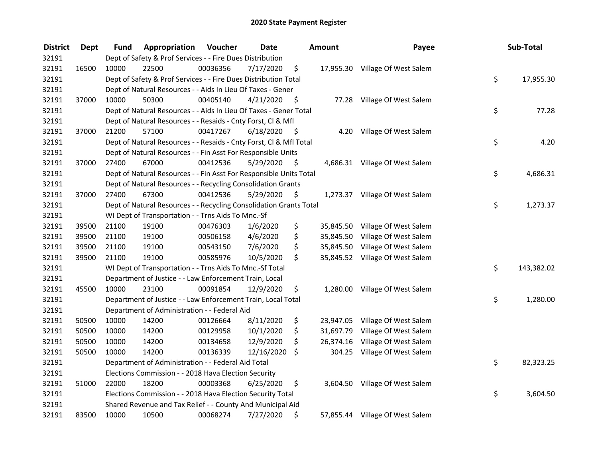| <b>District</b> | <b>Dept</b> | Fund  | Appropriation                                                      | Voucher  | <b>Date</b> |      | <b>Amount</b> | Payee                           | Sub-Total        |
|-----------------|-------------|-------|--------------------------------------------------------------------|----------|-------------|------|---------------|---------------------------------|------------------|
| 32191           |             |       | Dept of Safety & Prof Services - - Fire Dues Distribution          |          |             |      |               |                                 |                  |
| 32191           | 16500       | 10000 | 22500                                                              | 00036356 | 7/17/2020   | \$   |               | 17,955.30 Village Of West Salem |                  |
| 32191           |             |       | Dept of Safety & Prof Services - - Fire Dues Distribution Total    |          |             |      |               |                                 | \$<br>17,955.30  |
| 32191           |             |       | Dept of Natural Resources - - Aids In Lieu Of Taxes - Gener        |          |             |      |               |                                 |                  |
| 32191           | 37000       | 10000 | 50300                                                              | 00405140 | 4/21/2020   | -\$  |               | 77.28 Village Of West Salem     |                  |
| 32191           |             |       | Dept of Natural Resources - - Aids In Lieu Of Taxes - Gener Total  |          |             |      |               |                                 | \$<br>77.28      |
| 32191           |             |       | Dept of Natural Resources - - Resaids - Cnty Forst, Cl & Mfl       |          |             |      |               |                                 |                  |
| 32191           | 37000       | 21200 | 57100                                                              | 00417267 | 6/18/2020   | - \$ |               | 4.20 Village Of West Salem      |                  |
| 32191           |             |       | Dept of Natural Resources - - Resaids - Cnty Forst, Cl & Mfl Total |          |             |      |               |                                 | \$<br>4.20       |
| 32191           |             |       | Dept of Natural Resources - - Fin Asst For Responsible Units       |          |             |      |               |                                 |                  |
| 32191           | 37000       | 27400 | 67000                                                              | 00412536 | 5/29/2020   | \$   |               | 4,686.31 Village Of West Salem  |                  |
| 32191           |             |       | Dept of Natural Resources - - Fin Asst For Responsible Units Total |          |             |      |               |                                 | \$<br>4,686.31   |
| 32191           |             |       | Dept of Natural Resources - - Recycling Consolidation Grants       |          |             |      |               |                                 |                  |
| 32191           | 37000       | 27400 | 67300                                                              | 00412536 | 5/29/2020   | \$.  |               | 1,273.37 Village Of West Salem  |                  |
| 32191           |             |       | Dept of Natural Resources - - Recycling Consolidation Grants Total |          |             |      |               |                                 | \$<br>1,273.37   |
| 32191           |             |       | WI Dept of Transportation - - Trns Aids To Mnc.-Sf                 |          |             |      |               |                                 |                  |
| 32191           | 39500       | 21100 | 19100                                                              | 00476303 | 1/6/2020    | \$   | 35,845.50     | Village Of West Salem           |                  |
| 32191           | 39500       | 21100 | 19100                                                              | 00506158 | 4/6/2020    | \$   |               | 35,845.50 Village Of West Salem |                  |
| 32191           | 39500       | 21100 | 19100                                                              | 00543150 | 7/6/2020    | \$   |               | 35,845.50 Village Of West Salem |                  |
| 32191           | 39500       | 21100 | 19100                                                              | 00585976 | 10/5/2020   | \$   |               | 35,845.52 Village Of West Salem |                  |
| 32191           |             |       | WI Dept of Transportation - - Trns Aids To Mnc.-Sf Total           |          |             |      |               |                                 | \$<br>143,382.02 |
| 32191           |             |       | Department of Justice - - Law Enforcement Train, Local             |          |             |      |               |                                 |                  |
| 32191           | 45500       | 10000 | 23100                                                              | 00091854 | 12/9/2020   | \$   |               | 1,280.00 Village Of West Salem  |                  |
| 32191           |             |       | Department of Justice - - Law Enforcement Train, Local Total       |          |             |      |               |                                 | \$<br>1,280.00   |
| 32191           |             |       | Department of Administration - - Federal Aid                       |          |             |      |               |                                 |                  |
| 32191           | 50500       | 10000 | 14200                                                              | 00126664 | 8/11/2020   | \$   | 23,947.05     | Village Of West Salem           |                  |
| 32191           | 50500       | 10000 | 14200                                                              | 00129958 | 10/1/2020   | \$   | 31,697.79     | Village Of West Salem           |                  |
| 32191           | 50500       | 10000 | 14200                                                              | 00134658 | 12/9/2020   | \$   | 26,374.16     | Village Of West Salem           |                  |
| 32191           | 50500       | 10000 | 14200                                                              | 00136339 | 12/16/2020  | \$   | 304.25        | Village Of West Salem           |                  |
| 32191           |             |       | Department of Administration - - Federal Aid Total                 |          |             |      |               |                                 | \$<br>82,323.25  |
| 32191           |             |       | Elections Commission - - 2018 Hava Election Security               |          |             |      |               |                                 |                  |
| 32191           | 51000       | 22000 | 18200                                                              | 00003368 | 6/25/2020   | \$   |               | 3,604.50 Village Of West Salem  |                  |
| 32191           |             |       | Elections Commission - - 2018 Hava Election Security Total         |          |             |      |               |                                 | \$<br>3,604.50   |
| 32191           |             |       | Shared Revenue and Tax Relief - - County And Municipal Aid         |          |             |      |               |                                 |                  |
| 32191           | 83500       | 10000 | 10500                                                              | 00068274 | 7/27/2020   | \$   |               | 57,855.44 Village Of West Salem |                  |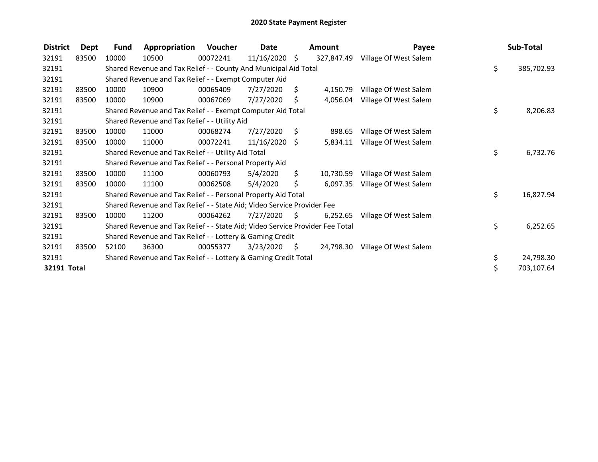| <b>District</b> | <b>Dept</b> | <b>Fund</b> | Appropriation                                                                 | Voucher  | Date            |                | Amount     | Payee                 | Sub-Total        |
|-----------------|-------------|-------------|-------------------------------------------------------------------------------|----------|-----------------|----------------|------------|-----------------------|------------------|
| 32191           | 83500       | 10000       | 10500                                                                         | 00072241 | $11/16/2020$ \$ |                | 327,847.49 | Village Of West Salem |                  |
| 32191           |             |             | Shared Revenue and Tax Relief - - County And Municipal Aid Total              |          |                 |                |            |                       | \$<br>385,702.93 |
| 32191           |             |             | Shared Revenue and Tax Relief - - Exempt Computer Aid                         |          |                 |                |            |                       |                  |
| 32191           | 83500       | 10000       | 10900                                                                         | 00065409 | 7/27/2020       | S.             | 4,150.79   | Village Of West Salem |                  |
| 32191           | 83500       | 10000       | 10900                                                                         | 00067069 | 7/27/2020       | Ŝ.             | 4,056.04   | Village Of West Salem |                  |
| 32191           |             |             | Shared Revenue and Tax Relief - - Exempt Computer Aid Total                   |          |                 |                |            |                       | \$<br>8,206.83   |
| 32191           |             |             | Shared Revenue and Tax Relief - - Utility Aid                                 |          |                 |                |            |                       |                  |
| 32191           | 83500       | 10000       | 11000                                                                         | 00068274 | 7/27/2020       | S.             | 898.65     | Village Of West Salem |                  |
| 32191           | 83500       | 10000       | 11000                                                                         | 00072241 | 11/16/2020      | S.             | 5,834.11   | Village Of West Salem |                  |
| 32191           |             |             | Shared Revenue and Tax Relief - - Utility Aid Total                           |          |                 |                |            |                       | \$<br>6,732.76   |
| 32191           |             |             | Shared Revenue and Tax Relief - - Personal Property Aid                       |          |                 |                |            |                       |                  |
| 32191           | 83500       | 10000       | 11100                                                                         | 00060793 | 5/4/2020        | \$             | 10,730.59  | Village Of West Salem |                  |
| 32191           | 83500       | 10000       | 11100                                                                         | 00062508 | 5/4/2020        | \$             | 6,097.35   | Village Of West Salem |                  |
| 32191           |             |             | Shared Revenue and Tax Relief - - Personal Property Aid Total                 |          |                 |                |            |                       | \$<br>16,827.94  |
| 32191           |             |             | Shared Revenue and Tax Relief - - State Aid; Video Service Provider Fee       |          |                 |                |            |                       |                  |
| 32191           | 83500       | 10000       | 11200                                                                         | 00064262 | 7/27/2020       | $\ddot{\zeta}$ | 6,252.65   | Village Of West Salem |                  |
| 32191           |             |             | Shared Revenue and Tax Relief - - State Aid; Video Service Provider Fee Total |          |                 |                |            |                       | \$<br>6,252.65   |
| 32191           |             |             | Shared Revenue and Tax Relief - - Lottery & Gaming Credit                     |          |                 |                |            |                       |                  |
| 32191           | 83500       | 52100       | 36300                                                                         | 00055377 | 3/23/2020       | \$             | 24,798.30  | Village Of West Salem |                  |
| 32191           |             |             | Shared Revenue and Tax Relief - - Lottery & Gaming Credit Total               |          |                 |                |            |                       | \$<br>24,798.30  |
| 32191 Total     |             |             |                                                                               |          |                 |                |            |                       | \$<br>703,107.64 |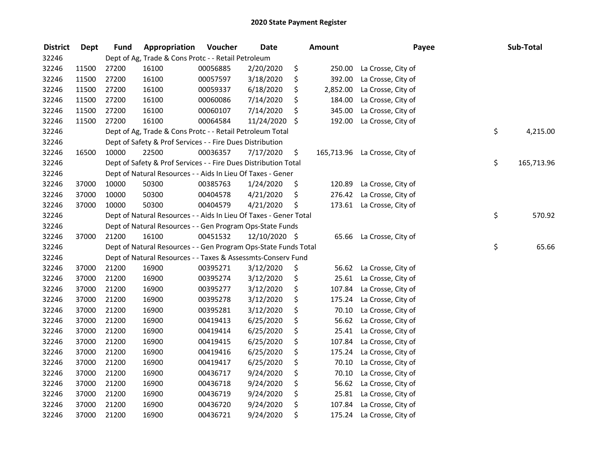| <b>District</b> | <b>Dept</b> | <b>Fund</b> | Appropriation                                                     | Voucher  | <b>Date</b>   |     | <b>Amount</b> | Payee                         | Sub-Total        |
|-----------------|-------------|-------------|-------------------------------------------------------------------|----------|---------------|-----|---------------|-------------------------------|------------------|
| 32246           |             |             | Dept of Ag, Trade & Cons Protc - - Retail Petroleum               |          |               |     |               |                               |                  |
| 32246           | 11500       | 27200       | 16100                                                             | 00056885 | 2/20/2020     | \$  | 250.00        | La Crosse, City of            |                  |
| 32246           | 11500       | 27200       | 16100                                                             | 00057597 | 3/18/2020     | \$  | 392.00        | La Crosse, City of            |                  |
| 32246           | 11500       | 27200       | 16100                                                             | 00059337 | 6/18/2020     | \$  | 2,852.00      | La Crosse, City of            |                  |
| 32246           | 11500       | 27200       | 16100                                                             | 00060086 | 7/14/2020     | \$  | 184.00        | La Crosse, City of            |                  |
| 32246           | 11500       | 27200       | 16100                                                             | 00060107 | 7/14/2020     | \$  | 345.00        | La Crosse, City of            |                  |
| 32246           | 11500       | 27200       | 16100                                                             | 00064584 | 11/24/2020    | \$  | 192.00        | La Crosse, City of            |                  |
| 32246           |             |             | Dept of Ag, Trade & Cons Protc - - Retail Petroleum Total         |          |               |     |               |                               | \$<br>4,215.00   |
| 32246           |             |             | Dept of Safety & Prof Services - - Fire Dues Distribution         |          |               |     |               |                               |                  |
| 32246           | 16500       | 10000       | 22500                                                             | 00036357 | 7/17/2020     | \$  |               | 165,713.96 La Crosse, City of |                  |
| 32246           |             |             | Dept of Safety & Prof Services - - Fire Dues Distribution Total   |          |               |     |               |                               | \$<br>165,713.96 |
| 32246           |             |             | Dept of Natural Resources - - Aids In Lieu Of Taxes - Gener       |          |               |     |               |                               |                  |
| 32246           | 37000       | 10000       | 50300                                                             | 00385763 | 1/24/2020     | \$, | 120.89        | La Crosse, City of            |                  |
| 32246           | 37000       | 10000       | 50300                                                             | 00404578 | 4/21/2020     | \$  | 276.42        | La Crosse, City of            |                  |
| 32246           | 37000       | 10000       | 50300                                                             | 00404579 | 4/21/2020     | \$  |               | 173.61 La Crosse, City of     |                  |
| 32246           |             |             | Dept of Natural Resources - - Aids In Lieu Of Taxes - Gener Total |          |               |     |               |                               | \$<br>570.92     |
| 32246           |             |             | Dept of Natural Resources - - Gen Program Ops-State Funds         |          |               |     |               |                               |                  |
| 32246           | 37000       | 21200       | 16100                                                             | 00451532 | 12/10/2020 \$ |     | 65.66         | La Crosse, City of            |                  |
| 32246           |             |             | Dept of Natural Resources - - Gen Program Ops-State Funds Total   |          |               |     |               |                               | \$<br>65.66      |
| 32246           |             |             | Dept of Natural Resources - - Taxes & Assessmts-Conserv Fund      |          |               |     |               |                               |                  |
| 32246           | 37000       | 21200       | 16900                                                             | 00395271 | 3/12/2020     | \$  | 56.62         | La Crosse, City of            |                  |
| 32246           | 37000       | 21200       | 16900                                                             | 00395274 | 3/12/2020     | \$  | 25.61         | La Crosse, City of            |                  |
| 32246           | 37000       | 21200       | 16900                                                             | 00395277 | 3/12/2020     | \$  | 107.84        | La Crosse, City of            |                  |
| 32246           | 37000       | 21200       | 16900                                                             | 00395278 | 3/12/2020     | \$  | 175.24        | La Crosse, City of            |                  |
| 32246           | 37000       | 21200       | 16900                                                             | 00395281 | 3/12/2020     | \$  | 70.10         | La Crosse, City of            |                  |
| 32246           | 37000       | 21200       | 16900                                                             | 00419413 | 6/25/2020     | \$  | 56.62         | La Crosse, City of            |                  |
| 32246           | 37000       | 21200       | 16900                                                             | 00419414 | 6/25/2020     | \$  | 25.41         | La Crosse, City of            |                  |
| 32246           | 37000       | 21200       | 16900                                                             | 00419415 | 6/25/2020     | \$  | 107.84        | La Crosse, City of            |                  |
| 32246           | 37000       | 21200       | 16900                                                             | 00419416 | 6/25/2020     | \$  | 175.24        | La Crosse, City of            |                  |
| 32246           | 37000       | 21200       | 16900                                                             | 00419417 | 6/25/2020     | \$  | 70.10         | La Crosse, City of            |                  |
| 32246           | 37000       | 21200       | 16900                                                             | 00436717 | 9/24/2020     | \$  | 70.10         | La Crosse, City of            |                  |
| 32246           | 37000       | 21200       | 16900                                                             | 00436718 | 9/24/2020     | \$  | 56.62         | La Crosse, City of            |                  |
| 32246           | 37000       | 21200       | 16900                                                             | 00436719 | 9/24/2020     | \$  | 25.81         | La Crosse, City of            |                  |
| 32246           | 37000       | 21200       | 16900                                                             | 00436720 | 9/24/2020     | \$  | 107.84        | La Crosse, City of            |                  |
| 32246           | 37000       | 21200       | 16900                                                             | 00436721 | 9/24/2020     | \$  | 175.24        | La Crosse, City of            |                  |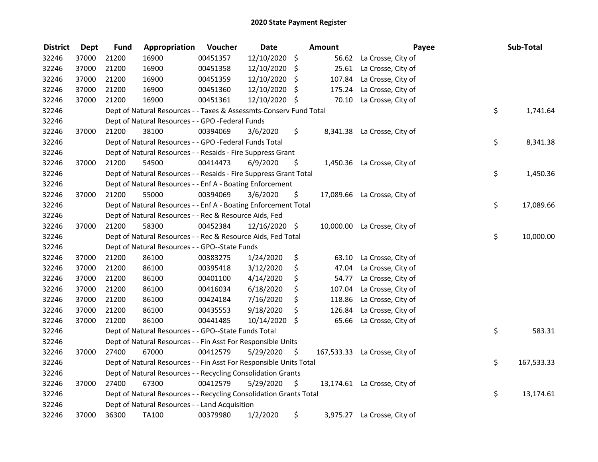| <b>District</b> | <b>Dept</b> | <b>Fund</b> | Appropriation                                                      | Voucher  | <b>Date</b>   |      | <b>Amount</b> | Payee                         | Sub-Total        |
|-----------------|-------------|-------------|--------------------------------------------------------------------|----------|---------------|------|---------------|-------------------------------|------------------|
| 32246           | 37000       | 21200       | 16900                                                              | 00451357 | 12/10/2020    | \$   | 56.62         | La Crosse, City of            |                  |
| 32246           | 37000       | 21200       | 16900                                                              | 00451358 | 12/10/2020    | \$   |               | 25.61 La Crosse, City of      |                  |
| 32246           | 37000       | 21200       | 16900                                                              | 00451359 | 12/10/2020 \$ |      | 107.84        | La Crosse, City of            |                  |
| 32246           | 37000       | 21200       | 16900                                                              | 00451360 | 12/10/2020 \$ |      | 175.24        | La Crosse, City of            |                  |
| 32246           | 37000       | 21200       | 16900                                                              | 00451361 | 12/10/2020 \$ |      | 70.10         | La Crosse, City of            |                  |
| 32246           |             |             | Dept of Natural Resources - - Taxes & Assessmts-Conserv Fund Total |          |               |      |               |                               | \$<br>1,741.64   |
| 32246           |             |             | Dept of Natural Resources - - GPO -Federal Funds                   |          |               |      |               |                               |                  |
| 32246           | 37000       | 21200       | 38100                                                              | 00394069 | 3/6/2020      | \$   |               | 8,341.38 La Crosse, City of   |                  |
| 32246           |             |             | Dept of Natural Resources - - GPO -Federal Funds Total             |          |               |      |               |                               | \$<br>8,341.38   |
| 32246           |             |             | Dept of Natural Resources - - Resaids - Fire Suppress Grant        |          |               |      |               |                               |                  |
| 32246           | 37000       | 21200       | 54500                                                              | 00414473 | 6/9/2020      | \$   | 1,450.36      | La Crosse, City of            |                  |
| 32246           |             |             | Dept of Natural Resources - - Resaids - Fire Suppress Grant Total  |          |               |      |               |                               | \$<br>1,450.36   |
| 32246           |             |             | Dept of Natural Resources - - Enf A - Boating Enforcement          |          |               |      |               |                               |                  |
| 32246           | 37000       | 21200       | 55000                                                              | 00394069 | 3/6/2020      | \$   | 17,089.66     | La Crosse, City of            |                  |
| 32246           |             |             | Dept of Natural Resources - - Enf A - Boating Enforcement Total    |          |               |      |               |                               | \$<br>17,089.66  |
| 32246           |             |             | Dept of Natural Resources - - Rec & Resource Aids, Fed             |          |               |      |               |                               |                  |
| 32246           | 37000       | 21200       | 58300                                                              | 00452384 | 12/16/2020 \$ |      | 10,000.00     | La Crosse, City of            |                  |
| 32246           |             |             | Dept of Natural Resources - - Rec & Resource Aids, Fed Total       |          |               |      |               |                               | \$<br>10,000.00  |
| 32246           |             |             | Dept of Natural Resources - - GPO--State Funds                     |          |               |      |               |                               |                  |
| 32246           | 37000       | 21200       | 86100                                                              | 00383275 | 1/24/2020     | \$   | 63.10         | La Crosse, City of            |                  |
| 32246           | 37000       | 21200       | 86100                                                              | 00395418 | 3/12/2020     | \$   | 47.04         | La Crosse, City of            |                  |
| 32246           | 37000       | 21200       | 86100                                                              | 00401100 | 4/14/2020     | \$   | 54.77         | La Crosse, City of            |                  |
| 32246           | 37000       | 21200       | 86100                                                              | 00416034 | 6/18/2020     | \$   | 107.04        | La Crosse, City of            |                  |
| 32246           | 37000       | 21200       | 86100                                                              | 00424184 | 7/16/2020     | \$   | 118.86        | La Crosse, City of            |                  |
| 32246           | 37000       | 21200       | 86100                                                              | 00435553 | 9/18/2020     | \$   | 126.84        | La Crosse, City of            |                  |
| 32246           | 37000       | 21200       | 86100                                                              | 00441485 | 10/14/2020    | \$   | 65.66         | La Crosse, City of            |                  |
| 32246           |             |             | Dept of Natural Resources - - GPO--State Funds Total               |          |               |      |               |                               | \$<br>583.31     |
| 32246           |             |             | Dept of Natural Resources - - Fin Asst For Responsible Units       |          |               |      |               |                               |                  |
| 32246           | 37000       | 27400       | 67000                                                              | 00412579 | 5/29/2020     | \$   |               | 167,533.33 La Crosse, City of |                  |
| 32246           |             |             | Dept of Natural Resources - - Fin Asst For Responsible Units Total |          |               |      |               |                               | \$<br>167,533.33 |
| 32246           |             |             | Dept of Natural Resources - - Recycling Consolidation Grants       |          |               |      |               |                               |                  |
| 32246           | 37000       | 27400       | 67300                                                              | 00412579 | 5/29/2020     | - \$ |               | 13,174.61 La Crosse, City of  |                  |
| 32246           |             |             | Dept of Natural Resources - - Recycling Consolidation Grants Total |          |               |      |               |                               | \$<br>13,174.61  |
| 32246           |             |             | Dept of Natural Resources - - Land Acquisition                     |          |               |      |               |                               |                  |
| 32246           | 37000       | 36300       | <b>TA100</b>                                                       | 00379980 | 1/2/2020      | \$   | 3,975.27      | La Crosse, City of            |                  |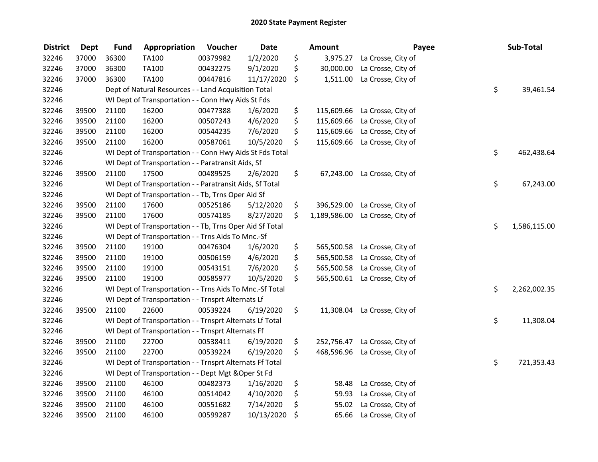| <b>District</b> | <b>Dept</b> | <b>Fund</b> | Appropriation                                            | Voucher  | <b>Date</b> | <b>Amount</b>      | Payee                         | Sub-Total          |
|-----------------|-------------|-------------|----------------------------------------------------------|----------|-------------|--------------------|-------------------------------|--------------------|
| 32246           | 37000       | 36300       | TA100                                                    | 00379982 | 1/2/2020    | \$<br>3,975.27     | La Crosse, City of            |                    |
| 32246           | 37000       | 36300       | TA100                                                    | 00432275 | 9/1/2020    | \$<br>30,000.00    | La Crosse, City of            |                    |
| 32246           | 37000       | 36300       | TA100                                                    | 00447816 | 11/17/2020  | \$<br>1,511.00     | La Crosse, City of            |                    |
| 32246           |             |             | Dept of Natural Resources - - Land Acquisition Total     |          |             |                    |                               | \$<br>39,461.54    |
| 32246           |             |             | WI Dept of Transportation - - Conn Hwy Aids St Fds       |          |             |                    |                               |                    |
| 32246           | 39500       | 21100       | 16200                                                    | 00477388 | 1/6/2020    | \$                 | 115,609.66 La Crosse, City of |                    |
| 32246           | 39500       | 21100       | 16200                                                    | 00507243 | 4/6/2020    | \$                 | 115,609.66 La Crosse, City of |                    |
| 32246           | 39500       | 21100       | 16200                                                    | 00544235 | 7/6/2020    | \$                 | 115,609.66 La Crosse, City of |                    |
| 32246           | 39500       | 21100       | 16200                                                    | 00587061 | 10/5/2020   | \$                 | 115,609.66 La Crosse, City of |                    |
| 32246           |             |             | WI Dept of Transportation - - Conn Hwy Aids St Fds Total |          |             |                    |                               | \$<br>462,438.64   |
| 32246           |             |             | WI Dept of Transportation - - Paratransit Aids, Sf       |          |             |                    |                               |                    |
| 32246           | 39500       | 21100       | 17500                                                    | 00489525 | 2/6/2020    | \$                 | 67,243.00 La Crosse, City of  |                    |
| 32246           |             |             | WI Dept of Transportation - - Paratransit Aids, Sf Total |          |             |                    |                               | \$<br>67,243.00    |
| 32246           |             |             | WI Dept of Transportation - - Tb, Trns Oper Aid Sf       |          |             |                    |                               |                    |
| 32246           | 39500       | 21100       | 17600                                                    | 00525186 | 5/12/2020   | \$<br>396,529.00   | La Crosse, City of            |                    |
| 32246           | 39500       | 21100       | 17600                                                    | 00574185 | 8/27/2020   | \$<br>1,189,586.00 | La Crosse, City of            |                    |
| 32246           |             |             | WI Dept of Transportation - - Tb, Trns Oper Aid Sf Total |          |             |                    |                               | \$<br>1,586,115.00 |
| 32246           |             |             | WI Dept of Transportation - - Trns Aids To Mnc.-Sf       |          |             |                    |                               |                    |
| 32246           | 39500       | 21100       | 19100                                                    | 00476304 | 1/6/2020    | \$<br>565,500.58   | La Crosse, City of            |                    |
| 32246           | 39500       | 21100       | 19100                                                    | 00506159 | 4/6/2020    | \$                 | 565,500.58 La Crosse, City of |                    |
| 32246           | 39500       | 21100       | 19100                                                    | 00543151 | 7/6/2020    | \$                 | 565,500.58 La Crosse, City of |                    |
| 32246           | 39500       | 21100       | 19100                                                    | 00585977 | 10/5/2020   | \$                 | 565,500.61 La Crosse, City of |                    |
| 32246           |             |             | WI Dept of Transportation - - Trns Aids To Mnc.-Sf Total |          |             |                    |                               | \$<br>2,262,002.35 |
| 32246           |             |             | WI Dept of Transportation - - Trnsprt Alternats Lf       |          |             |                    |                               |                    |
| 32246           | 39500       | 21100       | 22600                                                    | 00539224 | 6/19/2020   | \$                 | 11,308.04 La Crosse, City of  |                    |
| 32246           |             |             | WI Dept of Transportation - - Trnsprt Alternats Lf Total |          |             |                    |                               | \$<br>11,308.04    |
| 32246           |             |             | WI Dept of Transportation - - Trnsprt Alternats Ff       |          |             |                    |                               |                    |
| 32246           | 39500       | 21100       | 22700                                                    | 00538411 | 6/19/2020   | \$                 | 252,756.47 La Crosse, City of |                    |
| 32246           | 39500       | 21100       | 22700                                                    | 00539224 | 6/19/2020   | \$                 | 468,596.96 La Crosse, City of |                    |
| 32246           |             |             | WI Dept of Transportation - - Trnsprt Alternats Ff Total |          |             |                    |                               | \$<br>721,353.43   |
| 32246           |             |             | WI Dept of Transportation - - Dept Mgt & Oper St Fd      |          |             |                    |                               |                    |
| 32246           | 39500       | 21100       | 46100                                                    | 00482373 | 1/16/2020   | \$<br>58.48        | La Crosse, City of            |                    |
| 32246           | 39500       | 21100       | 46100                                                    | 00514042 | 4/10/2020   | \$<br>59.93        | La Crosse, City of            |                    |
| 32246           | 39500       | 21100       | 46100                                                    | 00551682 | 7/14/2020   | \$<br>55.02        | La Crosse, City of            |                    |
| 32246           | 39500       | 21100       | 46100                                                    | 00599287 | 10/13/2020  | \$<br>65.66        | La Crosse, City of            |                    |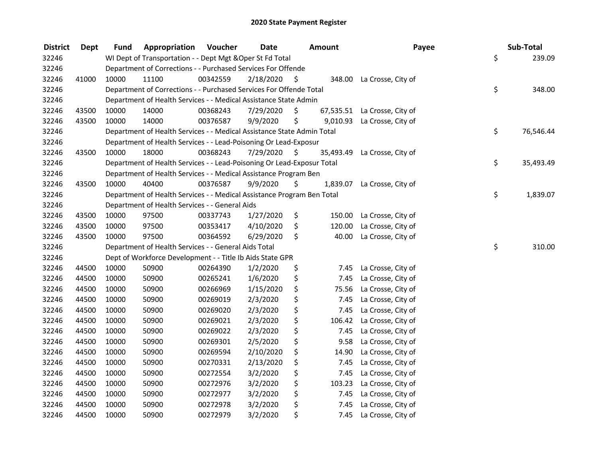| <b>District</b> | <b>Dept</b> | Fund  | Appropriation                                                          | Voucher  | <b>Date</b> | <b>Amount</b>   | Payee                     | Sub-Total       |
|-----------------|-------------|-------|------------------------------------------------------------------------|----------|-------------|-----------------|---------------------------|-----------------|
| 32246           |             |       | WI Dept of Transportation - - Dept Mgt & Oper St Fd Total              |          |             |                 |                           | \$<br>239.09    |
| 32246           |             |       | Department of Corrections - - Purchased Services For Offende           |          |             |                 |                           |                 |
| 32246           | 41000       | 10000 | 11100                                                                  | 00342559 | 2/18/2020   | \$              | 348.00 La Crosse, City of |                 |
| 32246           |             |       | Department of Corrections - - Purchased Services For Offende Total     |          |             |                 |                           | \$<br>348.00    |
| 32246           |             |       | Department of Health Services - - Medical Assistance State Admin       |          |             |                 |                           |                 |
| 32246           | 43500       | 10000 | 14000                                                                  | 00368243 | 7/29/2020   | \$<br>67,535.51 | La Crosse, City of        |                 |
| 32246           | 43500       | 10000 | 14000                                                                  | 00376587 | 9/9/2020    | \$<br>9,010.93  | La Crosse, City of        |                 |
| 32246           |             |       | Department of Health Services - - Medical Assistance State Admin Total |          |             |                 |                           | \$<br>76,546.44 |
| 32246           |             |       | Department of Health Services - - Lead-Poisoning Or Lead-Exposur       |          |             |                 |                           |                 |
| 32246           | 43500       | 10000 | 18000                                                                  | 00368243 | 7/29/2020   | \$<br>35,493.49 | La Crosse, City of        |                 |
| 32246           |             |       | Department of Health Services - - Lead-Poisoning Or Lead-Exposur Total |          |             |                 |                           | \$<br>35,493.49 |
| 32246           |             |       | Department of Health Services - - Medical Assistance Program Ben       |          |             |                 |                           |                 |
| 32246           | 43500       | 10000 | 40400                                                                  | 00376587 | 9/9/2020    | \$<br>1,839.07  | La Crosse, City of        |                 |
| 32246           |             |       | Department of Health Services - - Medical Assistance Program Ben Total |          |             |                 |                           | \$<br>1,839.07  |
| 32246           |             |       | Department of Health Services - - General Aids                         |          |             |                 |                           |                 |
| 32246           | 43500       | 10000 | 97500                                                                  | 00337743 | 1/27/2020   | \$<br>150.00    | La Crosse, City of        |                 |
| 32246           | 43500       | 10000 | 97500                                                                  | 00353417 | 4/10/2020   | \$<br>120.00    | La Crosse, City of        |                 |
| 32246           | 43500       | 10000 | 97500                                                                  | 00364592 | 6/29/2020   | \$<br>40.00     | La Crosse, City of        |                 |
| 32246           |             |       | Department of Health Services - - General Aids Total                   |          |             |                 |                           | \$<br>310.00    |
| 32246           |             |       | Dept of Workforce Development - - Title Ib Aids State GPR              |          |             |                 |                           |                 |
| 32246           | 44500       | 10000 | 50900                                                                  | 00264390 | 1/2/2020    | \$<br>7.45      | La Crosse, City of        |                 |
| 32246           | 44500       | 10000 | 50900                                                                  | 00265241 | 1/6/2020    | \$<br>7.45      | La Crosse, City of        |                 |
| 32246           | 44500       | 10000 | 50900                                                                  | 00266969 | 1/15/2020   | \$<br>75.56     | La Crosse, City of        |                 |
| 32246           | 44500       | 10000 | 50900                                                                  | 00269019 | 2/3/2020    | \$<br>7.45      | La Crosse, City of        |                 |
| 32246           | 44500       | 10000 | 50900                                                                  | 00269020 | 2/3/2020    | \$<br>7.45      | La Crosse, City of        |                 |
| 32246           | 44500       | 10000 | 50900                                                                  | 00269021 | 2/3/2020    | \$<br>106.42    | La Crosse, City of        |                 |
| 32246           | 44500       | 10000 | 50900                                                                  | 00269022 | 2/3/2020    | \$<br>7.45      | La Crosse, City of        |                 |
| 32246           | 44500       | 10000 | 50900                                                                  | 00269301 | 2/5/2020    | \$<br>9.58      | La Crosse, City of        |                 |
| 32246           | 44500       | 10000 | 50900                                                                  | 00269594 | 2/10/2020   | \$<br>14.90     | La Crosse, City of        |                 |
| 32246           | 44500       | 10000 | 50900                                                                  | 00270331 | 2/13/2020   | \$<br>7.45      | La Crosse, City of        |                 |
| 32246           | 44500       | 10000 | 50900                                                                  | 00272554 | 3/2/2020    | \$<br>7.45      | La Crosse, City of        |                 |
| 32246           | 44500       | 10000 | 50900                                                                  | 00272976 | 3/2/2020    | \$<br>103.23    | La Crosse, City of        |                 |
| 32246           | 44500       | 10000 | 50900                                                                  | 00272977 | 3/2/2020    | \$<br>7.45      | La Crosse, City of        |                 |
| 32246           | 44500       | 10000 | 50900                                                                  | 00272978 | 3/2/2020    | \$<br>7.45      | La Crosse, City of        |                 |
| 32246           | 44500       | 10000 | 50900                                                                  | 00272979 | 3/2/2020    | \$<br>7.45      | La Crosse, City of        |                 |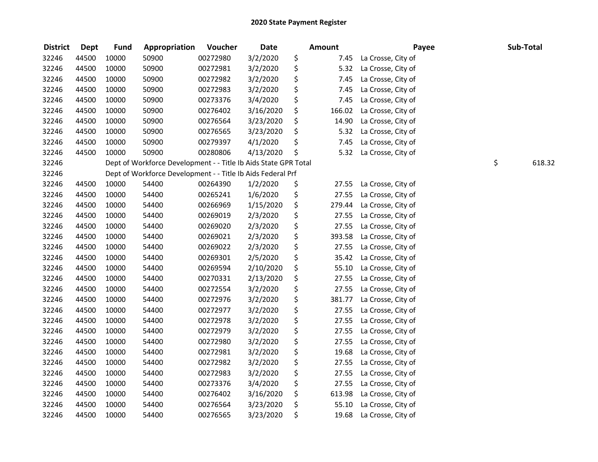| <b>District</b> | <b>Dept</b> | <b>Fund</b> | Appropriation                                                   | Voucher  | <b>Date</b> | Amount       | Payee              | Sub-Total    |
|-----------------|-------------|-------------|-----------------------------------------------------------------|----------|-------------|--------------|--------------------|--------------|
| 32246           | 44500       | 10000       | 50900                                                           | 00272980 | 3/2/2020    | \$<br>7.45   | La Crosse, City of |              |
| 32246           | 44500       | 10000       | 50900                                                           | 00272981 | 3/2/2020    | \$<br>5.32   | La Crosse, City of |              |
| 32246           | 44500       | 10000       | 50900                                                           | 00272982 | 3/2/2020    | \$<br>7.45   | La Crosse, City of |              |
| 32246           | 44500       | 10000       | 50900                                                           | 00272983 | 3/2/2020    | \$<br>7.45   | La Crosse, City of |              |
| 32246           | 44500       | 10000       | 50900                                                           | 00273376 | 3/4/2020    | \$<br>7.45   | La Crosse, City of |              |
| 32246           | 44500       | 10000       | 50900                                                           | 00276402 | 3/16/2020   | \$<br>166.02 | La Crosse, City of |              |
| 32246           | 44500       | 10000       | 50900                                                           | 00276564 | 3/23/2020   | \$<br>14.90  | La Crosse, City of |              |
| 32246           | 44500       | 10000       | 50900                                                           | 00276565 | 3/23/2020   | \$<br>5.32   | La Crosse, City of |              |
| 32246           | 44500       | 10000       | 50900                                                           | 00279397 | 4/1/2020    | \$<br>7.45   | La Crosse, City of |              |
| 32246           | 44500       | 10000       | 50900                                                           | 00280806 | 4/13/2020   | \$<br>5.32   | La Crosse, City of |              |
| 32246           |             |             | Dept of Workforce Development - - Title Ib Aids State GPR Total |          |             |              |                    | \$<br>618.32 |
| 32246           |             |             | Dept of Workforce Development - - Title Ib Aids Federal Prf     |          |             |              |                    |              |
| 32246           | 44500       | 10000       | 54400                                                           | 00264390 | 1/2/2020    | \$<br>27.55  | La Crosse, City of |              |
| 32246           | 44500       | 10000       | 54400                                                           | 00265241 | 1/6/2020    | \$<br>27.55  | La Crosse, City of |              |
| 32246           | 44500       | 10000       | 54400                                                           | 00266969 | 1/15/2020   | \$<br>279.44 | La Crosse, City of |              |
| 32246           | 44500       | 10000       | 54400                                                           | 00269019 | 2/3/2020    | \$<br>27.55  | La Crosse, City of |              |
| 32246           | 44500       | 10000       | 54400                                                           | 00269020 | 2/3/2020    | \$<br>27.55  | La Crosse, City of |              |
| 32246           | 44500       | 10000       | 54400                                                           | 00269021 | 2/3/2020    | \$<br>393.58 | La Crosse, City of |              |
| 32246           | 44500       | 10000       | 54400                                                           | 00269022 | 2/3/2020    | \$<br>27.55  | La Crosse, City of |              |
| 32246           | 44500       | 10000       | 54400                                                           | 00269301 | 2/5/2020    | \$<br>35.42  | La Crosse, City of |              |
| 32246           | 44500       | 10000       | 54400                                                           | 00269594 | 2/10/2020   | \$<br>55.10  | La Crosse, City of |              |
| 32246           | 44500       | 10000       | 54400                                                           | 00270331 | 2/13/2020   | \$<br>27.55  | La Crosse, City of |              |
| 32246           | 44500       | 10000       | 54400                                                           | 00272554 | 3/2/2020    | \$<br>27.55  | La Crosse, City of |              |
| 32246           | 44500       | 10000       | 54400                                                           | 00272976 | 3/2/2020    | \$<br>381.77 | La Crosse, City of |              |
| 32246           | 44500       | 10000       | 54400                                                           | 00272977 | 3/2/2020    | \$<br>27.55  | La Crosse, City of |              |
| 32246           | 44500       | 10000       | 54400                                                           | 00272978 | 3/2/2020    | \$<br>27.55  | La Crosse, City of |              |
| 32246           | 44500       | 10000       | 54400                                                           | 00272979 | 3/2/2020    | \$<br>27.55  | La Crosse, City of |              |
| 32246           | 44500       | 10000       | 54400                                                           | 00272980 | 3/2/2020    | \$<br>27.55  | La Crosse, City of |              |
| 32246           | 44500       | 10000       | 54400                                                           | 00272981 | 3/2/2020    | \$<br>19.68  | La Crosse, City of |              |
| 32246           | 44500       | 10000       | 54400                                                           | 00272982 | 3/2/2020    | \$<br>27.55  | La Crosse, City of |              |
| 32246           | 44500       | 10000       | 54400                                                           | 00272983 | 3/2/2020    | \$<br>27.55  | La Crosse, City of |              |
| 32246           | 44500       | 10000       | 54400                                                           | 00273376 | 3/4/2020    | \$<br>27.55  | La Crosse, City of |              |
| 32246           | 44500       | 10000       | 54400                                                           | 00276402 | 3/16/2020   | \$<br>613.98 | La Crosse, City of |              |
| 32246           | 44500       | 10000       | 54400                                                           | 00276564 | 3/23/2020   | \$<br>55.10  | La Crosse, City of |              |
| 32246           | 44500       | 10000       | 54400                                                           | 00276565 | 3/23/2020   | \$<br>19.68  | La Crosse, City of |              |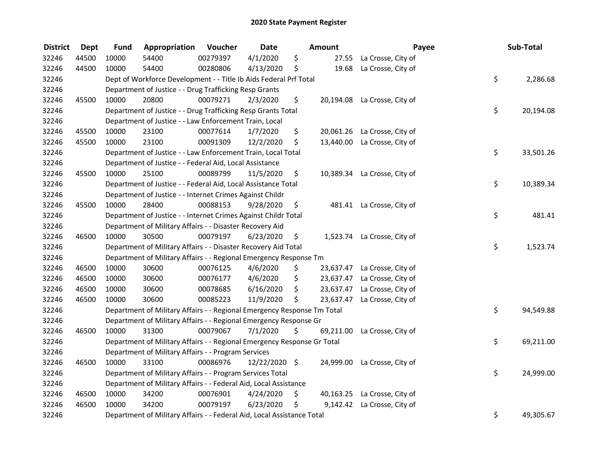| <b>District</b> | Dept  | <b>Fund</b> | Appropriation                                                           | Voucher  | <b>Date</b>   | Amount          | Payee                        | Sub-Total       |
|-----------------|-------|-------------|-------------------------------------------------------------------------|----------|---------------|-----------------|------------------------------|-----------------|
| 32246           | 44500 | 10000       | 54400                                                                   | 00279397 | 4/1/2020      | \$<br>27.55     | La Crosse, City of           |                 |
| 32246           | 44500 | 10000       | 54400                                                                   | 00280806 | 4/13/2020     | \$<br>19.68     | La Crosse, City of           |                 |
| 32246           |       |             | Dept of Workforce Development - - Title Ib Aids Federal Prf Total       |          |               |                 |                              | \$<br>2,286.68  |
| 32246           |       |             | Department of Justice - - Drug Trafficking Resp Grants                  |          |               |                 |                              |                 |
| 32246           | 45500 | 10000       | 20800                                                                   | 00079271 | 2/3/2020      | \$              | 20,194.08 La Crosse, City of |                 |
| 32246           |       |             | Department of Justice - - Drug Trafficking Resp Grants Total            |          |               |                 |                              | \$<br>20,194.08 |
| 32246           |       |             | Department of Justice - - Law Enforcement Train, Local                  |          |               |                 |                              |                 |
| 32246           | 45500 | 10000       | 23100                                                                   | 00077614 | 1/7/2020      | \$              | 20,061.26 La Crosse, City of |                 |
| 32246           | 45500 | 10000       | 23100                                                                   | 00091309 | 12/2/2020     | \$<br>13,440.00 | La Crosse, City of           |                 |
| 32246           |       |             | Department of Justice - - Law Enforcement Train, Local Total            |          |               |                 |                              | \$<br>33,501.26 |
| 32246           |       |             | Department of Justice - - Federal Aid, Local Assistance                 |          |               |                 |                              |                 |
| 32246           | 45500 | 10000       | 25100                                                                   | 00089799 | 11/5/2020     | \$<br>10,389.34 | La Crosse, City of           |                 |
| 32246           |       |             | Department of Justice - - Federal Aid, Local Assistance Total           |          |               |                 |                              | \$<br>10,389.34 |
| 32246           |       |             | Department of Justice - - Internet Crimes Against Childr                |          |               |                 |                              |                 |
| 32246           | 45500 | 10000       | 28400                                                                   | 00088153 | 9/28/2020     | \$<br>481.41    | La Crosse, City of           |                 |
| 32246           |       |             | Department of Justice - - Internet Crimes Against Childr Total          |          |               |                 |                              | \$<br>481.41    |
| 32246           |       |             | Department of Military Affairs - - Disaster Recovery Aid                |          |               |                 |                              |                 |
| 32246           | 46500 | 10000       | 30500                                                                   | 00079197 | 6/23/2020     | \$<br>1,523.74  | La Crosse, City of           |                 |
| 32246           |       |             | Department of Military Affairs - - Disaster Recovery Aid Total          |          |               |                 |                              | \$<br>1,523.74  |
| 32246           |       |             | Department of Military Affairs - - Regional Emergency Response Tm       |          |               |                 |                              |                 |
| 32246           | 46500 | 10000       | 30600                                                                   | 00076125 | 4/6/2020      | \$<br>23,637.47 | La Crosse, City of           |                 |
| 32246           | 46500 | 10000       | 30600                                                                   | 00076177 | 4/6/2020      | \$              | 23,637.47 La Crosse, City of |                 |
| 32246           | 46500 | 10000       | 30600                                                                   | 00078685 | 6/16/2020     | \$<br>23,637.47 | La Crosse, City of           |                 |
| 32246           | 46500 | 10000       | 30600                                                                   | 00085223 | 11/9/2020     | \$<br>23,637.47 | La Crosse, City of           |                 |
| 32246           |       |             | Department of Military Affairs - - Regional Emergency Response Tm Total |          |               |                 |                              | \$<br>94,549.88 |
| 32246           |       |             | Department of Military Affairs - - Regional Emergency Response Gr       |          |               |                 |                              |                 |
| 32246           | 46500 | 10000       | 31300                                                                   | 00079067 | 7/1/2020      | \$<br>69,211.00 | La Crosse, City of           |                 |
| 32246           |       |             | Department of Military Affairs - - Regional Emergency Response Gr Total |          |               |                 |                              | \$<br>69,211.00 |
| 32246           |       |             | Department of Military Affairs - - Program Services                     |          |               |                 |                              |                 |
| 32246           | 46500 | 10000       | 33100                                                                   | 00086976 | 12/22/2020 \$ | 24,999.00       | La Crosse, City of           |                 |
| 32246           |       |             | Department of Military Affairs - - Program Services Total               |          |               |                 |                              | \$<br>24,999.00 |
| 32246           |       |             | Department of Military Affairs - - Federal Aid, Local Assistance        |          |               |                 |                              |                 |
| 32246           | 46500 | 10000       | 34200                                                                   | 00076901 | 4/24/2020     | \$              | 40,163.25 La Crosse, City of |                 |
| 32246           | 46500 | 10000       | 34200                                                                   | 00079197 | 6/23/2020     | \$<br>9,142.42  | La Crosse, City of           |                 |
| 32246           |       |             | Department of Military Affairs - - Federal Aid, Local Assistance Total  |          |               |                 |                              | \$<br>49,305.67 |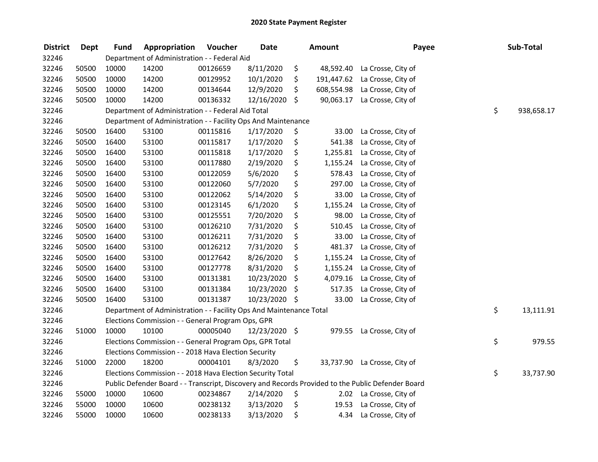| <b>District</b> | <b>Dept</b> | <b>Fund</b> | Appropriation                                                       | Voucher  | <b>Date</b>   |         | Amount     | Payee                                                                                             | Sub-Total        |
|-----------------|-------------|-------------|---------------------------------------------------------------------|----------|---------------|---------|------------|---------------------------------------------------------------------------------------------------|------------------|
| 32246           |             |             | Department of Administration - - Federal Aid                        |          |               |         |            |                                                                                                   |                  |
| 32246           | 50500       | 10000       | 14200                                                               | 00126659 | 8/11/2020     | \$      | 48,592.40  | La Crosse, City of                                                                                |                  |
| 32246           | 50500       | 10000       | 14200                                                               | 00129952 | 10/1/2020     | \$      | 191,447.62 | La Crosse, City of                                                                                |                  |
| 32246           | 50500       | 10000       | 14200                                                               | 00134644 | 12/9/2020     | \$      |            | 608,554.98 La Crosse, City of                                                                     |                  |
| 32246           | 50500       | 10000       | 14200                                                               | 00136332 | 12/16/2020 \$ |         | 90,063.17  | La Crosse, City of                                                                                |                  |
| 32246           |             |             | Department of Administration - - Federal Aid Total                  |          |               |         |            |                                                                                                   | \$<br>938,658.17 |
| 32246           |             |             | Department of Administration - - Facility Ops And Maintenance       |          |               |         |            |                                                                                                   |                  |
| 32246           | 50500       | 16400       | 53100                                                               | 00115816 | 1/17/2020     | \$      | 33.00      | La Crosse, City of                                                                                |                  |
| 32246           | 50500       | 16400       | 53100                                                               | 00115817 | 1/17/2020     | \$      | 541.38     | La Crosse, City of                                                                                |                  |
| 32246           | 50500       | 16400       | 53100                                                               | 00115818 | 1/17/2020     | \$      |            | 1,255.81 La Crosse, City of                                                                       |                  |
| 32246           | 50500       | 16400       | 53100                                                               | 00117880 | 2/19/2020     | \$      | 1,155.24   | La Crosse, City of                                                                                |                  |
| 32246           | 50500       | 16400       | 53100                                                               | 00122059 | 5/6/2020      | \$      | 578.43     | La Crosse, City of                                                                                |                  |
| 32246           | 50500       | 16400       | 53100                                                               | 00122060 | 5/7/2020      | \$      | 297.00     | La Crosse, City of                                                                                |                  |
| 32246           | 50500       | 16400       | 53100                                                               | 00122062 | 5/14/2020     | \$      | 33.00      | La Crosse, City of                                                                                |                  |
| 32246           | 50500       | 16400       | 53100                                                               | 00123145 | 6/1/2020      | \$      | 1,155.24   | La Crosse, City of                                                                                |                  |
| 32246           | 50500       | 16400       | 53100                                                               | 00125551 | 7/20/2020     | \$      | 98.00      | La Crosse, City of                                                                                |                  |
| 32246           | 50500       | 16400       | 53100                                                               | 00126210 | 7/31/2020     | \$      | 510.45     | La Crosse, City of                                                                                |                  |
| 32246           | 50500       | 16400       | 53100                                                               | 00126211 | 7/31/2020     | \$      | 33.00      | La Crosse, City of                                                                                |                  |
| 32246           | 50500       | 16400       | 53100                                                               | 00126212 | 7/31/2020     | \$      | 481.37     | La Crosse, City of                                                                                |                  |
| 32246           | 50500       | 16400       | 53100                                                               | 00127642 | 8/26/2020     | \$      | 1,155.24   | La Crosse, City of                                                                                |                  |
| 32246           | 50500       | 16400       | 53100                                                               | 00127778 | 8/31/2020     | \$      | 1,155.24   | La Crosse, City of                                                                                |                  |
| 32246           | 50500       | 16400       | 53100                                                               | 00131381 | 10/23/2020    | $\zeta$ | 4,079.16   | La Crosse, City of                                                                                |                  |
| 32246           | 50500       | 16400       | 53100                                                               | 00131384 | 10/23/2020    | $\zeta$ | 517.35     | La Crosse, City of                                                                                |                  |
| 32246           | 50500       | 16400       | 53100                                                               | 00131387 | 10/23/2020 \$ |         | 33.00      | La Crosse, City of                                                                                |                  |
| 32246           |             |             | Department of Administration - - Facility Ops And Maintenance Total |          |               |         |            |                                                                                                   | \$<br>13,111.91  |
| 32246           |             |             | Elections Commission - - General Program Ops, GPR                   |          |               |         |            |                                                                                                   |                  |
| 32246           | 51000       | 10000       | 10100                                                               | 00005040 | 12/23/2020 \$ |         | 979.55     | La Crosse, City of                                                                                |                  |
| 32246           |             |             | Elections Commission - - General Program Ops, GPR Total             |          |               |         |            |                                                                                                   | \$<br>979.55     |
| 32246           |             |             | Elections Commission - - 2018 Hava Election Security                |          |               |         |            |                                                                                                   |                  |
| 32246           | 51000       | 22000       | 18200                                                               | 00004101 | 8/3/2020      | \$      |            | 33,737.90 La Crosse, City of                                                                      |                  |
| 32246           |             |             | Elections Commission - - 2018 Hava Election Security Total          |          |               |         |            |                                                                                                   | \$<br>33,737.90  |
| 32246           |             |             |                                                                     |          |               |         |            | Public Defender Board - - Transcript, Discovery and Records Provided to the Public Defender Board |                  |
| 32246           | 55000       | 10000       | 10600                                                               | 00234867 | 2/14/2020     | \$      |            | 2.02 La Crosse, City of                                                                           |                  |
| 32246           | 55000       | 10000       | 10600                                                               | 00238132 | 3/13/2020     | \$      | 19.53      | La Crosse, City of                                                                                |                  |
| 32246           | 55000       | 10000       | 10600                                                               | 00238133 | 3/13/2020     | \$      | 4.34       | La Crosse, City of                                                                                |                  |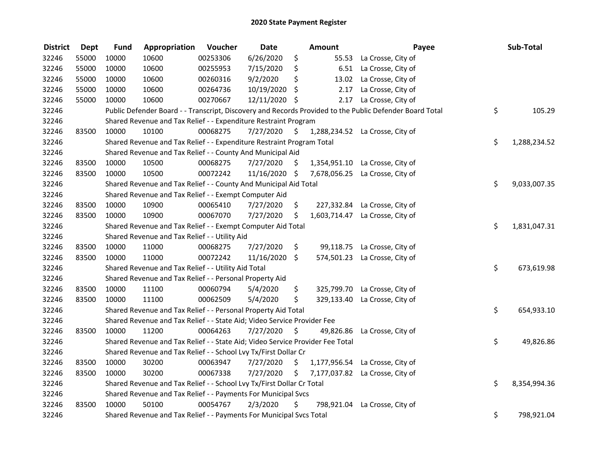| <b>District</b> | <b>Dept</b> | <b>Fund</b> | Appropriation                                                                 | Voucher  | <b>Date</b>   |                     | Amount | Payee                                                                                                   | Sub-Total          |
|-----------------|-------------|-------------|-------------------------------------------------------------------------------|----------|---------------|---------------------|--------|---------------------------------------------------------------------------------------------------------|--------------------|
| 32246           | 55000       | 10000       | 10600                                                                         | 00253306 | 6/26/2020     | \$                  |        | 55.53 La Crosse, City of                                                                                |                    |
| 32246           | 55000       | 10000       | 10600                                                                         | 00255953 | 7/15/2020     | \$                  |        | 6.51 La Crosse, City of                                                                                 |                    |
| 32246           | 55000       | 10000       | 10600                                                                         | 00260316 | 9/2/2020      | \$                  |        | 13.02 La Crosse, City of                                                                                |                    |
| 32246           | 55000       | 10000       | 10600                                                                         | 00264736 | 10/19/2020    | \$                  | 2.17   | La Crosse, City of                                                                                      |                    |
| 32246           | 55000       | 10000       | 10600                                                                         | 00270667 | 12/11/2020 \$ |                     | 2.17   | La Crosse, City of                                                                                      |                    |
| 32246           |             |             |                                                                               |          |               |                     |        | Public Defender Board - - Transcript, Discovery and Records Provided to the Public Defender Board Total | \$<br>105.29       |
| 32246           |             |             | Shared Revenue and Tax Relief - - Expenditure Restraint Program               |          |               |                     |        |                                                                                                         |                    |
| 32246           | 83500       | 10000       | 10100                                                                         | 00068275 | 7/27/2020     | $\ddot{\mathsf{s}}$ |        | 1,288,234.52 La Crosse, City of                                                                         |                    |
| 32246           |             |             | Shared Revenue and Tax Relief - - Expenditure Restraint Program Total         |          |               |                     |        |                                                                                                         | \$<br>1,288,234.52 |
| 32246           |             |             | Shared Revenue and Tax Relief - - County And Municipal Aid                    |          |               |                     |        |                                                                                                         |                    |
| 32246           | 83500       | 10000       | 10500                                                                         | 00068275 | 7/27/2020     | \$                  |        | 1,354,951.10 La Crosse, City of                                                                         |                    |
| 32246           | 83500       | 10000       | 10500                                                                         | 00072242 | 11/16/2020 \$ |                     |        | 7,678,056.25 La Crosse, City of                                                                         |                    |
| 32246           |             |             | Shared Revenue and Tax Relief - - County And Municipal Aid Total              |          |               |                     |        |                                                                                                         | \$<br>9,033,007.35 |
| 32246           |             |             | Shared Revenue and Tax Relief - - Exempt Computer Aid                         |          |               |                     |        |                                                                                                         |                    |
| 32246           | 83500       | 10000       | 10900                                                                         | 00065410 | 7/27/2020     | \$                  |        | 227,332.84 La Crosse, City of                                                                           |                    |
| 32246           | 83500       | 10000       | 10900                                                                         | 00067070 | 7/27/2020     | \$                  |        | 1,603,714.47 La Crosse, City of                                                                         |                    |
| 32246           |             |             | Shared Revenue and Tax Relief - - Exempt Computer Aid Total                   |          |               |                     |        |                                                                                                         | \$<br>1,831,047.31 |
| 32246           |             |             | Shared Revenue and Tax Relief - - Utility Aid                                 |          |               |                     |        |                                                                                                         |                    |
| 32246           | 83500       | 10000       | 11000                                                                         | 00068275 | 7/27/2020     | \$                  |        | 99,118.75 La Crosse, City of                                                                            |                    |
| 32246           | 83500       | 10000       | 11000                                                                         | 00072242 | 11/16/2020    | \$                  |        | 574,501.23 La Crosse, City of                                                                           |                    |
| 32246           |             |             | Shared Revenue and Tax Relief - - Utility Aid Total                           |          |               |                     |        |                                                                                                         | \$<br>673,619.98   |
| 32246           |             |             | Shared Revenue and Tax Relief - - Personal Property Aid                       |          |               |                     |        |                                                                                                         |                    |
| 32246           | 83500       | 10000       | 11100                                                                         | 00060794 | 5/4/2020      | \$                  |        | 325,799.70 La Crosse, City of                                                                           |                    |
| 32246           | 83500       | 10000       | 11100                                                                         | 00062509 | 5/4/2020      | \$                  |        | 329,133.40 La Crosse, City of                                                                           |                    |
| 32246           |             |             | Shared Revenue and Tax Relief - - Personal Property Aid Total                 |          |               |                     |        |                                                                                                         | \$<br>654,933.10   |
| 32246           |             |             | Shared Revenue and Tax Relief - - State Aid; Video Service Provider Fee       |          |               |                     |        |                                                                                                         |                    |
| 32246           | 83500       | 10000       | 11200                                                                         | 00064263 | 7/27/2020     | \$                  |        | 49,826.86 La Crosse, City of                                                                            |                    |
| 32246           |             |             | Shared Revenue and Tax Relief - - State Aid; Video Service Provider Fee Total |          |               |                     |        |                                                                                                         | \$<br>49,826.86    |
| 32246           |             |             | Shared Revenue and Tax Relief - - School Lvy Tx/First Dollar Cr               |          |               |                     |        |                                                                                                         |                    |
| 32246           | 83500       | 10000       | 30200                                                                         | 00063947 | 7/27/2020     | \$                  |        | 1,177,956.54 La Crosse, City of                                                                         |                    |
| 32246           | 83500       | 10000       | 30200                                                                         | 00067338 | 7/27/2020     | \$                  |        | 7,177,037.82 La Crosse, City of                                                                         |                    |
| 32246           |             |             | Shared Revenue and Tax Relief - - School Lvy Tx/First Dollar Cr Total         |          |               |                     |        |                                                                                                         | \$<br>8,354,994.36 |
| 32246           |             |             | Shared Revenue and Tax Relief - - Payments For Municipal Svcs                 |          |               |                     |        |                                                                                                         |                    |
| 32246           | 83500       | 10000       | 50100                                                                         | 00054767 | 2/3/2020      | \$                  |        | 798,921.04 La Crosse, City of                                                                           |                    |
| 32246           |             |             | Shared Revenue and Tax Relief - - Payments For Municipal Svcs Total           |          |               |                     |        |                                                                                                         | \$<br>798,921.04   |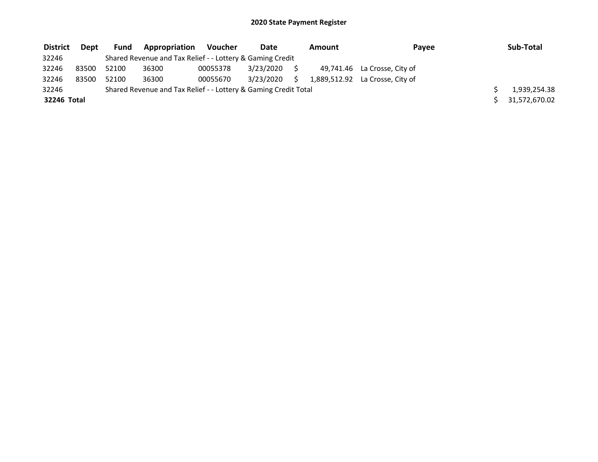| <b>District</b> | Dept  | Fund  | <b>Appropriation</b>                                            | Voucher  | Date      |  | Amount        | Payee                           | Sub-Total    |
|-----------------|-------|-------|-----------------------------------------------------------------|----------|-----------|--|---------------|---------------------------------|--------------|
| 32246           |       |       | Shared Revenue and Tax Relief - - Lottery & Gaming Credit       |          |           |  |               |                                 |              |
| 32246           | 83500 | 52100 | 36300                                                           | 00055378 | 3/23/2020 |  |               | 49,741.46 La Crosse, City of    |              |
| 32246           | 83500 | 52100 | 36300                                                           | 00055670 | 3/23/2020 |  |               | 1,889,512.92 La Crosse, City of |              |
| 32246           |       |       | Shared Revenue and Tax Relief - - Lottery & Gaming Credit Total |          |           |  |               |                                 | 1,939,254.38 |
| 32246 Total     |       |       |                                                                 |          |           |  | 31,572,670.02 |                                 |              |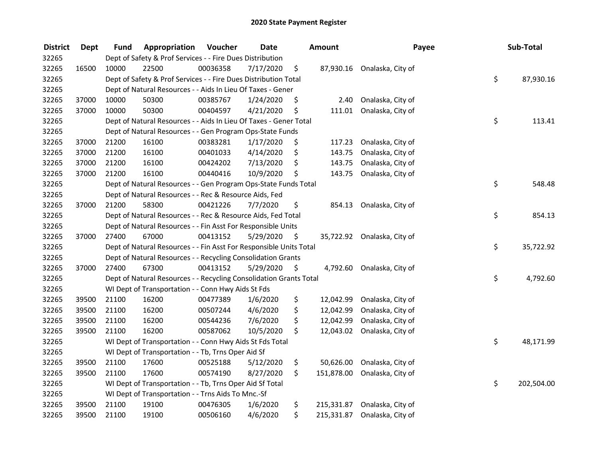| <b>District</b> | <b>Dept</b> | Fund                                                            | Appropriation                                                      | Voucher  | <b>Date</b> |    | <b>Amount</b> | Payee                        |    | Sub-Total  |
|-----------------|-------------|-----------------------------------------------------------------|--------------------------------------------------------------------|----------|-------------|----|---------------|------------------------------|----|------------|
| 32265           |             | Dept of Safety & Prof Services - - Fire Dues Distribution       |                                                                    |          |             |    |               |                              |    |            |
| 32265           | 16500       | 10000                                                           | 22500                                                              | 00036358 | 7/17/2020   | \$ |               | 87,930.16 Onalaska, City of  |    |            |
| 32265           |             | Dept of Safety & Prof Services - - Fire Dues Distribution Total |                                                                    |          |             |    |               |                              |    | 87,930.16  |
| 32265           |             | Dept of Natural Resources - - Aids In Lieu Of Taxes - Gener     |                                                                    |          |             |    |               |                              |    |            |
| 32265           | 37000       | 10000                                                           | 50300                                                              | 00385767 | 1/24/2020   | \$ | 2.40          | Onalaska, City of            |    |            |
| 32265           | 37000       | 10000                                                           | 50300                                                              | 00404597 | 4/21/2020   | \$ | 111.01        | Onalaska, City of            |    |            |
| 32265           |             |                                                                 | Dept of Natural Resources - - Aids In Lieu Of Taxes - Gener Total  |          |             |    |               |                              | \$ | 113.41     |
| 32265           |             |                                                                 | Dept of Natural Resources - - Gen Program Ops-State Funds          |          |             |    |               |                              |    |            |
| 32265           | 37000       | 21200                                                           | 16100                                                              | 00383281 | 1/17/2020   | \$ | 117.23        | Onalaska, City of            |    |            |
| 32265           | 37000       | 21200                                                           | 16100                                                              | 00401033 | 4/14/2020   | \$ | 143.75        | Onalaska, City of            |    |            |
| 32265           | 37000       | 21200                                                           | 16100                                                              | 00424202 | 7/13/2020   | \$ | 143.75        | Onalaska, City of            |    |            |
| 32265           | 37000       | 21200                                                           | 16100                                                              | 00440416 | 10/9/2020   | \$ | 143.75        | Onalaska, City of            |    |            |
| 32265           |             |                                                                 | Dept of Natural Resources - - Gen Program Ops-State Funds Total    |          |             |    |               |                              | \$ | 548.48     |
| 32265           |             |                                                                 | Dept of Natural Resources - - Rec & Resource Aids, Fed             |          |             |    |               |                              |    |            |
| 32265           | 37000       | 21200                                                           | 58300                                                              | 00421226 | 7/7/2020    | \$ | 854.13        | Onalaska, City of            |    |            |
| 32265           |             |                                                                 | Dept of Natural Resources - - Rec & Resource Aids, Fed Total       |          |             |    |               |                              | \$ | 854.13     |
| 32265           |             |                                                                 | Dept of Natural Resources - - Fin Asst For Responsible Units       |          |             |    |               |                              |    |            |
| 32265           | 37000       | 27400                                                           | 67000                                                              | 00413152 | 5/29/2020   | \$ |               | 35,722.92 Onalaska, City of  |    |            |
| 32265           |             |                                                                 | Dept of Natural Resources - - Fin Asst For Responsible Units Total |          |             |    |               |                              | \$ | 35,722.92  |
| 32265           |             |                                                                 | Dept of Natural Resources - - Recycling Consolidation Grants       |          |             |    |               |                              |    |            |
| 32265           | 37000       | 27400                                                           | 67300                                                              | 00413152 | 5/29/2020   | \$ | 4,792.60      | Onalaska, City of            |    |            |
| 32265           |             |                                                                 | Dept of Natural Resources - - Recycling Consolidation Grants Total |          |             |    |               |                              | \$ | 4,792.60   |
| 32265           |             |                                                                 | WI Dept of Transportation - - Conn Hwy Aids St Fds                 |          |             |    |               |                              |    |            |
| 32265           | 39500       | 21100                                                           | 16200                                                              | 00477389 | 1/6/2020    | \$ | 12,042.99     | Onalaska, City of            |    |            |
| 32265           | 39500       | 21100                                                           | 16200                                                              | 00507244 | 4/6/2020    | \$ | 12,042.99     | Onalaska, City of            |    |            |
| 32265           | 39500       | 21100                                                           | 16200                                                              | 00544236 | 7/6/2020    | \$ | 12,042.99     | Onalaska, City of            |    |            |
| 32265           | 39500       | 21100                                                           | 16200                                                              | 00587062 | 10/5/2020   | \$ | 12,043.02     | Onalaska, City of            |    |            |
| 32265           |             |                                                                 | WI Dept of Transportation - - Conn Hwy Aids St Fds Total           |          |             |    |               |                              | \$ | 48,171.99  |
| 32265           |             |                                                                 | WI Dept of Transportation - - Tb, Trns Oper Aid Sf                 |          |             |    |               |                              |    |            |
| 32265           | 39500       | 21100                                                           | 17600                                                              | 00525188 | 5/12/2020   | \$ | 50,626.00     | Onalaska, City of            |    |            |
| 32265           | 39500       | 21100                                                           | 17600                                                              | 00574190 | 8/27/2020   | \$ | 151,878.00    | Onalaska, City of            |    |            |
| 32265           |             | WI Dept of Transportation - - Tb, Trns Oper Aid Sf Total        |                                                                    |          |             |    |               |                              | \$ | 202,504.00 |
| 32265           |             | WI Dept of Transportation - - Trns Aids To Mnc.-Sf              |                                                                    |          |             |    |               |                              |    |            |
| 32265           | 39500       | 21100                                                           | 19100                                                              | 00476305 | 1/6/2020    | \$ |               | 215,331.87 Onalaska, City of |    |            |
| 32265           | 39500       | 21100                                                           | 19100                                                              | 00506160 | 4/6/2020    | \$ | 215,331.87    | Onalaska, City of            |    |            |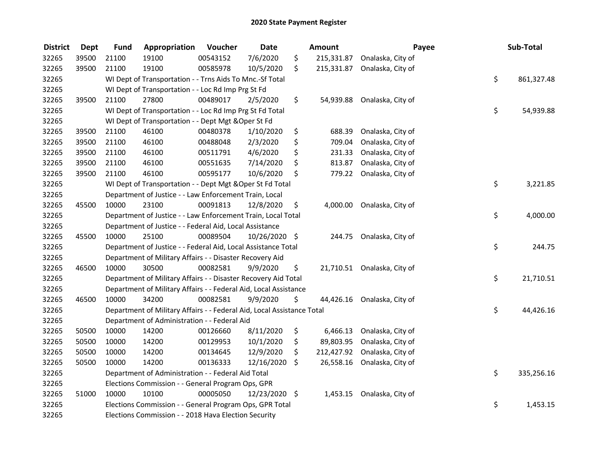| <b>District</b> | <b>Dept</b> | <b>Fund</b>                                        | Appropriation                                                          | Voucher  | <b>Date</b>   |     | Amount     |                              | Payee | Sub-Total  |
|-----------------|-------------|----------------------------------------------------|------------------------------------------------------------------------|----------|---------------|-----|------------|------------------------------|-------|------------|
| 32265           | 39500       | 21100                                              | 19100                                                                  | 00543152 | 7/6/2020      | \$  |            | 215,331.87 Onalaska, City of |       |            |
| 32265           | 39500       | 21100                                              | 19100                                                                  | 00585978 | 10/5/2020     | \$. |            | 215,331.87 Onalaska, City of |       |            |
| 32265           |             |                                                    | WI Dept of Transportation - - Trns Aids To Mnc.-Sf Total               |          |               |     |            |                              | \$    | 861,327.48 |
| 32265           |             | WI Dept of Transportation - - Loc Rd Imp Prg St Fd |                                                                        |          |               |     |            |                              |       |            |
| 32265           | 39500       | 21100                                              | 27800                                                                  | 00489017 | 2/5/2020      | \$  |            | 54,939.88 Onalaska, City of  |       |            |
| 32265           |             |                                                    | WI Dept of Transportation - - Loc Rd Imp Prg St Fd Total               |          |               |     |            |                              | \$    | 54,939.88  |
| 32265           |             |                                                    | WI Dept of Transportation - - Dept Mgt & Oper St Fd                    |          |               |     |            |                              |       |            |
| 32265           | 39500       | 21100                                              | 46100                                                                  | 00480378 | 1/10/2020     | \$  | 688.39     | Onalaska, City of            |       |            |
| 32265           | 39500       | 21100                                              | 46100                                                                  | 00488048 | 2/3/2020      | \$  | 709.04     | Onalaska, City of            |       |            |
| 32265           | 39500       | 21100                                              | 46100                                                                  | 00511791 | 4/6/2020      | \$  | 231.33     | Onalaska, City of            |       |            |
| 32265           | 39500       | 21100                                              | 46100                                                                  | 00551635 | 7/14/2020     | \$  | 813.87     | Onalaska, City of            |       |            |
| 32265           | 39500       | 21100                                              | 46100                                                                  | 00595177 | 10/6/2020     | \$  | 779.22     | Onalaska, City of            |       |            |
| 32265           |             |                                                    | WI Dept of Transportation - - Dept Mgt & Oper St Fd Total              |          |               |     |            |                              | \$    | 3,221.85   |
| 32265           |             |                                                    | Department of Justice - - Law Enforcement Train, Local                 |          |               |     |            |                              |       |            |
| 32265           | 45500       | 10000                                              | 23100                                                                  | 00091813 | 12/8/2020     | \$  | 4,000.00   | Onalaska, City of            |       |            |
| 32265           |             |                                                    | Department of Justice - - Law Enforcement Train, Local Total           |          |               |     |            |                              | \$    | 4,000.00   |
| 32265           |             |                                                    | Department of Justice - - Federal Aid, Local Assistance                |          |               |     |            |                              |       |            |
| 32265           | 45500       | 10000                                              | 25100                                                                  | 00089504 | 10/26/2020 \$ |     | 244.75     | Onalaska, City of            |       |            |
| 32265           |             |                                                    | Department of Justice - - Federal Aid, Local Assistance Total          |          |               |     |            |                              | \$    | 244.75     |
| 32265           |             |                                                    | Department of Military Affairs - - Disaster Recovery Aid               |          |               |     |            |                              |       |            |
| 32265           | 46500       | 10000                                              | 30500                                                                  | 00082581 | 9/9/2020      | \$  |            | 21,710.51 Onalaska, City of  |       |            |
| 32265           |             |                                                    | Department of Military Affairs - - Disaster Recovery Aid Total         |          |               |     |            |                              | \$    | 21,710.51  |
| 32265           |             |                                                    | Department of Military Affairs - - Federal Aid, Local Assistance       |          |               |     |            |                              |       |            |
| 32265           | 46500       | 10000                                              | 34200                                                                  | 00082581 | 9/9/2020      | \$. |            | 44,426.16 Onalaska, City of  |       |            |
| 32265           |             |                                                    | Department of Military Affairs - - Federal Aid, Local Assistance Total |          |               |     |            |                              | \$    | 44,426.16  |
| 32265           |             |                                                    | Department of Administration - - Federal Aid                           |          |               |     |            |                              |       |            |
| 32265           | 50500       | 10000                                              | 14200                                                                  | 00126660 | 8/11/2020     | \$  | 6,466.13   | Onalaska, City of            |       |            |
| 32265           | 50500       | 10000                                              | 14200                                                                  | 00129953 | 10/1/2020     | \$  | 89,803.95  | Onalaska, City of            |       |            |
| 32265           | 50500       | 10000                                              | 14200                                                                  | 00134645 | 12/9/2020     | \$  | 212,427.92 | Onalaska, City of            |       |            |
| 32265           | 50500       | 10000                                              | 14200                                                                  | 00136333 | 12/16/2020    | \$  | 26,558.16  | Onalaska, City of            |       |            |
| 32265           |             |                                                    | Department of Administration - - Federal Aid Total                     |          |               |     |            |                              | \$    | 335,256.16 |
| 32265           |             | Elections Commission - - General Program Ops, GPR  |                                                                        |          |               |     |            |                              |       |            |
| 32265           | 51000       | 10000                                              | 10100                                                                  | 00005050 | 12/23/2020 \$ |     | 1,453.15   | Onalaska, City of            |       |            |
| 32265           |             |                                                    | Elections Commission - - General Program Ops, GPR Total                |          |               |     |            |                              | \$    | 1,453.15   |
| 32265           |             |                                                    | Elections Commission - - 2018 Hava Election Security                   |          |               |     |            |                              |       |            |